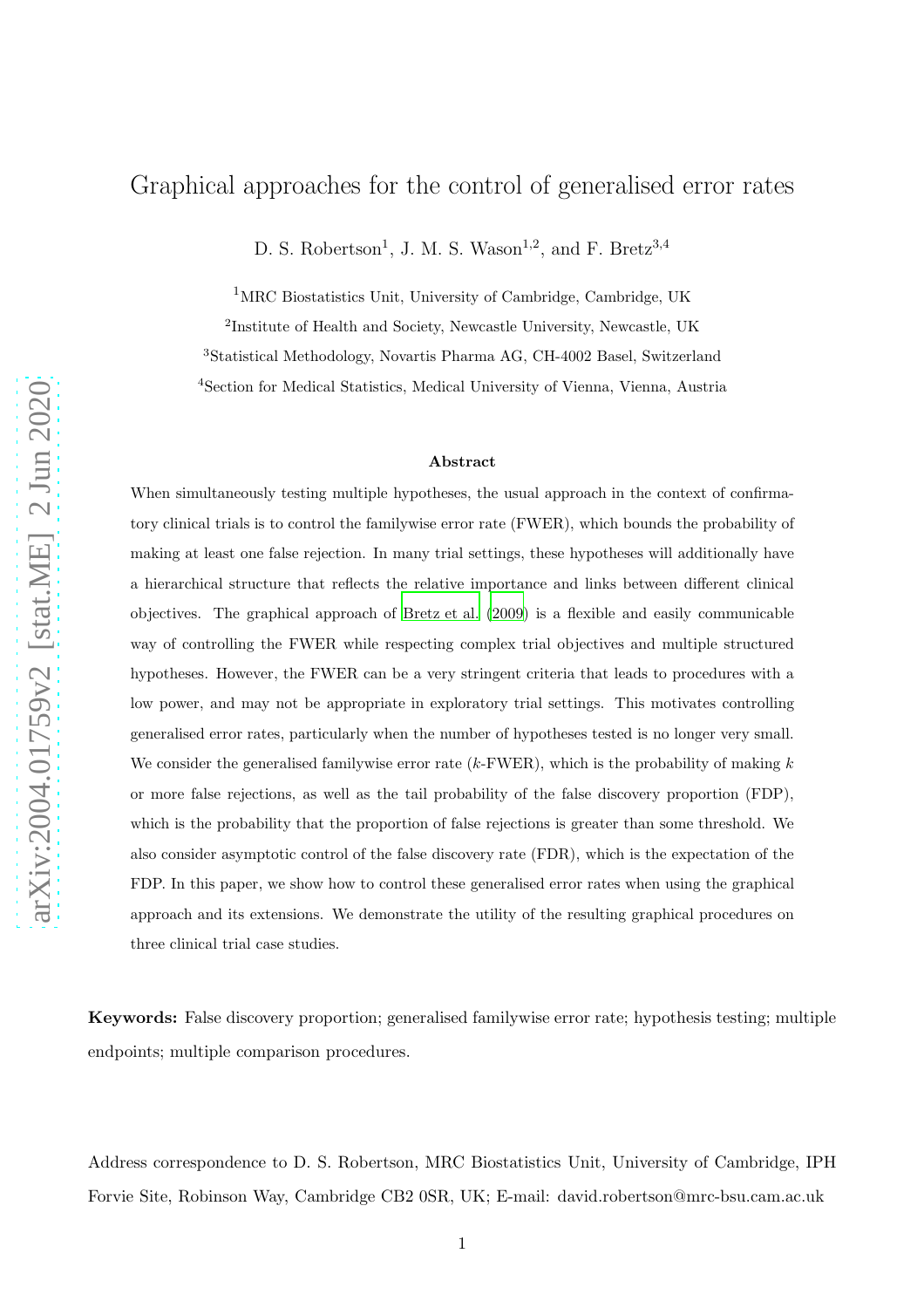## Graphical approaches for the control of generalised error rates

D. S. Robertson<sup>1</sup>, J. M. S. Wason<sup>1,2</sup>, and F. Bretz<sup>3,4</sup>

<sup>1</sup>MRC Biostatistics Unit, University of Cambridge, Cambridge, UK

2 Institute of Health and Society, Newcastle University, Newcastle, UK <sup>3</sup>Statistical Methodology, Novartis Pharma AG, CH-4002 Basel, Switzerland

<sup>4</sup>Section for Medical Statistics, Medical University of Vienna, Vienna, Austria

#### Abstract

When simultaneously testing multiple hypotheses, the usual approach in the context of confirmatory clinical trials is to control the familywise error rate (FWER), which bounds the probability of making at least one false rejection. In many trial settings, these hypotheses will additionally have a hierarchical structure that reflects the relative importance and links between different clinical objectives. The graphical approach of [Bretz et al. \(2009\)](#page-25-0) is a flexible and easily communicable way of controlling the FWER while respecting complex trial objectives and multiple structured hypotheses. However, the FWER can be a very stringent criteria that leads to procedures with a low power, and may not be appropriate in exploratory trial settings. This motivates controlling generalised error rates, particularly when the number of hypotheses tested is no longer very small. We consider the generalised familywise error rate  $(k$ -FWER), which is the probability of making  $k$ or more false rejections, as well as the tail probability of the false discovery proportion (FDP), which is the probability that the proportion of false rejections is greater than some threshold. We also consider asymptotic control of the false discovery rate (FDR), which is the expectation of the FDP. In this paper, we show how to control these generalised error rates when using the graphical approach and its extensions. We demonstrate the utility of the resulting graphical procedures on three clinical trial case studies.

Keywords: False discovery proportion; generalised familywise error rate; hypothesis testing; multiple endpoints; multiple comparison procedures.

Address correspondence to D. S. Robertson, MRC Biostatistics Unit, University of Cambridge, IPH Forvie Site, Robinson Way, Cambridge CB2 0SR, UK; E-mail: david.robertson@mrc-bsu.cam.ac.uk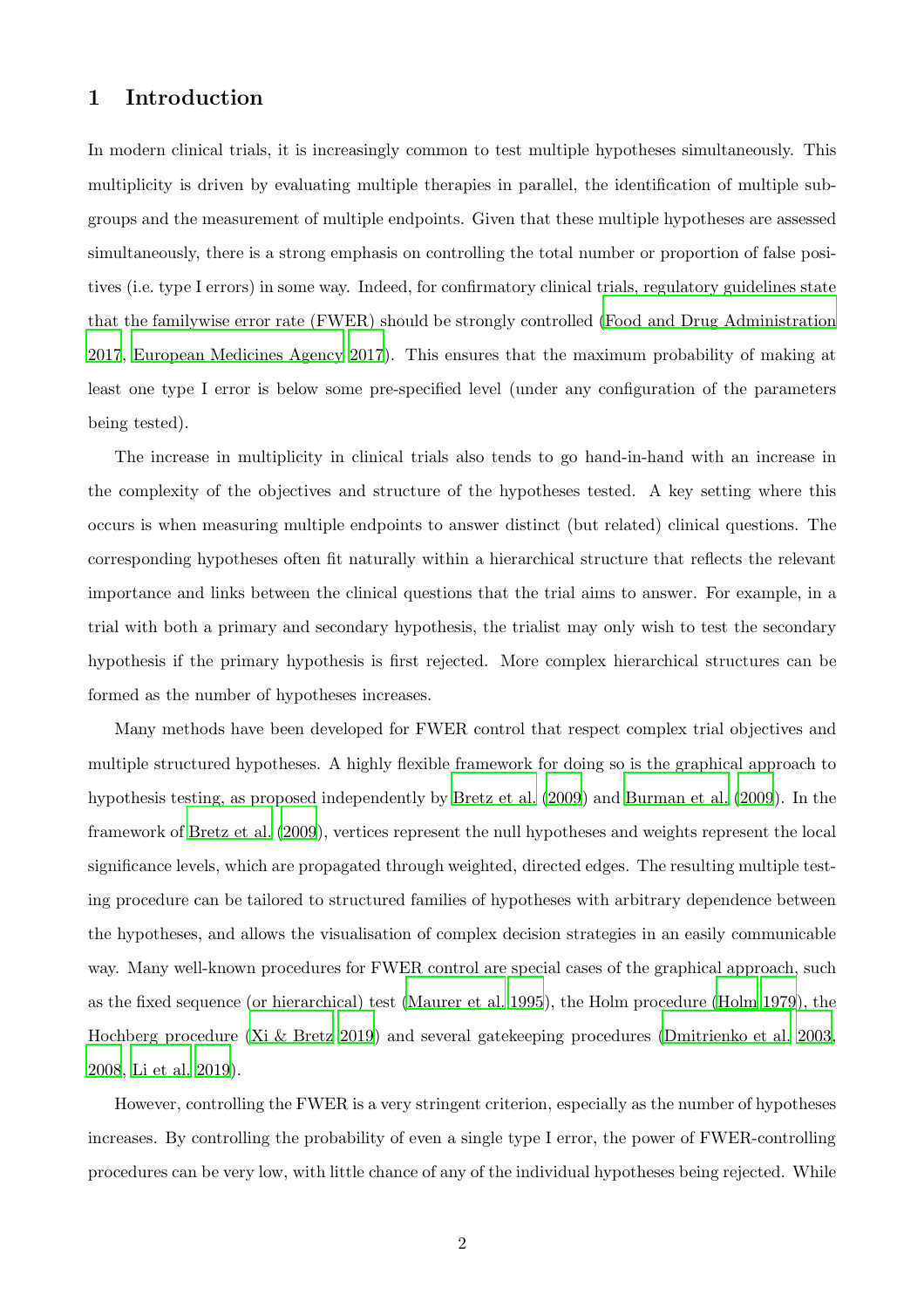## 1 Introduction

In modern clinical trials, it is increasingly common to test multiple hypotheses simultaneously. This multiplicity is driven by evaluating multiple therapies in parallel, the identification of multiple subgroups and the measurement of multiple endpoints. Given that these multiple hypotheses are assessed simultaneously, there is a strong emphasis on controlling the total number or proportion of false positives (i.e. type I errors) in some way. Indeed, for confirmatory clinical trials, regulatory guidelines state that the familywise error rate (FWER) should be strongly controlled [\(Food and Drug Administration](#page-26-0) [2017](#page-26-0), [European Medicines Agency 2017](#page-26-1)). This ensures that the maximum probability of making at least one type I error is below some pre-specified level (under any configuration of the parameters being tested).

The increase in multiplicity in clinical trials also tends to go hand-in-hand with an increase in the complexity of the objectives and structure of the hypotheses tested. A key setting where this occurs is when measuring multiple endpoints to answer distinct (but related) clinical questions. The corresponding hypotheses often fit naturally within a hierarchical structure that reflects the relevant importance and links between the clinical questions that the trial aims to answer. For example, in a trial with both a primary and secondary hypothesis, the trialist may only wish to test the secondary hypothesis if the primary hypothesis is first rejected. More complex hierarchical structures can be formed as the number of hypotheses increases.

Many methods have been developed for FWER control that respect complex trial objectives and multiple structured hypotheses. A highly flexible framework for doing so is the graphical approach to hypothesis testing, as proposed independently by [Bretz et al. \(2009](#page-25-0)) and [Burman et al. \(2009](#page-26-2)). In the framework of [Bretz et al. \(2009](#page-25-0)), vertices represent the null hypotheses and weights represent the local significance levels, which are propagated through weighted, directed edges. The resulting multiple testing procedure can be tailored to structured families of hypotheses with arbitrary dependence between the hypotheses, and allows the visualisation of complex decision strategies in an easily communicable way. Many well-known procedures for FWER control are special cases of the graphical approach, such as the fixed sequence (or hierarchical) test [\(Maurer et al. 1995](#page-27-0)), the Holm procedure [\(Holm 1979](#page-27-1)), the Hochberg procedure [\(Xi & Bretz 2019\)](#page-29-0) and several gatekeeping procedures [\(Dmitrienko et al. 2003](#page-26-3), [2008](#page-26-4), [Li et al. 2019](#page-27-2)).

However, controlling the FWER is a very stringent criterion, especially as the number of hypotheses increases. By controlling the probability of even a single type I error, the power of FWER-controlling procedures can be very low, with little chance of any of the individual hypotheses being rejected. While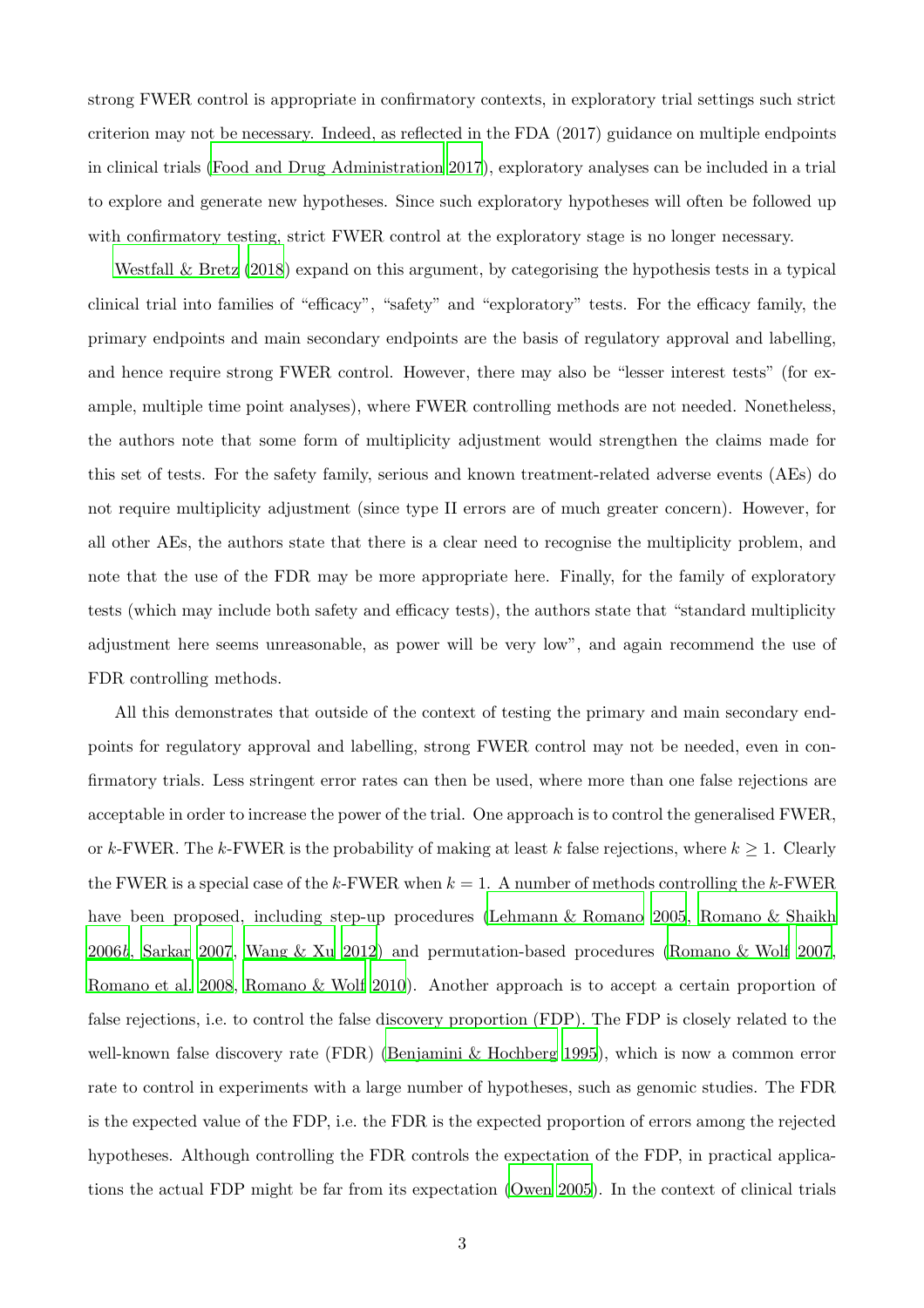strong FWER control is appropriate in confirmatory contexts, in exploratory trial settings such strict criterion may not be necessary. Indeed, as reflected in the FDA (2017) guidance on multiple endpoints in clinical trials [\(Food and Drug Administration 2017](#page-26-0)), exploratory analyses can be included in a trial to explore and generate new hypotheses. Since such exploratory hypotheses will often be followed up with confirmatory testing, strict FWER control at the exploratory stage is no longer necessary.

Westfall  $\&$  Bretz (2018) expand on this argument, by categorising the hypothesis tests in a typical clinical trial into families of "efficacy", "safety" and "exploratory" tests. For the efficacy family, the primary endpoints and main secondary endpoints are the basis of regulatory approval and labelling, and hence require strong FWER control. However, there may also be "lesser interest tests" (for example, multiple time point analyses), where FWER controlling methods are not needed. Nonetheless, the authors note that some form of multiplicity adjustment would strengthen the claims made for this set of tests. For the safety family, serious and known treatment-related adverse events (AEs) do not require multiplicity adjustment (since type II errors are of much greater concern). However, for all other AEs, the authors state that there is a clear need to recognise the multiplicity problem, and note that the use of the FDR may be more appropriate here. Finally, for the family of exploratory tests (which may include both safety and efficacy tests), the authors state that "standard multiplicity adjustment here seems unreasonable, as power will be very low", and again recommend the use of FDR controlling methods.

All this demonstrates that outside of the context of testing the primary and main secondary endpoints for regulatory approval and labelling, strong FWER control may not be needed, even in confirmatory trials. Less stringent error rates can then be used, where more than one false rejections are acceptable in order to increase the power of the trial. One approach is to control the generalised FWER, or k-FWER. The k-FWER is the probability of making at least k false rejections, where  $k \geq 1$ . Clearly the FWER is a special case of the k-FWER when  $k = 1$ . A number of methods controlling the k-FWER have been proposed, including step-up procedures (Lehmann [& Romano 2005](#page-27-3), [Romano & Shaikh](#page-28-1) [2006](#page-28-1)*b*, [Sarkar 2007,](#page-28-2) [Wang & Xu 2012\)](#page-28-3) and permutation-based procedures [\(Romano & Wolf 2007](#page-28-4), [Romano et al. 2008](#page-28-5), [Romano & Wolf 2010](#page-28-6)). Another approach is to accept a certain proportion of false rejections, i.e. to control the false discovery proportion (FDP). The FDP is closely related to the well-known false discovery rate (FDR) [\(Benjamini & Hochberg 1995](#page-25-1)), which is now a common error rate to control in experiments with a large number of hypotheses, such as genomic studies. The FDR is the expected value of the FDP, i.e. the FDR is the expected proportion of errors among the rejected hypotheses. Although controlling the FDR controls the expectation of the FDP, in practical applications the actual FDP might be far from its expectation [\(Owen 2005](#page-28-7)). In the context of clinical trials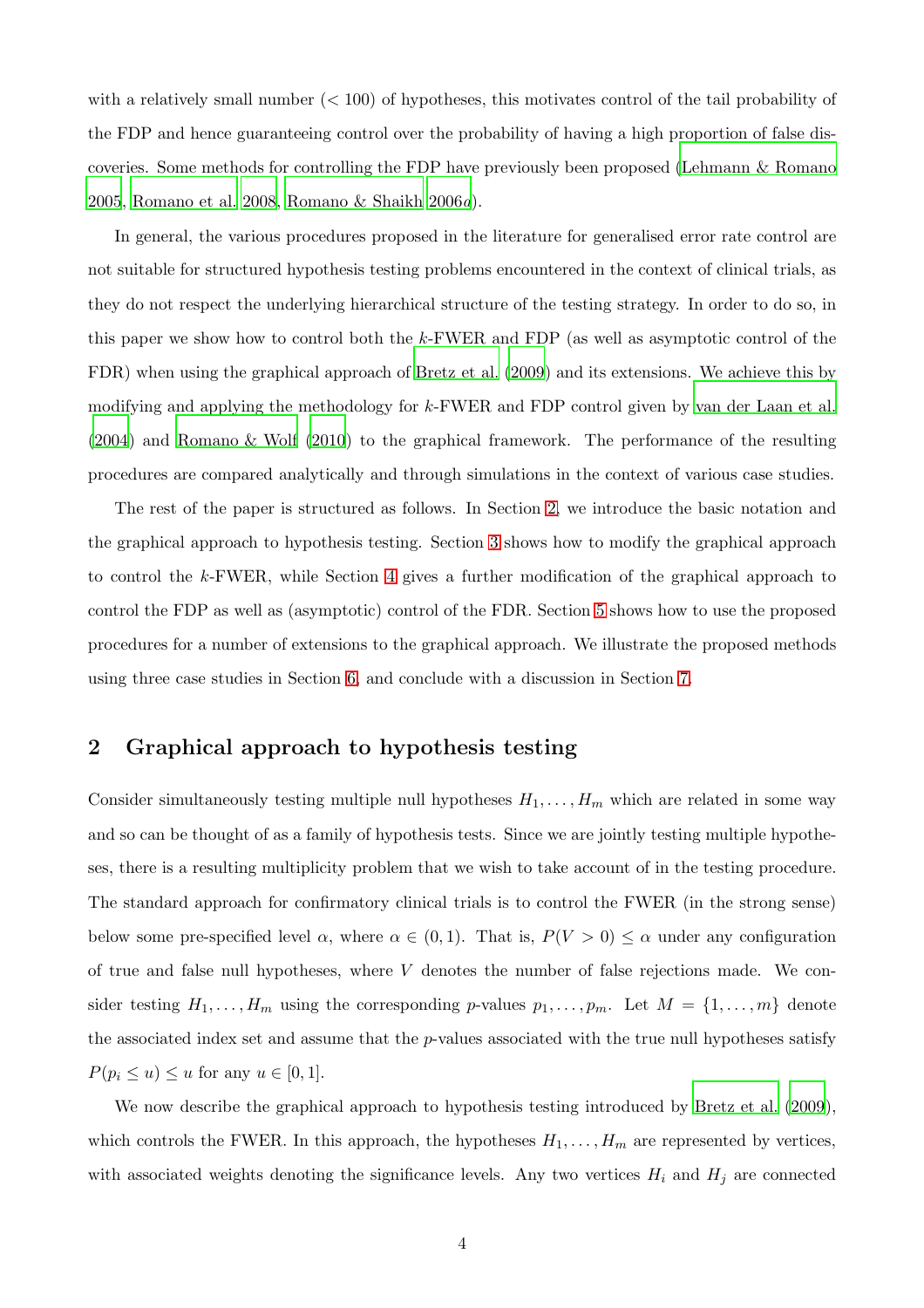with a relatively small number  $( $100$ ) of hypotheses, this motivates control of the tail probability of$ the FDP and hence guaranteeing control over the probability of having a high proportion of false discoveries. Some methods for controlling the FDP have previously been proposed [\(Lehmann & Romano](#page-27-3) [2005](#page-27-3), [Romano et al. 2008](#page-28-5), [Romano & Shaikh 2006](#page-28-8)*a*).

In general, the various procedures proposed in the literature for generalised error rate control are not suitable for structured hypothesis testing problems encountered in the context of clinical trials, as they do not respect the underlying hierarchical structure of the testing strategy. In order to do so, in this paper we show how to control both the k-FWER and FDP (as well as asymptotic control of the FDR) when using the graphical approach of [Bretz et al. \(2009\)](#page-25-0) and its extensions. We achieve this by modifying and applying the methodology for k-FWER and FDP control given by [van der Laan et al.](#page-28-9) [\(2004](#page-28-9)) and [Romano & Wolf \(2010](#page-28-6)) to the graphical framework. The performance of the resulting procedures are compared analytically and through simulations in the context of various case studies.

The rest of the paper is structured as follows. In Section [2,](#page-3-0) we introduce the basic notation and the graphical approach to hypothesis testing. Section [3](#page-5-0) shows how to modify the graphical approach to control the k-FWER, while Section [4](#page-11-0) gives a further modification of the graphical approach to control the FDP as well as (asymptotic) control of the FDR. Section [5](#page-13-0) shows how to use the proposed procedures for a number of extensions to the graphical approach. We illustrate the proposed methods using three case studies in Section [6,](#page-15-0) and conclude with a discussion in Section [7.](#page-24-0)

## <span id="page-3-0"></span>2 Graphical approach to hypothesis testing

Consider simultaneously testing multiple null hypotheses  $H_1, \ldots, H_m$  which are related in some way and so can be thought of as a family of hypothesis tests. Since we are jointly testing multiple hypotheses, there is a resulting multiplicity problem that we wish to take account of in the testing procedure. The standard approach for confirmatory clinical trials is to control the FWER (in the strong sense) below some pre-specified level  $\alpha$ , where  $\alpha \in (0,1)$ . That is,  $P(V > 0) \leq \alpha$  under any configuration of true and false null hypotheses, where  $V$  denotes the number of false rejections made. We consider testing  $H_1, \ldots, H_m$  using the corresponding p-values  $p_1, \ldots, p_m$ . Let  $M = \{1, \ldots, m\}$  denote the associated index set and assume that the p-values associated with the true null hypotheses satisfy  $P(p_i \leq u) \leq u$  for any  $u \in [0, 1]$ .

We now describe the graphical approach to hypothesis testing introduced by [Bretz et al. \(2009](#page-25-0)), which controls the FWER. In this approach, the hypotheses  $H_1, \ldots, H_m$  are represented by vertices, with associated weights denoting the significance levels. Any two vertices  $H_i$  and  $H_j$  are connected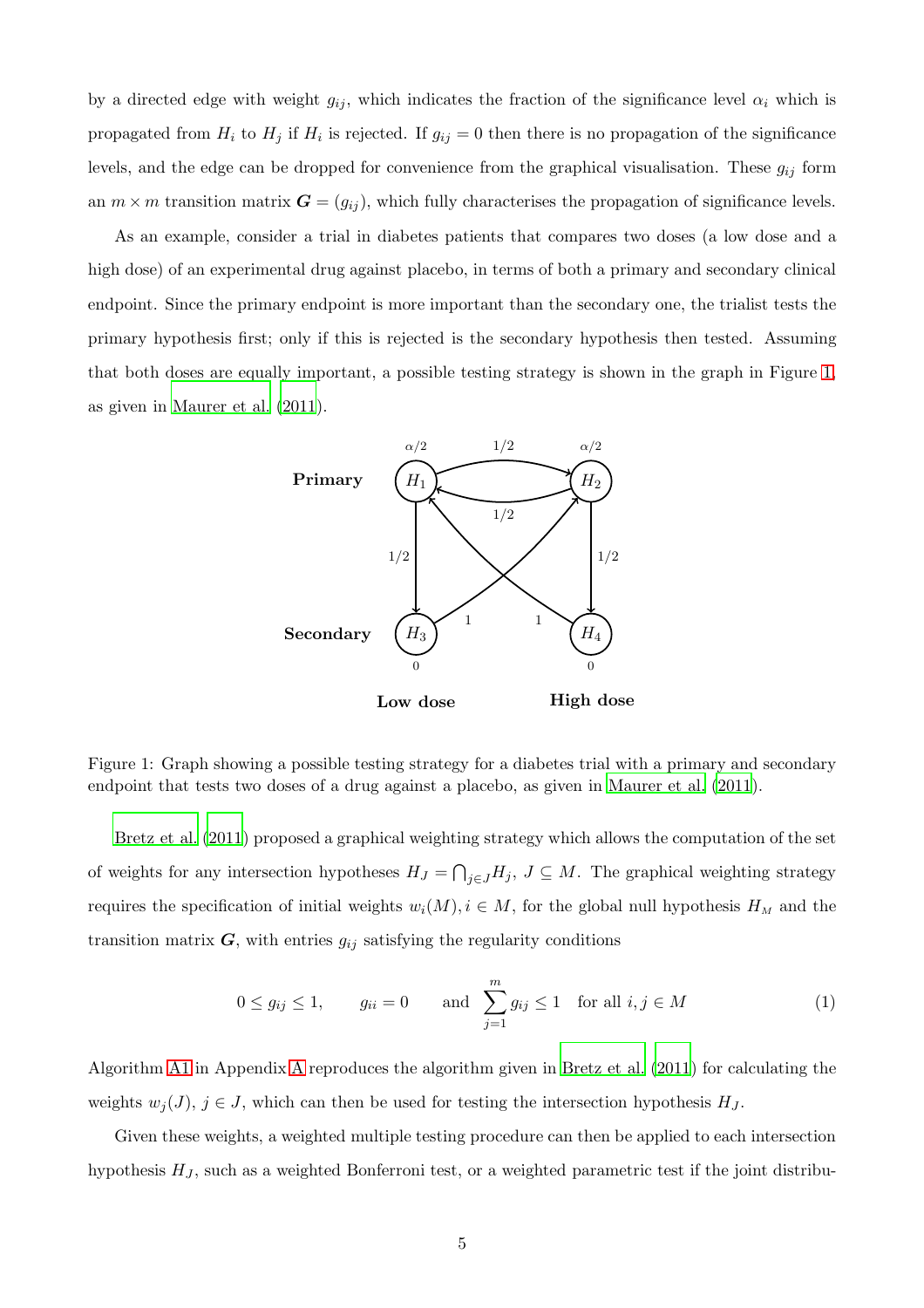by a directed edge with weight  $g_{ij}$ , which indicates the fraction of the significance level  $\alpha_i$  which is propagated from  $H_i$  to  $H_j$  if  $H_i$  is rejected. If  $g_{ij} = 0$  then there is no propagation of the significance levels, and the edge can be dropped for convenience from the graphical visualisation. These  $g_{ij}$  form an  $m \times m$  transition matrix  $\mathbf{G} = (g_{ij})$ , which fully characterises the propagation of significance levels.

As an example, consider a trial in diabetes patients that compares two doses (a low dose and a high dose) of an experimental drug against placebo, in terms of both a primary and secondary clinical endpoint. Since the primary endpoint is more important than the secondary one, the trialist tests the primary hypothesis first; only if this is rejected is the secondary hypothesis then tested. Assuming that both doses are equally important, a possible testing strategy is shown in the graph in Figure [1,](#page-4-0) as given in [Maurer et al. \(2011\)](#page-27-4).



<span id="page-4-0"></span>Figure 1: Graph showing a possible testing strategy for a diabetes trial with a primary and secondary endpoint that tests two doses of a drug against a placebo, as given in [Maurer et al. \(2011](#page-27-4)).

[Bretz et al. \(2011](#page-26-5)) proposed a graphical weighting strategy which allows the computation of the set of weights for any intersection hypotheses  $H_J = \bigcap_{j \in J} H_j$ ,  $J \subseteq M$ . The graphical weighting strategy requires the specification of initial weights  $w_i(M)$ ,  $i \in M$ , for the global null hypothesis  $H_M$  and the transition matrix  $G$ , with entries  $g_{ij}$  satisfying the regularity conditions

$$
0 \le g_{ij} \le 1, \qquad g_{ii} = 0 \qquad \text{and} \quad \sum_{j=1}^{m} g_{ij} \le 1 \quad \text{for all } i, j \in M
$$
 (1)

Algorithm [A1](#page-29-1) in Appendix [A](#page-29-2) reproduces the algorithm given in [Bretz et al. \(2011\)](#page-26-5) for calculating the weights  $w_j(J)$ ,  $j \in J$ , which can then be used for testing the intersection hypothesis  $H_J$ .

Given these weights, a weighted multiple testing procedure can then be applied to each intersection hypothesis  $H_J$ , such as a weighted Bonferroni test, or a weighted parametric test if the joint distribu-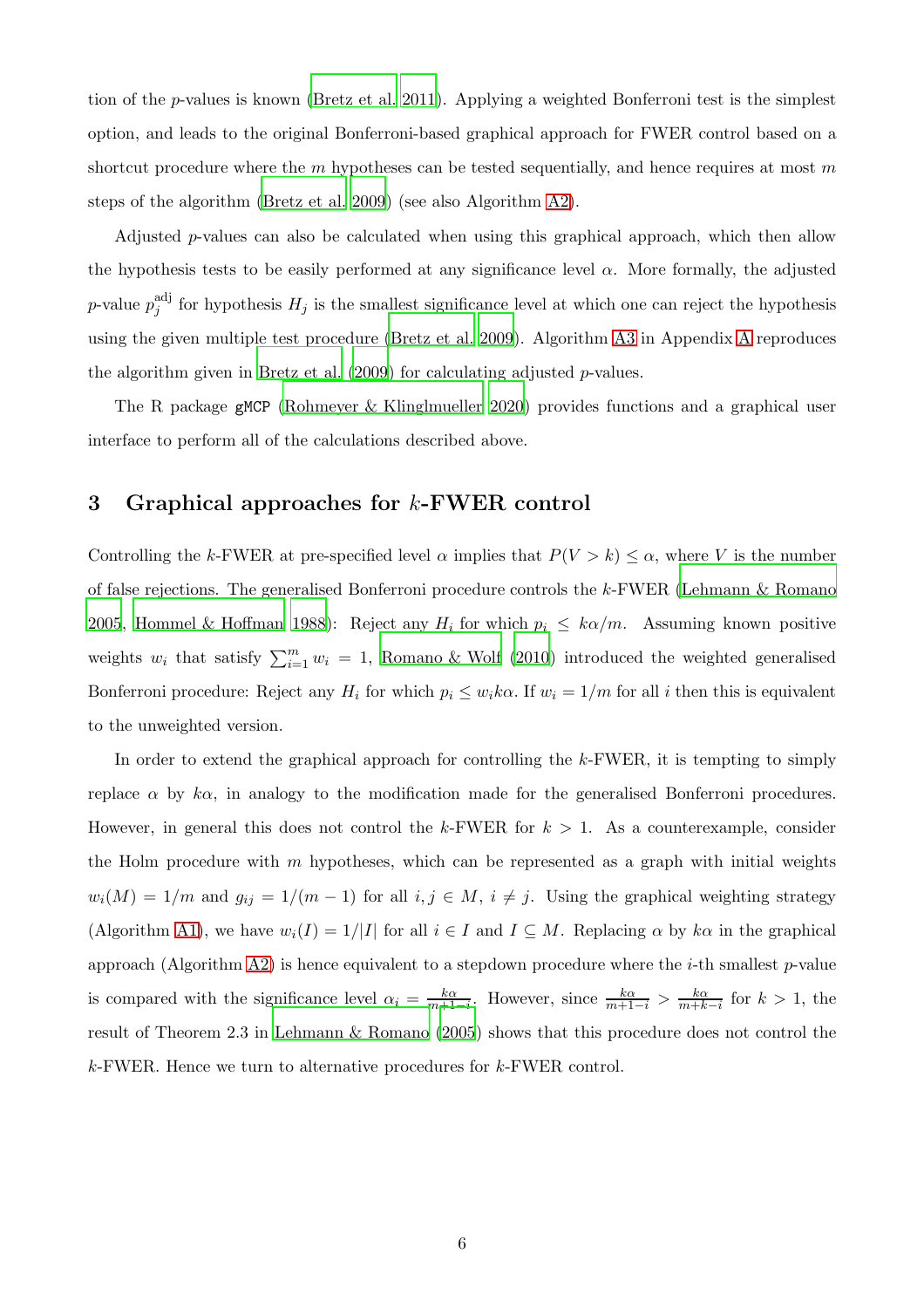tion of the p-values is known [\(Bretz et al. 2011\)](#page-26-5). Applying a weighted Bonferroni test is the simplest option, and leads to the original Bonferroni-based graphical approach for FWER control based on a shortcut procedure where the  $m$  hypotheses can be tested sequentially, and hence requires at most  $m$ steps of the algorithm [\(Bretz et al. 2009](#page-25-0)) (see also Algorithm [A2\)](#page-30-0).

Adjusted p-values can also be calculated when using this graphical approach, which then allow the hypothesis tests to be easily performed at any significance level  $\alpha$ . More formally, the adjusted *p*-value  $p_i^{\text{adj}}$  $j_j^{\text{aq}}$  for hypothesis  $H_j$  is the smallest significance level at which one can reject the hypothesis using the given multiple test procedure [\(Bretz et al. 2009\)](#page-25-0). Algorithm [A3](#page-30-1) in Appendix [A](#page-29-2) reproduces the algorithm given in Bretz et al.  $(2009)$  for calculating adjusted p-values.

<span id="page-5-0"></span>The R package gMCP [\(Rohmeyer & Klinglmueller 2020](#page-28-10)) provides functions and a graphical user interface to perform all of the calculations described above.

## 3 Graphical approaches for  $k$ -FWER control

Controlling the k-FWER at pre-specified level  $\alpha$  implies that  $P(V > k) \leq \alpha$ , where V is the number of false rejections. The generalised Bonferroni procedure controls the k-FWER [\(Lehmann & Romano](#page-27-3) [2005](#page-27-3), [Hommel & Hoffman 1988](#page-27-5)): Reject any  $H_i$  for which  $p_i \leq k\alpha/m$ . Assuming known positive weights  $w_i$  that satisfy  $\sum_{i=1}^m w_i = 1$ , [Romano & Wolf \(2010](#page-28-6)) introduced the weighted generalised Bonferroni procedure: Reject any  $H_i$  for which  $p_i \leq w_i k \alpha$ . If  $w_i = 1/m$  for all i then this is equivalent to the unweighted version.

In order to extend the graphical approach for controlling the k-FWER, it is tempting to simply replace  $\alpha$  by k $\alpha$ , in analogy to the modification made for the generalised Bonferroni procedures. However, in general this does not control the k-FWER for  $k > 1$ . As a counterexample, consider the Holm procedure with  $m$  hypotheses, which can be represented as a graph with initial weights  $w_i(M) = 1/m$  and  $g_{ij} = 1/(m-1)$  for all  $i, j \in M$ ,  $i \neq j$ . Using the graphical weighting strategy (Algorithm [A1\)](#page-29-1), we have  $w_i(I) = 1/|I|$  for all  $i \in I$  and  $I \subseteq M$ . Replacing  $\alpha$  by  $k\alpha$  in the graphical approach (Algorithm [A2\)](#page-30-0) is hence equivalent to a stepdown procedure where the  $i$ -th smallest p-value is compared with the significance level  $\alpha_i = \frac{k\alpha}{m+1}$  $\frac{k\alpha}{m+1-i}$ . However, since  $\frac{k\alpha}{m+1-i} > \frac{k\alpha}{m+k}$  $\frac{k\alpha}{m+k-i}$  for  $k>1$ , the result of Theorem 2.3 in [Lehmann & Romano \(2005](#page-27-3)) shows that this procedure does not control the k-FWER. Hence we turn to alternative procedures for k-FWER control.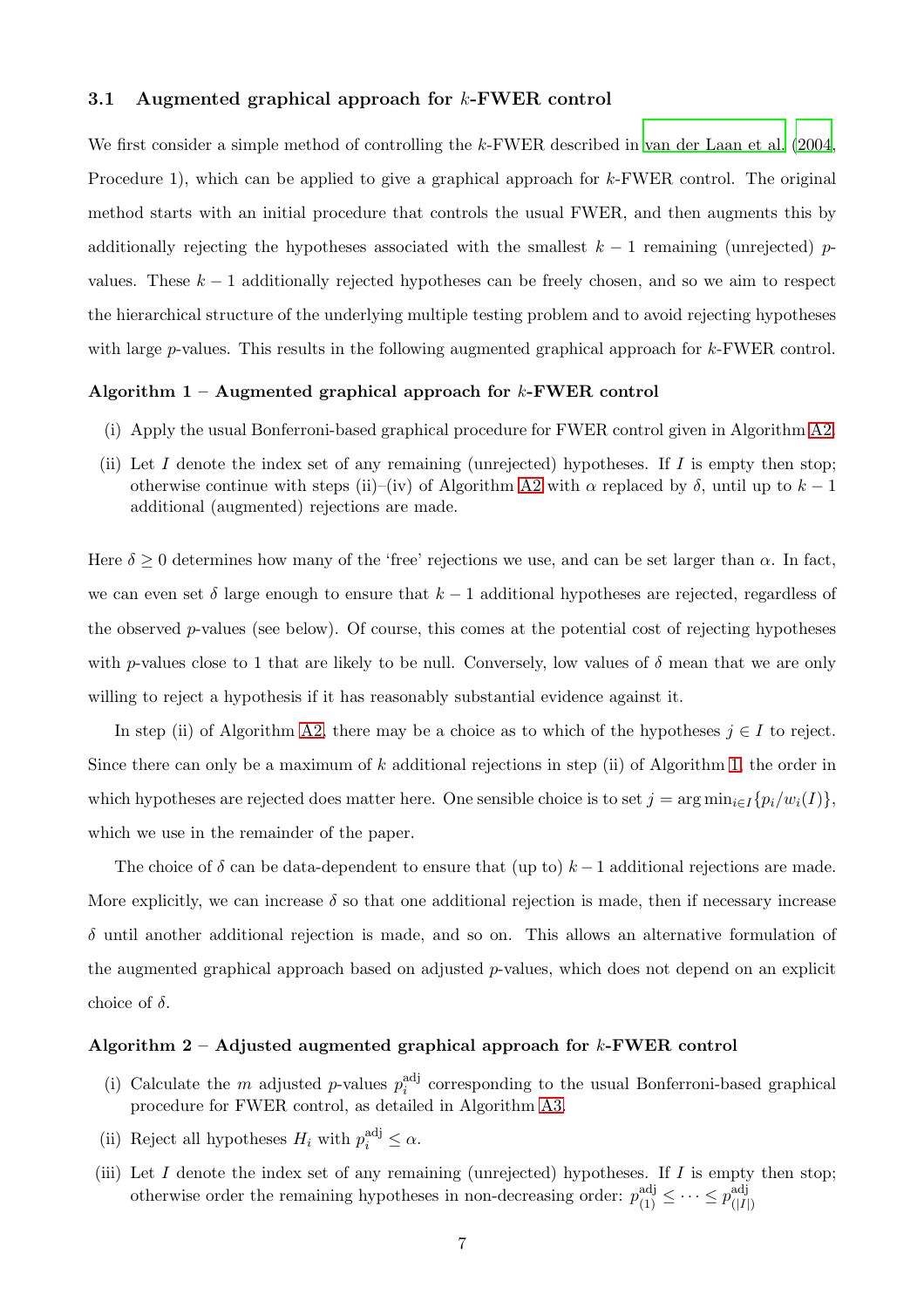#### 3.1 Augmented graphical approach for k-FWER control

We first consider a simple method of controlling the k-FWER described in [van der Laan et al. \(2004](#page-28-9), Procedure 1), which can be applied to give a graphical approach for k-FWER control. The original method starts with an initial procedure that controls the usual FWER, and then augments this by additionally rejecting the hypotheses associated with the smallest  $k - 1$  remaining (unrejected) pvalues. These  $k-1$  additionally rejected hypotheses can be freely chosen, and so we aim to respect the hierarchical structure of the underlying multiple testing problem and to avoid rejecting hypotheses with large  $p$ -values. This results in the following augmented graphical approach for  $k$ -FWER control.

#### <span id="page-6-0"></span>Algorithm  $1 -$  Augmented graphical approach for k-FWER control

- (i) Apply the usual Bonferroni-based graphical procedure for FWER control given in Algorithm [A2.](#page-30-0)
- (ii) Let I denote the index set of any remaining (unrejected) hypotheses. If I is empty then stop; otherwise continue with steps (ii)–(iv) of Algorithm [A2](#page-30-0) with  $\alpha$  replaced by  $\delta$ , until up to  $k-1$ additional (augmented) rejections are made.

Here  $\delta \geq 0$  determines how many of the 'free' rejections we use, and can be set larger than  $\alpha$ . In fact, we can even set  $\delta$  large enough to ensure that  $k-1$  additional hypotheses are rejected, regardless of the observed  $p$ -values (see below). Of course, this comes at the potential cost of rejecting hypotheses with p-values close to 1 that are likely to be null. Conversely, low values of  $\delta$  mean that we are only willing to reject a hypothesis if it has reasonably substantial evidence against it.

In step (ii) of Algorithm [A2,](#page-30-0) there may be a choice as to which of the hypotheses  $j \in I$  to reject. Since there can only be a maximum of  $k$  additional rejections in step (ii) of Algorithm [1,](#page-6-0) the order in which hypotheses are rejected does matter here. One sensible choice is to set  $j = \arg \min_{i \in I} \{p_i/w_i(I)\},$ which we use in the remainder of the paper.

The choice of  $\delta$  can be data-dependent to ensure that (up to)  $k-1$  additional rejections are made. More explicitly, we can increase  $\delta$  so that one additional rejection is made, then if necessary increase  $\delta$  until another additional rejection is made, and so on. This allows an alternative formulation of the augmented graphical approach based on adjusted  $p$ -values, which does not depend on an explicit choice of  $\delta$ .

#### <span id="page-6-1"></span>Algorithm  $2 -$  Adjusted augmented graphical approach for k-FWER control

- (i) Calculate the m adjusted p-values  $p_i^{\text{adj}}$  $i$ <sup>ad</sup> corresponding to the usual Bonferroni-based graphical procedure for FWER control, as detailed in Algorithm [A3.](#page-30-1)
- (ii) Reject all hypotheses  $H_i$  with  $p_i^{\text{adj}} \leq \alpha$ .
- (iii) Let  $I$  denote the index set of any remaining (unrejected) hypotheses. If  $I$  is empty then stop; otherwise order the remaining hypotheses in non-decreasing order:  $p_{(1)}^{\text{adj}} \leq \cdots \leq p_{(|I|)}^{\text{adj}}$  $(|I|)$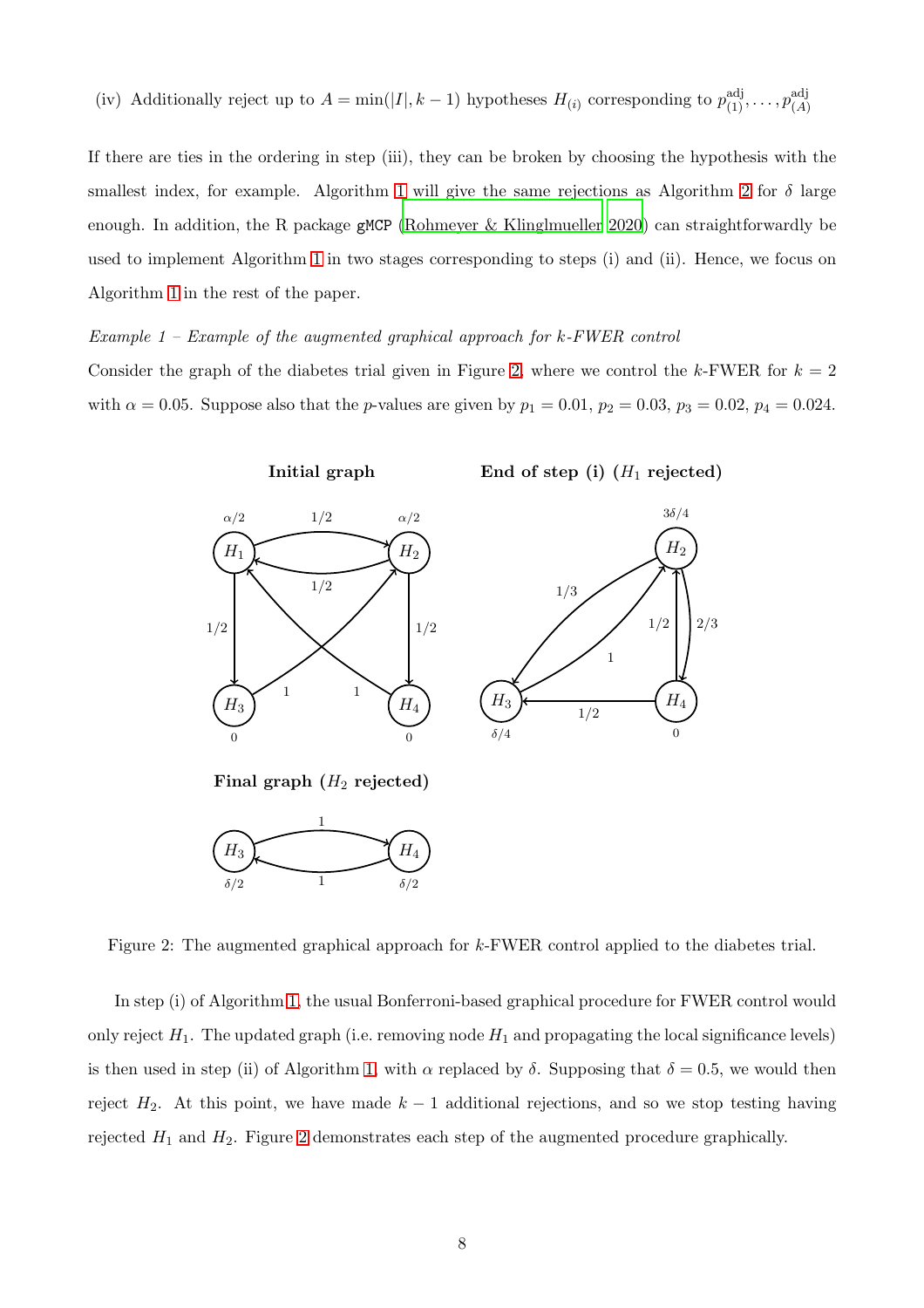(iv) Additionally reject up to 
$$
A = \min(|I|, k-1)
$$
 hypotheses  $H_{(i)}$  corresponding to  $p_{(1)}^{\text{adj}}, \ldots, p_{(A)}^{\text{adj}}$ 

If there are ties in the ordering in step (iii), they can be broken by choosing the hypothesis with the smallest index, for example. Algorithm [1](#page-6-0) will give the same rejections as Algorithm [2](#page-6-1) for  $\delta$  large enough. In addition, the R package gMCP [\(Rohmeyer & Klinglmueller 2020\)](#page-28-10) can straightforwardly be used to implement Algorithm [1](#page-6-0) in two stages corresponding to steps (i) and (ii). Hence, we focus on Algorithm [1](#page-6-0) in the rest of the paper.

#### *Example 1 – Example of the augmented graphical approach for* k*-FWER control*

Consider the graph of the diabetes trial given in Figure [2,](#page-7-0) where we control the k-FWER for  $k = 2$ with  $\alpha = 0.05$ . Suppose also that the *p*-values are given by  $p_1 = 0.01$ ,  $p_2 = 0.03$ ,  $p_3 = 0.02$ ,  $p_4 = 0.024$ .



<span id="page-7-0"></span>Figure 2: The augmented graphical approach for k-FWER control applied to the diabetes trial.

In step (i) of Algorithm [1,](#page-6-0) the usual Bonferroni-based graphical procedure for FWER control would only reject  $H_1$ . The updated graph (i.e. removing node  $H_1$  and propagating the local significance levels) is then used in step (ii) of Algorithm [1,](#page-6-0) with  $\alpha$  replaced by  $\delta$ . Supposing that  $\delta = 0.5$ , we would then reject  $H_2$ . At this point, we have made  $k-1$  additional rejections, and so we stop testing having rejected  $H_1$  and  $H_2$ . Figure [2](#page-7-0) demonstrates each step of the augmented procedure graphically.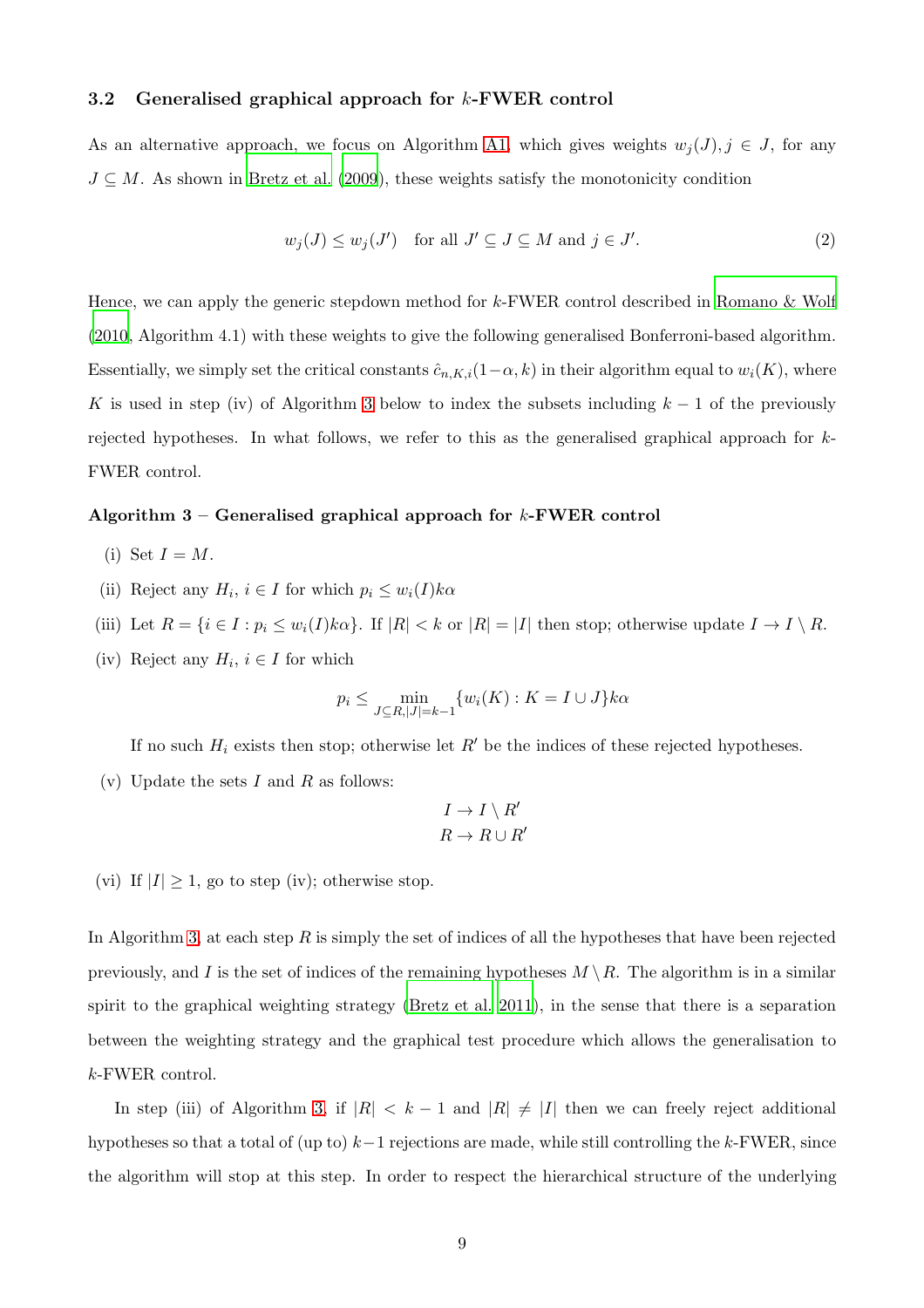#### 3.2 Generalised graphical approach for k-FWER control

As an alternative approach, we focus on Algorithm [A1,](#page-29-1) which gives weights  $w_j(J)$ ,  $j \in J$ , for any  $J \subseteq M$ . As shown in [Bretz et al. \(2009](#page-25-0)), these weights satisfy the monotonicity condition

<span id="page-8-1"></span>
$$
w_j(J) \le w_j(J') \quad \text{for all } J' \subseteq J \subseteq M \text{ and } j \in J'. \tag{2}
$$

Hence, we can apply the generic stepdown method for k-FWER control described in [Romano & Wolf](#page-28-6) [\(2010](#page-28-6), Algorithm 4.1) with these weights to give the following generalised Bonferroni-based algorithm. Essentially, we simply set the critical constants  $\hat{c}_{n,K,i}(1-\alpha,k)$  in their algorithm equal to  $w_i(K)$ , where K is used in step (iv) of Algorithm [3](#page-8-0) below to index the subsets including  $k - 1$  of the previously rejected hypotheses. In what follows, we refer to this as the generalised graphical approach for k-FWER control.

#### <span id="page-8-0"></span>Algorithm  $3$  – Generalised graphical approach for  $k$ -FWER control

- (i) Set  $I = M$ .
- (ii) Reject any  $H_i$ ,  $i \in I$  for which  $p_i \leq w_i(I)k\alpha$
- (iii) Let  $R = \{i \in I : p_i \leq w_i(I)k\alpha\}$ . If  $|R| < k$  or  $|R| = |I|$  then stop; otherwise update  $I \to I \setminus R$ .
- (iv) Reject any  $H_i$ ,  $i \in I$  for which

$$
p_i \le \min_{J \subseteq R, |J| = k-1} \{ w_i(K) : K = I \cup J \} k \alpha
$$

If no such  $H_i$  exists then stop; otherwise let  $R'$  be the indices of these rejected hypotheses.

(v) Update the sets  $I$  and  $R$  as follows:

$$
I \to I \setminus R'
$$
  

$$
R \to R \cup R'
$$

(vi) If  $|I| \geq 1$ , go to step (iv); otherwise stop.

In Algorithm [3,](#page-8-0) at each step  $R$  is simply the set of indices of all the hypotheses that have been rejected previously, and I is the set of indices of the remaining hypotheses  $M \setminus R$ . The algorithm is in a similar spirit to the graphical weighting strategy [\(Bretz et al. 2011](#page-26-5)), in the sense that there is a separation between the weighting strategy and the graphical test procedure which allows the generalisation to k-FWER control.

In step (iii) of Algorithm [3,](#page-8-0) if  $|R| < k-1$  and  $|R| \neq |I|$  then we can freely reject additional hypotheses so that a total of (up to)  $k-1$  rejections are made, while still controlling the k-FWER, since the algorithm will stop at this step. In order to respect the hierarchical structure of the underlying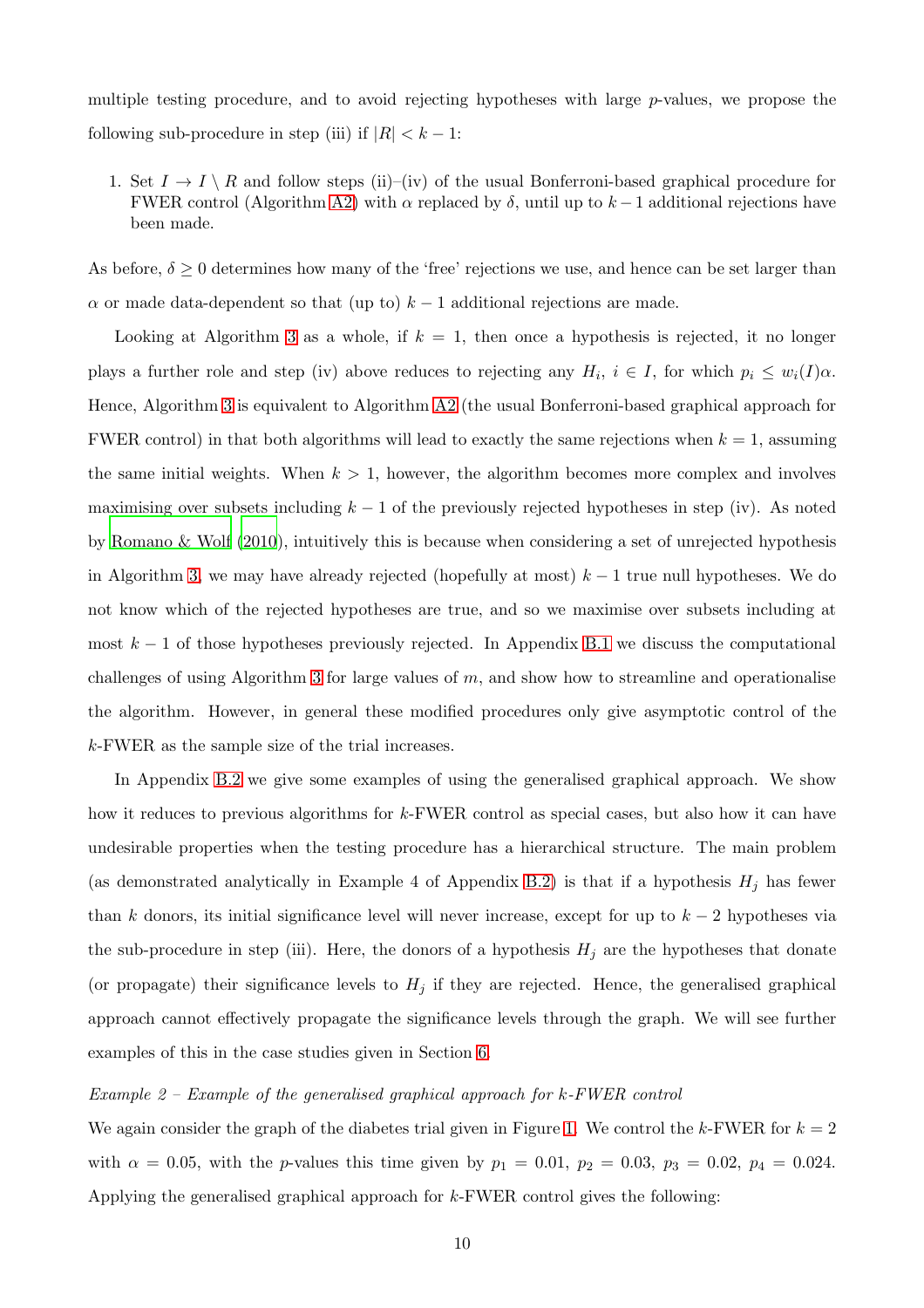multiple testing procedure, and to avoid rejecting hypotheses with large  $p$ -values, we propose the following sub-procedure in step (iii) if  $|R| < k - 1$ :

1. Set  $I \to I \setminus R$  and follow steps (ii)–(iv) of the usual Bonferroni-based graphical procedure for FWER control (Algorithm [A2\)](#page-30-0) with  $\alpha$  replaced by  $\delta$ , until up to  $k-1$  additional rejections have been made.

As before,  $\delta \geq 0$  determines how many of the 'free' rejections we use, and hence can be set larger than  $\alpha$  or made data-dependent so that (up to)  $k-1$  additional rejections are made.

Looking at Algorithm [3](#page-8-0) as a whole, if  $k = 1$ , then once a hypothesis is rejected, it no longer plays a further role and step (iv) above reduces to rejecting any  $H_i$ ,  $i \in I$ , for which  $p_i \leq w_i(I)\alpha$ . Hence, Algorithm [3](#page-8-0) is equivalent to Algorithm [A2](#page-30-0) (the usual Bonferroni-based graphical approach for FWER control) in that both algorithms will lead to exactly the same rejections when  $k = 1$ , assuming the same initial weights. When  $k > 1$ , however, the algorithm becomes more complex and involves maximising over subsets including  $k - 1$  of the previously rejected hypotheses in step (iv). As noted by [Romano & Wolf \(2010](#page-28-6)), intuitively this is because when considering a set of unrejected hypothesis in Algorithm [3,](#page-8-0) we may have already rejected (hopefully at most)  $k - 1$  true null hypotheses. We do not know which of the rejected hypotheses are true, and so we maximise over subsets including at most  $k-1$  of those hypotheses previously rejected. In Appendix [B.1](#page-31-0) we discuss the computational challenges of using Algorithm [3](#page-8-0) for large values of  $m$ , and show how to streamline and operationalise the algorithm. However, in general these modified procedures only give asymptotic control of the k-FWER as the sample size of the trial increases.

In Appendix [B.2](#page-32-0) we give some examples of using the generalised graphical approach. We show how it reduces to previous algorithms for k-FWER control as special cases, but also how it can have undesirable properties when the testing procedure has a hierarchical structure. The main problem (as demonstrated analytically in Example 4 of Appendix [B.2\)](#page-32-0) is that if a hypothesis  $H_i$  has fewer than k donors, its initial significance level will never increase, except for up to  $k-2$  hypotheses via the sub-procedure in step (iii). Here, the donors of a hypothesis  $H_j$  are the hypotheses that donate (or propagate) their significance levels to  $H_j$  if they are rejected. Hence, the generalised graphical approach cannot effectively propagate the significance levels through the graph. We will see further examples of this in the case studies given in Section [6.](#page-15-0)

#### *Example 2 – Example of the generalised graphical approach for* k*-FWER control*

We again consider the graph of the diabetes trial given in Figure [1.](#page-4-0) We control the k-FWER for  $k = 2$ with  $\alpha = 0.05$ , with the *p*-values this time given by  $p_1 = 0.01$ ,  $p_2 = 0.03$ ,  $p_3 = 0.02$ ,  $p_4 = 0.024$ . Applying the generalised graphical approach for k-FWER control gives the following: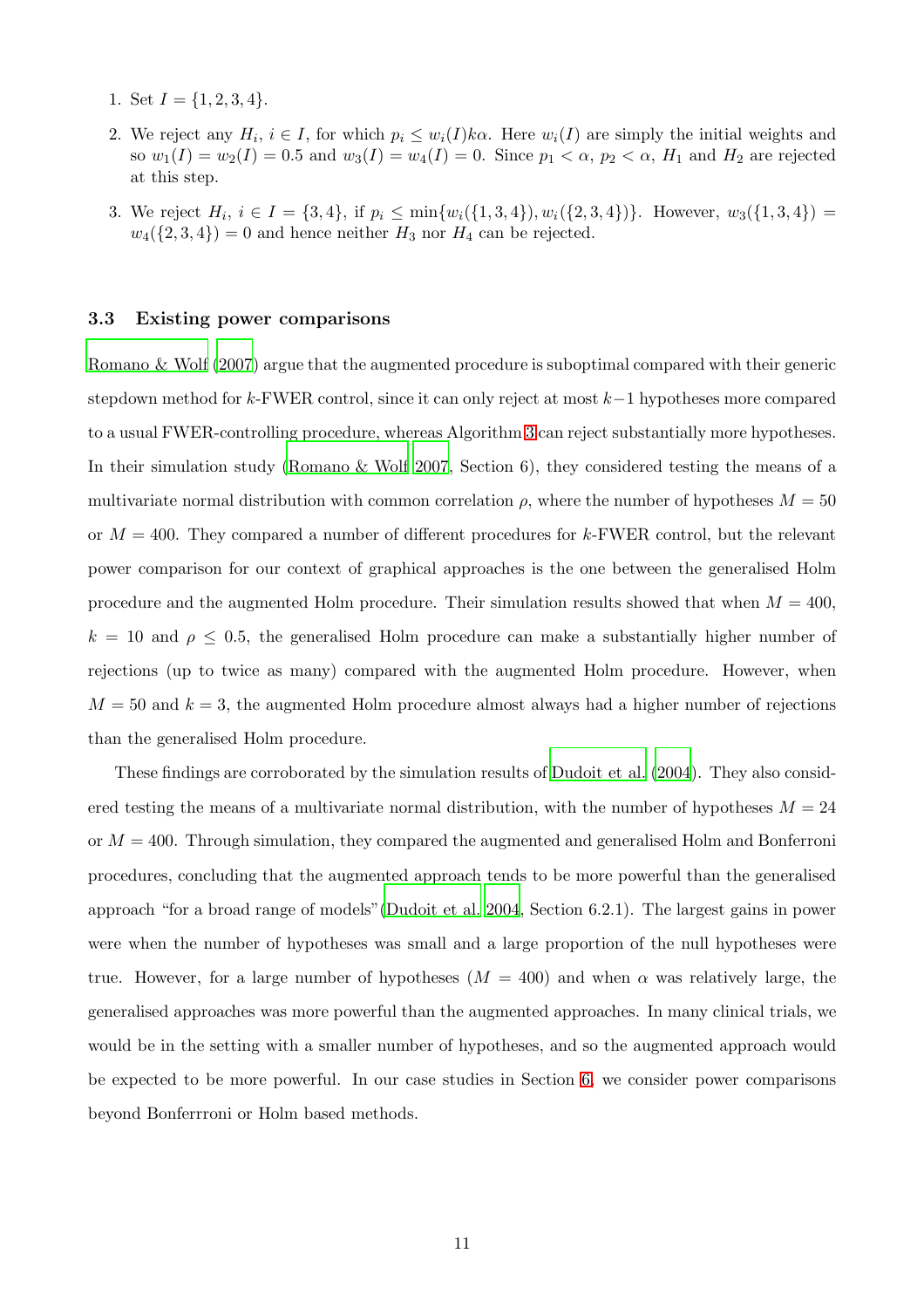- 1. Set  $I = \{1, 2, 3, 4\}.$
- 2. We reject any  $H_i$ ,  $i \in I$ , for which  $p_i \leq w_i(I)k\alpha$ . Here  $w_i(I)$  are simply the initial weights and so  $w_1(I) = w_2(I) = 0.5$  and  $w_3(I) = w_4(I) = 0$ . Since  $p_1 < \alpha$ ,  $p_2 < \alpha$ ,  $H_1$  and  $H_2$  are rejected at this step.
- 3. We reject  $H_i$ ,  $i \in I = \{3, 4\}$ , if  $p_i \le \min\{w_i(\{1, 3, 4\}), w_i(\{2, 3, 4\})\}$ . However,  $w_3(\{1, 3, 4\})$  $w_4({2, 3, 4}) = 0$  and hence neither  $H_3$  nor  $H_4$  can be rejected.

#### 3.3 Existing power comparisons

[Romano & Wolf \(2007](#page-28-4)) argue that the augmented procedure is suboptimal compared with their generic stepdown method for k-FWER control, since it can only reject at most k−1 hypotheses more compared to a usual FWER-controlling procedure, whereas Algorithm [3](#page-8-0) can reject substantially more hypotheses. In their simulation study [\(Romano & Wolf 2007](#page-28-4), Section 6), they considered testing the means of a multivariate normal distribution with common correlation  $\rho$ , where the number of hypotheses  $M = 50$ or  $M = 400$ . They compared a number of different procedures for k-FWER control, but the relevant power comparison for our context of graphical approaches is the one between the generalised Holm procedure and the augmented Holm procedure. Their simulation results showed that when  $M = 400$ ,  $k = 10$  and  $\rho \leq 0.5$ , the generalised Holm procedure can make a substantially higher number of rejections (up to twice as many) compared with the augmented Holm procedure. However, when  $M = 50$  and  $k = 3$ , the augmented Holm procedure almost always had a higher number of rejections than the generalised Holm procedure.

These findings are corroborated by the simulation results of [Dudoit et al. \(2004\)](#page-26-6). They also considered testing the means of a multivariate normal distribution, with the number of hypotheses  $M = 24$ or  $M = 400$ . Through simulation, they compared the augmented and generalised Holm and Bonferroni procedures, concluding that the augmented approach tends to be more powerful than the generalised approach "for a broad range of models"[\(Dudoit et al. 2004,](#page-26-6) Section 6.2.1). The largest gains in power were when the number of hypotheses was small and a large proportion of the null hypotheses were true. However, for a large number of hypotheses  $(M = 400)$  and when  $\alpha$  was relatively large, the generalised approaches was more powerful than the augmented approaches. In many clinical trials, we would be in the setting with a smaller number of hypotheses, and so the augmented approach would be expected to be more powerful. In our case studies in Section [6,](#page-15-0) we consider power comparisons beyond Bonferrroni or Holm based methods.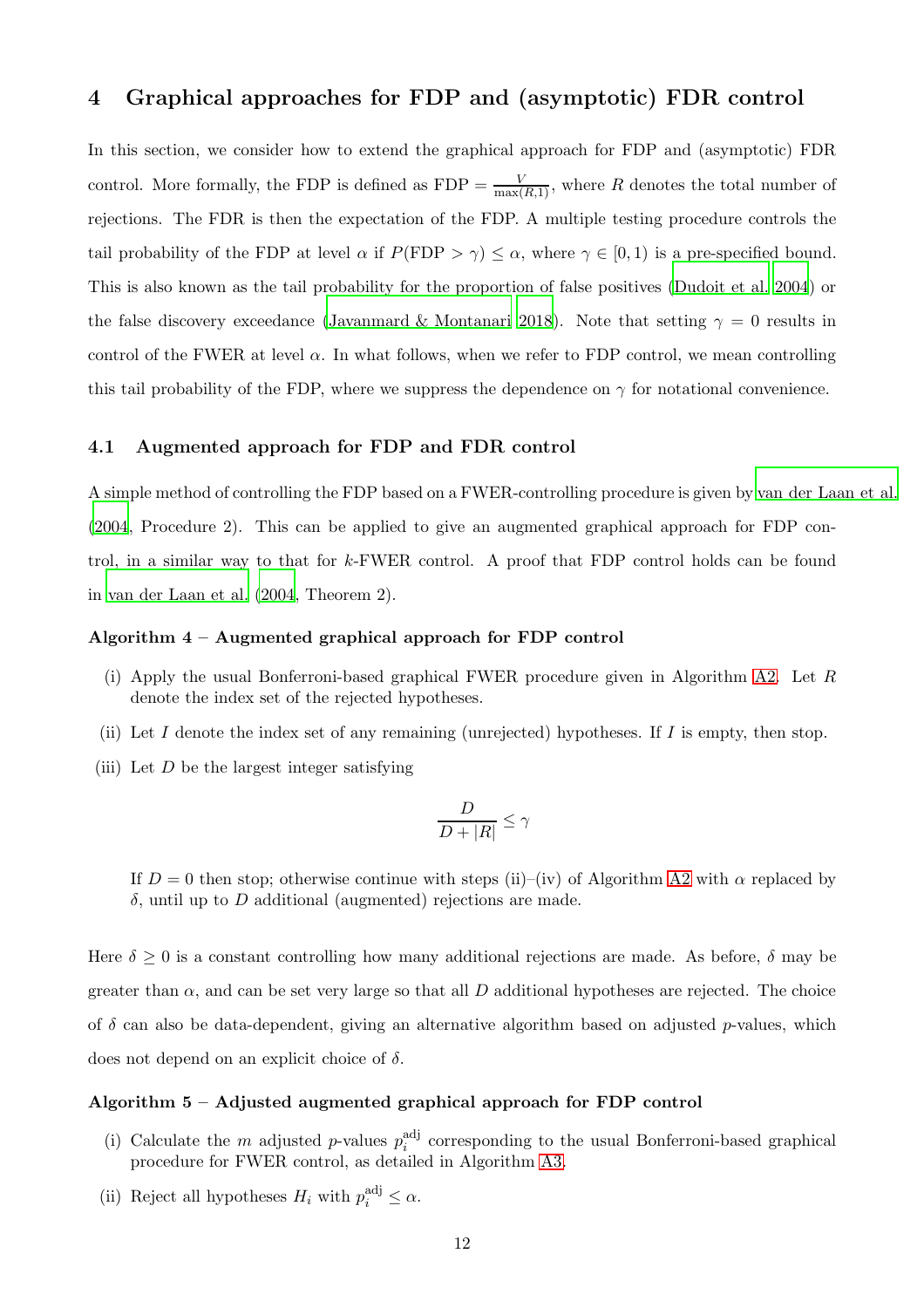## <span id="page-11-0"></span>4 Graphical approaches for FDP and (asymptotic) FDR control

In this section, we consider how to extend the graphical approach for FDP and (asymptotic) FDR control. More formally, the FDP is defined as  $FDP = \frac{V}{\max(R,1)}$ , where R denotes the total number of rejections. The FDR is then the expectation of the FDP. A multiple testing procedure controls the tail probability of the FDP at level  $\alpha$  if  $P(\text{FDP} > \gamma) \leq \alpha$ , where  $\gamma \in [0,1)$  is a pre-specified bound. This is also known as the tail probability for the proportion of false positives [\(Dudoit et al. 2004\)](#page-26-6) or the false discovery exceedance [\(Javanmard & Montanari 2018\)](#page-27-6). Note that setting  $\gamma = 0$  results in control of the FWER at level  $\alpha$ . In what follows, when we refer to FDP control, we mean controlling this tail probability of the FDP, where we suppress the dependence on  $\gamma$  for notational convenience.

#### 4.1 Augmented approach for FDP and FDR control

A simple method of controlling the FDP based on a FWER-controlling procedure is given by [van der Laan et al.](#page-28-9) [\(2004](#page-28-9), Procedure 2). This can be applied to give an augmented graphical approach for FDP control, in a similar way to that for k-FWER control. A proof that FDP control holds can be found in [van der Laan et al. \(2004,](#page-28-9) Theorem 2).

#### <span id="page-11-1"></span>Algorithm 4 – Augmented graphical approach for FDP control

- (i) Apply the usual Bonferroni-based graphical FWER procedure given in Algorithm [A2.](#page-30-0) Let R denote the index set of the rejected hypotheses.
- (ii) Let I denote the index set of any remaining (unrejected) hypotheses. If I is empty, then stop.
- (iii) Let  $D$  be the largest integer satisfying

$$
\frac{D}{D+|R|}\leq \gamma
$$

If  $D = 0$  then stop; otherwise continue with steps (ii)–(iv) of Algorithm [A2](#page-30-0) with  $\alpha$  replaced by δ, until up to D additional (augmented) rejections are made.

Here  $\delta \geq 0$  is a constant controlling how many additional rejections are made. As before,  $\delta$  may be greater than  $\alpha$ , and can be set very large so that all D additional hypotheses are rejected. The choice of  $\delta$  can also be data-dependent, giving an alternative algorithm based on adjusted p-values, which does not depend on an explicit choice of  $\delta$ .

#### <span id="page-11-2"></span>Algorithm 5 – Adjusted augmented graphical approach for FDP control

- (i) Calculate the m adjusted p-values  $p_i^{\text{adj}}$  $i$ <sup>ad</sup> corresponding to the usual Bonferroni-based graphical procedure for FWER control, as detailed in Algorithm [A3.](#page-30-1)
- (ii) Reject all hypotheses  $H_i$  with  $p_i^{\text{adj}} \leq \alpha$ .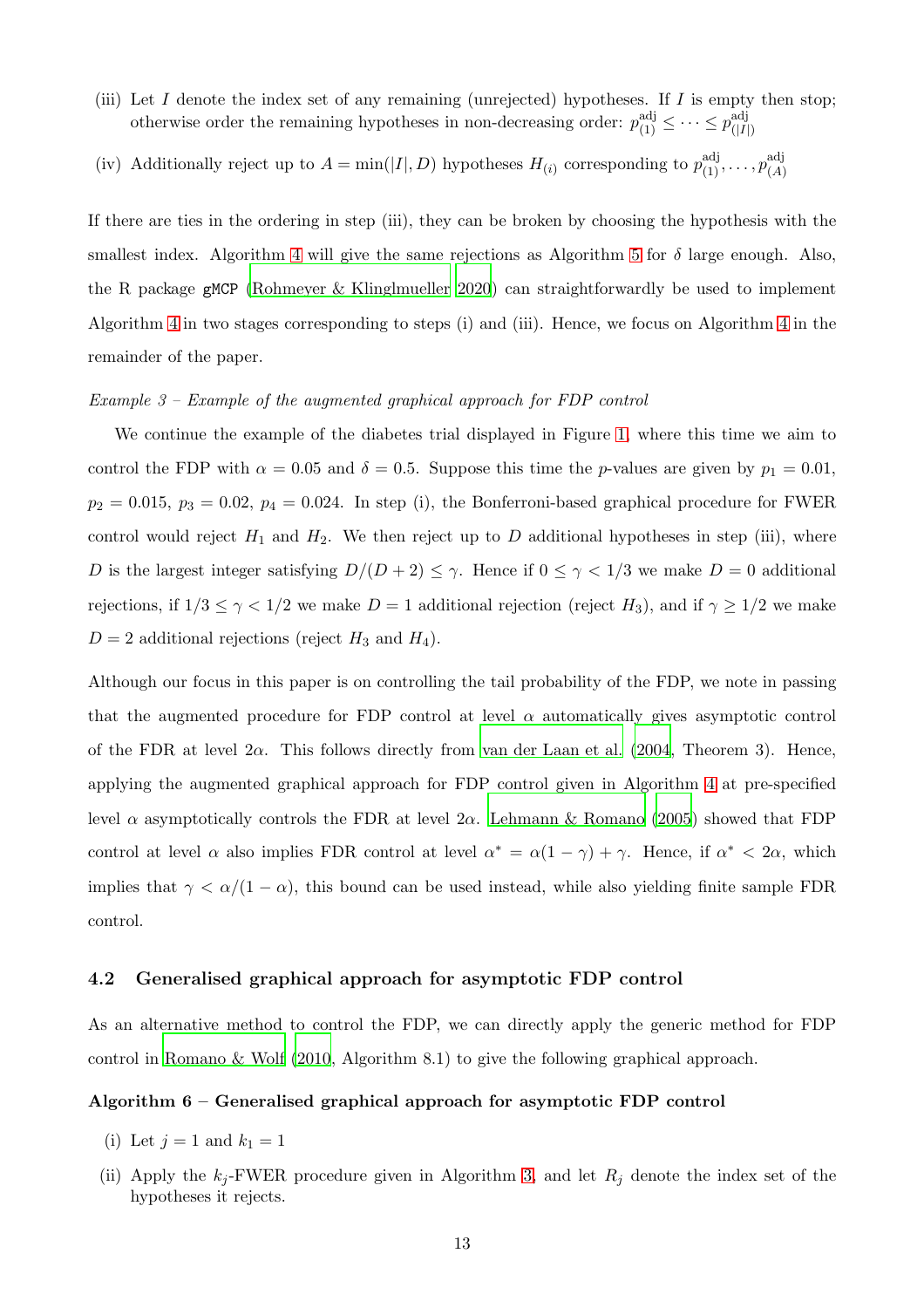- (iii) Let  $I$  denote the index set of any remaining (unrejected) hypotheses. If  $I$  is empty then stop; otherwise order the remaining hypotheses in non-decreasing order:  $p_{(1)}^{\text{adj}} \leq \cdots \leq p_{(|I|)}^{\text{adj}}$  $(|I|)$
- (iv) Additionally reject up to  $A = \min(|I|, D)$  hypotheses  $H_{(i)}$  corresponding to  $p_{(1)}^{\text{adj}}, \ldots, p_{(A)}^{\text{adj}}$ (A)

If there are ties in the ordering in step (iii), they can be broken by choosing the hypothesis with the smallest index. Algorithm [4](#page-11-1) will give the same rejections as Algorithm [5](#page-11-2) for  $\delta$  large enough. Also, the R package gMCP [\(Rohmeyer & Klinglmueller 2020](#page-28-10)) can straightforwardly be used to implement Algorithm [4](#page-11-1) in two stages corresponding to steps (i) and (iii). Hence, we focus on Algorithm [4](#page-11-1) in the remainder of the paper.

#### *Example 3 – Example of the augmented graphical approach for FDP control*

We continue the example of the diabetes trial displayed in Figure [1,](#page-4-0) where this time we aim to control the FDP with  $\alpha = 0.05$  and  $\delta = 0.5$ . Suppose this time the p-values are given by  $p_1 = 0.01$ ,  $p_2 = 0.015$ ,  $p_3 = 0.02$ ,  $p_4 = 0.024$ . In step (i), the Bonferroni-based graphical procedure for FWER control would reject  $H_1$  and  $H_2$ . We then reject up to D additional hypotheses in step (iii), where D is the largest integer satisfying  $D/(D+2) \leq \gamma$ . Hence if  $0 \leq \gamma < 1/3$  we make  $D=0$  additional rejections, if  $1/3 \leq \gamma < 1/2$  we make  $D = 1$  additional rejection (reject  $H_3$ ), and if  $\gamma \geq 1/2$  we make  $D = 2$  additional rejections (reject  $H_3$  and  $H_4$ ).

Although our focus in this paper is on controlling the tail probability of the FDP, we note in passing that the augmented procedure for FDP control at level  $\alpha$  automatically gives asymptotic control of the FDR at level  $2\alpha$ . This follows directly from [van der Laan et al. \(2004,](#page-28-9) Theorem 3). Hence, applying the augmented graphical approach for FDP control given in Algorithm [4](#page-11-1) at pre-specified level α asymptotically controls the FDR at level  $2\alpha$ . [Lehmann & Romano \(2005](#page-27-3)) showed that FDP control at level  $\alpha$  also implies FDR control at level  $\alpha^* = \alpha(1-\gamma) + \gamma$ . Hence, if  $\alpha^* < 2\alpha$ , which implies that  $\gamma < \alpha/(1-\alpha)$ , this bound can be used instead, while also yielding finite sample FDR control.

#### 4.2 Generalised graphical approach for asymptotic FDP control

<span id="page-12-0"></span>As an alternative method to control the FDP, we can directly apply the generic method for FDP control in [Romano & Wolf \(2010](#page-28-6), Algorithm 8.1) to give the following graphical approach.

#### Algorithm 6 – Generalised graphical approach for asymptotic FDP control

- (i) Let  $j = 1$  and  $k_1 = 1$
- (ii) Apply the  $k_j$ -FWER procedure given in Algorithm [3,](#page-8-0) and let  $R_j$  denote the index set of the hypotheses it rejects.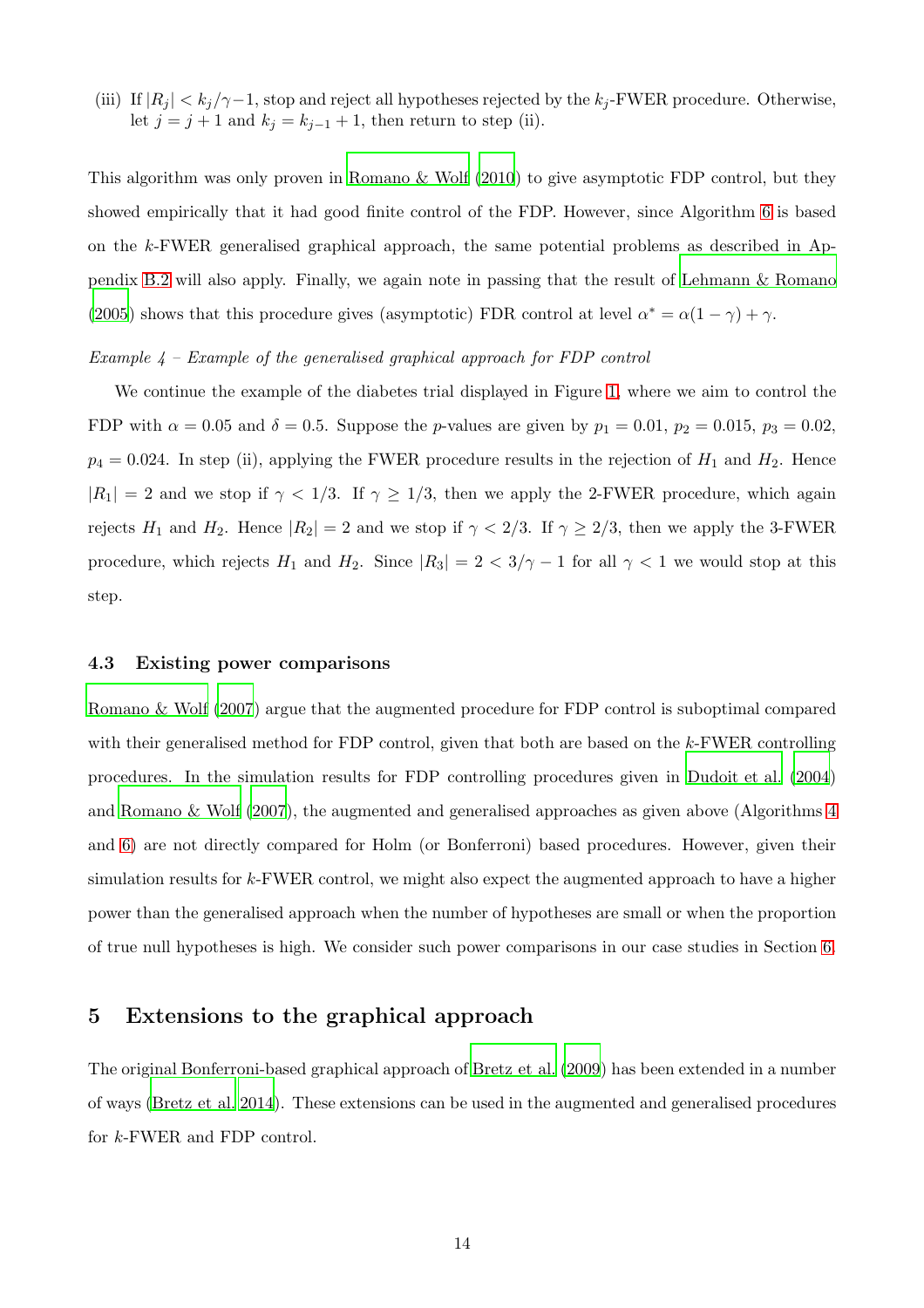(iii) If  $|R_j| < k_j/\gamma - 1$ , stop and reject all hypotheses rejected by the  $k_j$ -FWER procedure. Otherwise, let  $j = j + 1$  and  $k_j = k_{j-1} + 1$ , then return to step (ii).

This algorithm was only proven in [Romano & Wolf \(2010](#page-28-6)) to give asymptotic FDP control, but they showed empirically that it had good finite control of the FDP. However, since Algorithm [6](#page-12-0) is based on the k-FWER generalised graphical approach, the same potential problems as described in Appendix [B.2](#page-32-0) will also apply. Finally, we again note in passing that the result of [Lehmann & Romano](#page-27-3) [\(2005](#page-27-3)) shows that this procedure gives (asymptotic) FDR control at level  $\alpha^* = \alpha(1-\gamma) + \gamma$ .

#### *Example 4 – Example of the generalised graphical approach for FDP control*

We continue the example of the diabetes trial displayed in Figure [1,](#page-4-0) where we aim to control the FDP with  $\alpha = 0.05$  and  $\delta = 0.5$ . Suppose the *p*-values are given by  $p_1 = 0.01$ ,  $p_2 = 0.015$ ,  $p_3 = 0.02$ ,  $p_4 = 0.024$ . In step (ii), applying the FWER procedure results in the rejection of  $H_1$  and  $H_2$ . Hence  $|R_1| = 2$  and we stop if  $\gamma < 1/3$ . If  $\gamma \ge 1/3$ , then we apply the 2-FWER procedure, which again rejects  $H_1$  and  $H_2$ . Hence  $|R_2| = 2$  and we stop if  $\gamma < 2/3$ . If  $\gamma \ge 2/3$ , then we apply the 3-FWER procedure, which rejects  $H_1$  and  $H_2$ . Since  $|R_3| = 2 < 3/\gamma - 1$  for all  $\gamma < 1$  we would stop at this step.

#### 4.3 Existing power comparisons

[Romano & Wolf \(2007](#page-28-4)) argue that the augmented procedure for FDP control is suboptimal compared with their generalised method for FDP control, given that both are based on the k-FWER controlling procedures. In the simulation results for FDP controlling procedures given in [Dudoit et al. \(2004](#page-26-6)) and [Romano & Wolf \(2007](#page-28-4)), the augmented and generalised approaches as given above (Algorithms [4](#page-11-1) and [6\)](#page-12-0) are not directly compared for Holm (or Bonferroni) based procedures. However, given their simulation results for k-FWER control, we might also expect the augmented approach to have a higher power than the generalised approach when the number of hypotheses are small or when the proportion of true null hypotheses is high. We consider such power comparisons in our case studies in Section [6.](#page-15-0)

## <span id="page-13-0"></span>5 Extensions to the graphical approach

The original Bonferroni-based graphical approach of [Bretz](#page-25-0) et al. [\(2009\)](#page-25-0) has been extended in a number of ways [\(Bretz et al. 2014](#page-25-2)). These extensions can be used in the augmented and generalised procedures for k-FWER and FDP control.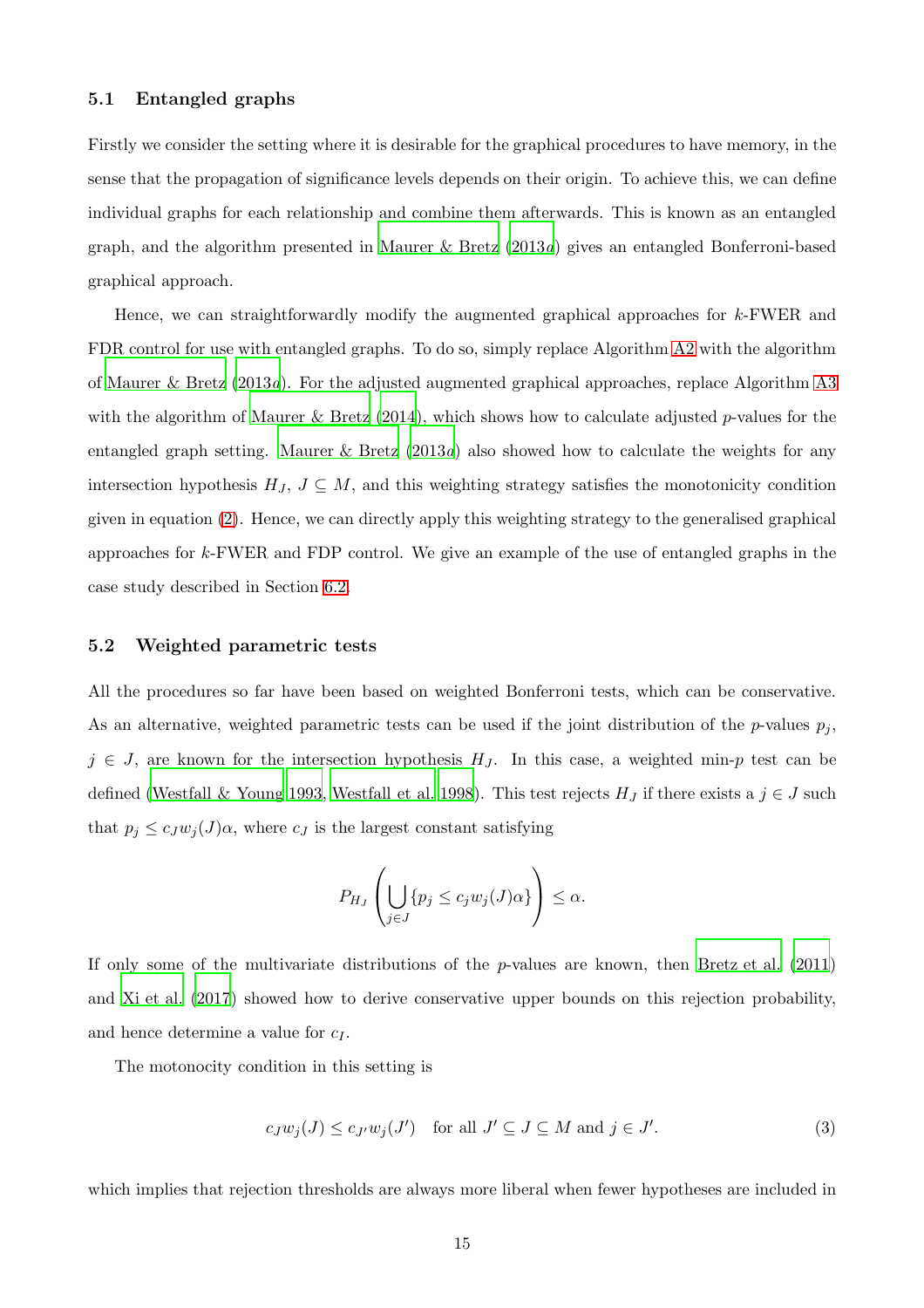#### <span id="page-14-1"></span>5.1 Entangled graphs

Firstly we consider the setting where it is desirable for the graphical procedures to have memory, in the sense that the propagation of significance levels depends on their origin. To achieve this, we can define individual graphs for each relationship and combine them afterwards. This is known as an entangled graph, and the algorithm presented in [Maurer & Bretz \(2013](#page-27-7)*a*) gives an entangled Bonferroni-based graphical approach.

Hence, we can straightforwardly modify the augmented graphical approaches for k-FWER and FDR control for use with entangled graphs. To do so, simply replace Algorithm [A2](#page-30-0) with the algorithm of [Maurer & Bretz \(2013](#page-27-7)*a*). For the adjusted augmented graphical approaches, replace Algorithm [A3](#page-30-1) with the algorithm of [Maurer & Bretz \(2014\)](#page-27-8), which shows how to calculate adjusted p-values for the entangled graph setting. [Maurer & Bretz \(2013](#page-27-7)*a*) also showed how to calculate the weights for any intersection hypothesis  $H_J$ ,  $J \subseteq M$ , and this weighting strategy satisfies the monotonicity condition given in equation [\(2\)](#page-8-1). Hence, we can directly apply this weighting strategy to the generalised graphical approaches for k-FWER and FDP control. We give an example of the use of entangled graphs in the case study described in Section [6.2.](#page-19-0)

#### 5.2 Weighted parametric tests

All the procedures so far have been based on weighted Bonferroni tests, which can be conservative. As an alternative, weighted parametric tests can be used if the joint distribution of the  $p$ -values  $p_j$ ,  $j \in J$ , are known for the intersection hypothesis  $H_J$ . In this case, a weighted min-p test can be defined [\(Westfall & Young 1993](#page-29-3), [Westfall et al. 1998](#page-29-4)). This test rejects  $H_J$  if there exists a  $j \in J$  such that  $p_j \leq c_J w_j(J) \alpha$ , where  $c_J$  is the largest constant satisfying

$$
P_{H_J}\left(\bigcup_{j\in J}\{p_j\leq c_jw_j(J)\alpha\}\right)\leq\alpha.
$$

If only some of the multivariate distributions of the p-values are known, then [Bretz et al. \(2011](#page-26-5)) and [Xi et al. \(2017](#page-29-5)) showed how to derive conservative upper bounds on this rejection probability, and hence determine a value for  $c_I$ .

The motonocity condition in this setting is

<span id="page-14-0"></span>
$$
c_J w_j(J) \le c_{J'} w_j(J') \quad \text{for all } J' \subseteq J \subseteq M \text{ and } j \in J'. \tag{3}
$$

which implies that rejection thresholds are always more liberal when fewer hypotheses are included in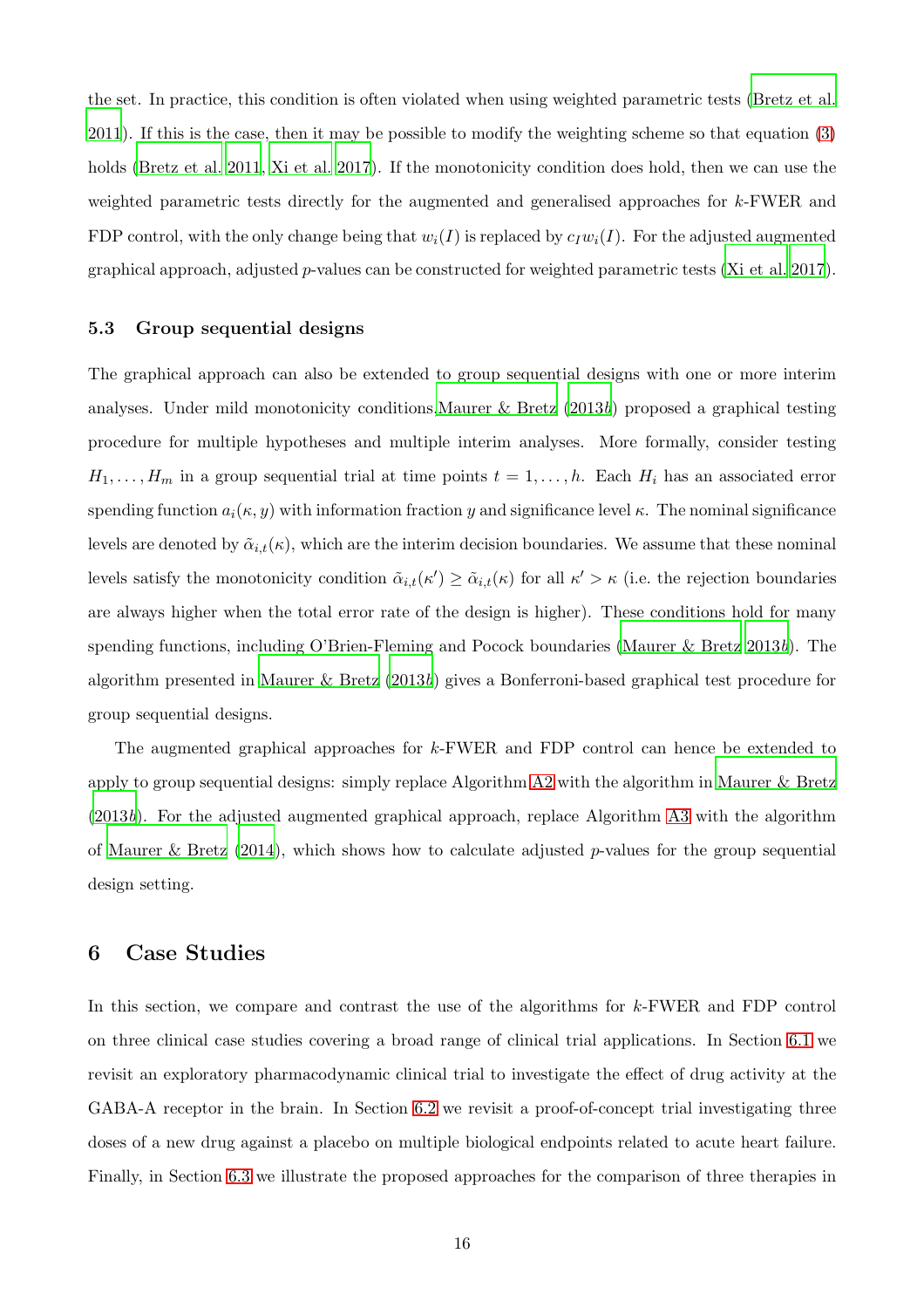the set. In practice, this condition is often violated when using weighted parametric tests [\(Bretz et al.](#page-26-5) [2011](#page-26-5)). If this is the case, then it may be possible to modify the weighting scheme so that equation [\(3\)](#page-14-0) holds [\(Bretz et al. 2011](#page-26-5), [Xi et al. 2017\)](#page-29-5). If the monotonicity condition does hold, then we can use the weighted parametric tests directly for the augmented and generalised approaches for k-FWER and FDP control, with the only change being that  $w_i(I)$  is replaced by  $c_Iw_i(I)$ . For the adjusted augmented graphical approach, adjusted p-values can be constructed for weighted parametric tests [\(Xi et al. 2017](#page-29-5)).

#### 5.3 Group sequential designs

The graphical approach can also be extended to group sequential designs with one or more interim analyses. Under mild monotonicity conditions[,Maurer & Bretz \(2013](#page-27-9)*b*) proposed a graphical testing procedure for multiple hypotheses and multiple interim analyses. More formally, consider testing  $H_1, \ldots, H_m$  in a group sequential trial at time points  $t = 1, \ldots, h$ . Each  $H_i$  has an associated error spending function  $a_i(\kappa, y)$  with information fraction y and significance level  $\kappa$ . The nominal significance levels are denoted by  $\tilde{\alpha}_{i,t}(\kappa)$ , which are the interim decision boundaries. We assume that these nominal levels satisfy the monotonicity condition  $\tilde{\alpha}_{i,t}(\kappa') \geq \tilde{\alpha}_{i,t}(\kappa)$  for all  $\kappa' > \kappa$  (i.e. the rejection boundaries are always higher when the total error rate of the design is higher). These conditions hold for many spending functions, including O'Brien-Fleming and Pocock boundaries [\(Maurer & Bretz 2013](#page-27-9)*b*). The algorithm presented in [Maurer & Bretz \(2013](#page-27-9)*b*) gives a Bonferroni-based graphical test procedure for group sequential designs.

The augmented graphical approaches for k-FWER and FDP control can hence be extended to apply to group sequential designs: simply replace Algorithm [A2](#page-30-0) with the algorithm in [Maurer & Bretz](#page-27-9) [\(2013](#page-27-9)*b*). For the adjusted augmented graphical approach, replace Algorithm [A3](#page-30-1) with the algorithm of Maurer & Bretz  $(2014)$ , which shows how to calculate adjusted p-values for the group sequential design setting.

## <span id="page-15-0"></span>6 Case Studies

In this section, we compare and contrast the use of the algorithms for k-FWER and FDP control on three clinical case studies covering a broad range of clinical trial applications. In Section [6.1](#page-16-0) we revisit an exploratory pharmacodynamic clinical trial to investigate the effect of drug activity at the GABA-A receptor in the brain. In Section [6.2](#page-19-0) we revisit a proof-of-concept trial investigating three doses of a new drug against a placebo on multiple biological endpoints related to acute heart failure. Finally, in Section [6.3](#page-22-0) we illustrate the proposed approaches for the comparison of three therapies in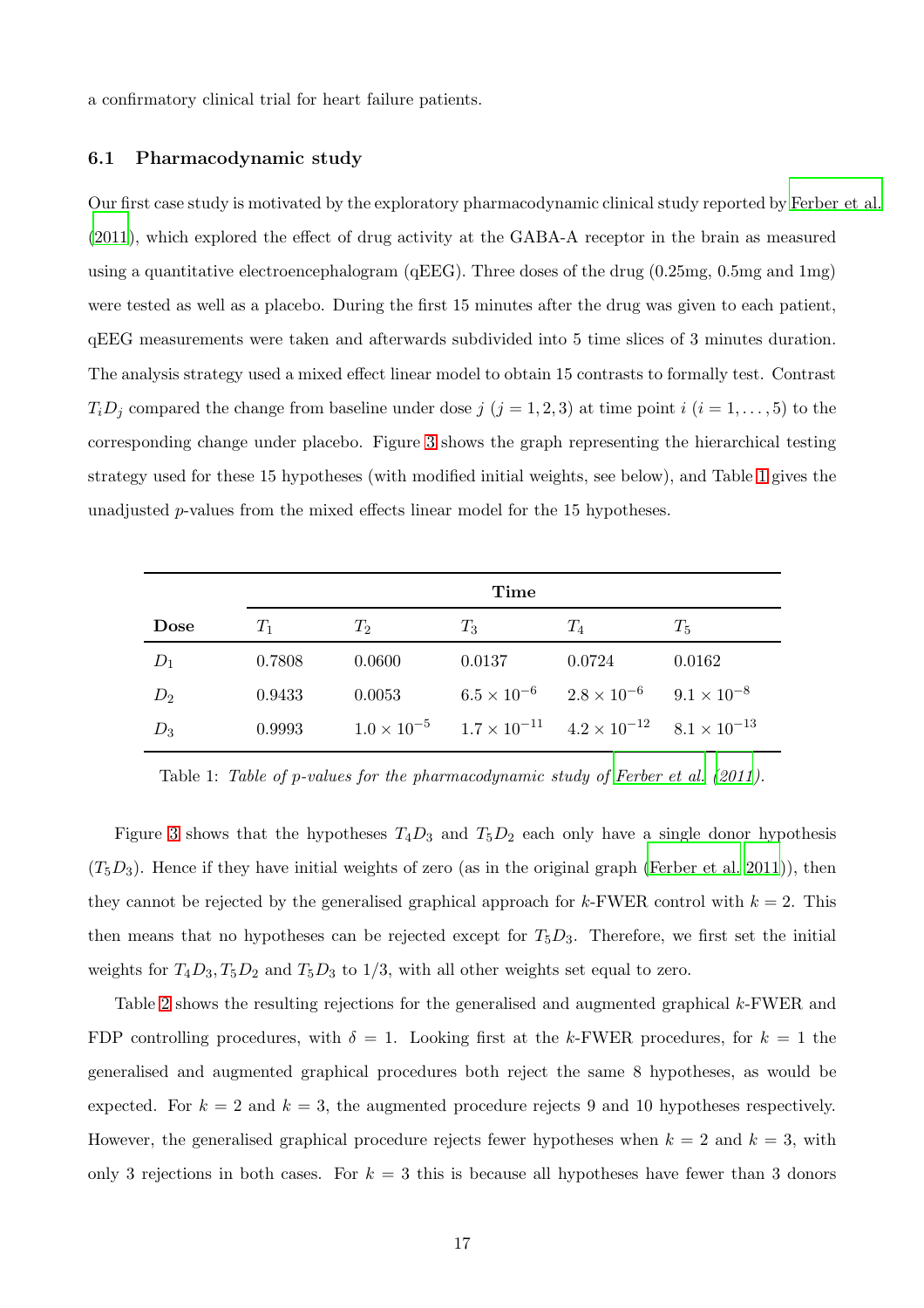<span id="page-16-0"></span>a confirmatory clinical trial for heart failure patients.

#### 6.1 Pharmacodynamic study

Our first case study is motivated by the exploratory pharmacodynamic clinical study reported by [Ferber et al.](#page-26-7) [\(2011](#page-26-7)), which explored the effect of drug activity at the GABA-A receptor in the brain as measured using a quantitative electroencephalogram (qEEG). Three doses of the drug (0.25mg, 0.5mg and 1mg) were tested as well as a placebo. During the first 15 minutes after the drug was given to each patient, qEEG measurements were taken and afterwards subdivided into 5 time slices of 3 minutes duration. The analysis strategy used a mixed effect linear model to obtain 15 contrasts to formally test. Contrast  $T_iD_j$  compared the change from baseline under dose j  $(j = 1, 2, 3)$  at time point  $i$   $(i = 1, \ldots, 5)$  to the corresponding change under placebo. Figure [3](#page-17-0) shows the graph representing the hierarchical testing strategy used for these 15 hypotheses (with modified initial weights, see below), and Table [1](#page-16-1) gives the unadjusted p-values from the mixed effects linear model for the 15 hypotheses.

|             | Time   |             |        |                                                                                        |        |  |  |  |
|-------------|--------|-------------|--------|----------------------------------------------------------------------------------------|--------|--|--|--|
| <b>Dose</b> | $T_1$  | $T_{\rm 2}$ | $T_3$  | $T_4$                                                                                  | $T_5$  |  |  |  |
| $D_1$       | 0.7808 | 0.0600      | 0.0137 | 0.0724                                                                                 | 0.0162 |  |  |  |
| $D_2$       | 0.9433 | 0.0053      |        | $6.5 \times 10^{-6}$ $2.8 \times 10^{-6}$ $9.1 \times 10^{-8}$                         |        |  |  |  |
| $D_3$       | 0.9993 |             |        | $1.0 \times 10^{-5}$ $1.7 \times 10^{-11}$ $4.2 \times 10^{-12}$ $8.1 \times 10^{-13}$ |        |  |  |  |

<span id="page-16-1"></span>Table 1: *Table of* p*-values for the pharmacodynamic study of [Ferber et al. \(2011\)](#page-26-7).*

Figure [3](#page-17-0) shows that the hypotheses  $T_4D_3$  and  $T_5D_2$  each only have a single donor hypothesis  $(T_5D_3)$ . Hence if they have initial weights of zero (as in the original graph [\(Ferber et al. 2011](#page-26-7))), then they cannot be rejected by the generalised graphical approach for k-FWER control with  $k = 2$ . This then means that no hypotheses can be rejected except for  $T_5D_3$ . Therefore, we first set the initial weights for  $T_4D_3, T_5D_2$  and  $T_5D_3$  to  $1/3$ , with all other weights set equal to zero.

Table [2](#page-18-0) shows the resulting rejections for the generalised and augmented graphical k-FWER and FDP controlling procedures, with  $\delta = 1$ . Looking first at the k-FWER procedures, for  $k = 1$  the generalised and augmented graphical procedures both reject the same 8 hypotheses, as would be expected. For  $k = 2$  and  $k = 3$ , the augmented procedure rejects 9 and 10 hypotheses respectively. However, the generalised graphical procedure rejects fewer hypotheses when  $k = 2$  and  $k = 3$ , with only 3 rejections in both cases. For  $k = 3$  this is because all hypotheses have fewer than 3 donors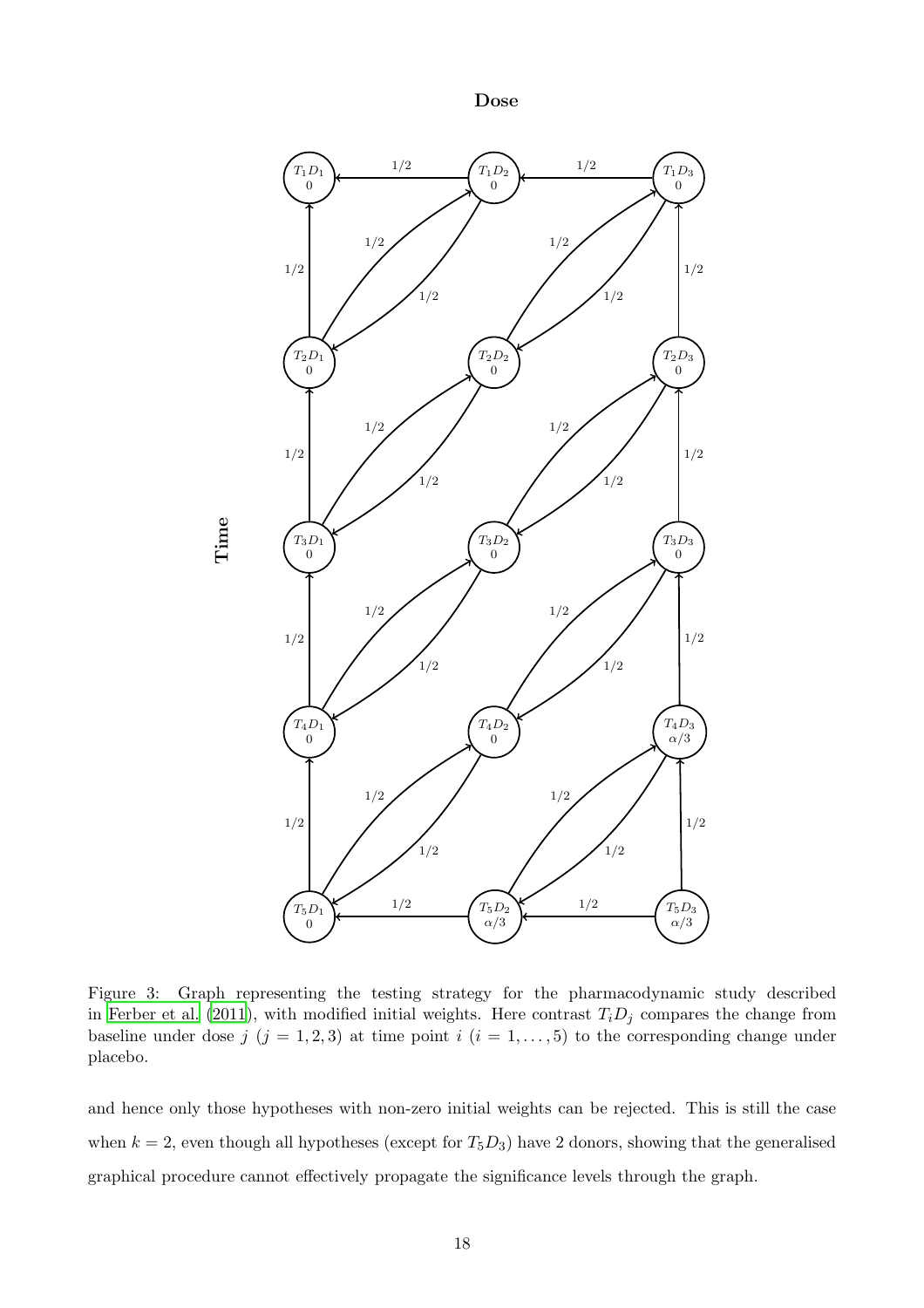Dose



<span id="page-17-0"></span>Figure 3: Graph representing the testing strategy for the pharmacodynamic study described in [Ferber et al. \(2011](#page-26-7)), with modified initial weights. Here contrast  $T_iD_j$  compares the change from baseline under dose  $j$   $(j = 1, 2, 3)$  at time point  $i$   $(i = 1, ..., 5)$  to the corresponding change under placebo.

and hence only those hypotheses with non-zero initial weights can be rejected. This is still the case when  $k = 2$ , even though all hypotheses (except for  $T_5D_3$ ) have 2 donors, showing that the generalised graphical procedure cannot effectively propagate the significance levels through the graph.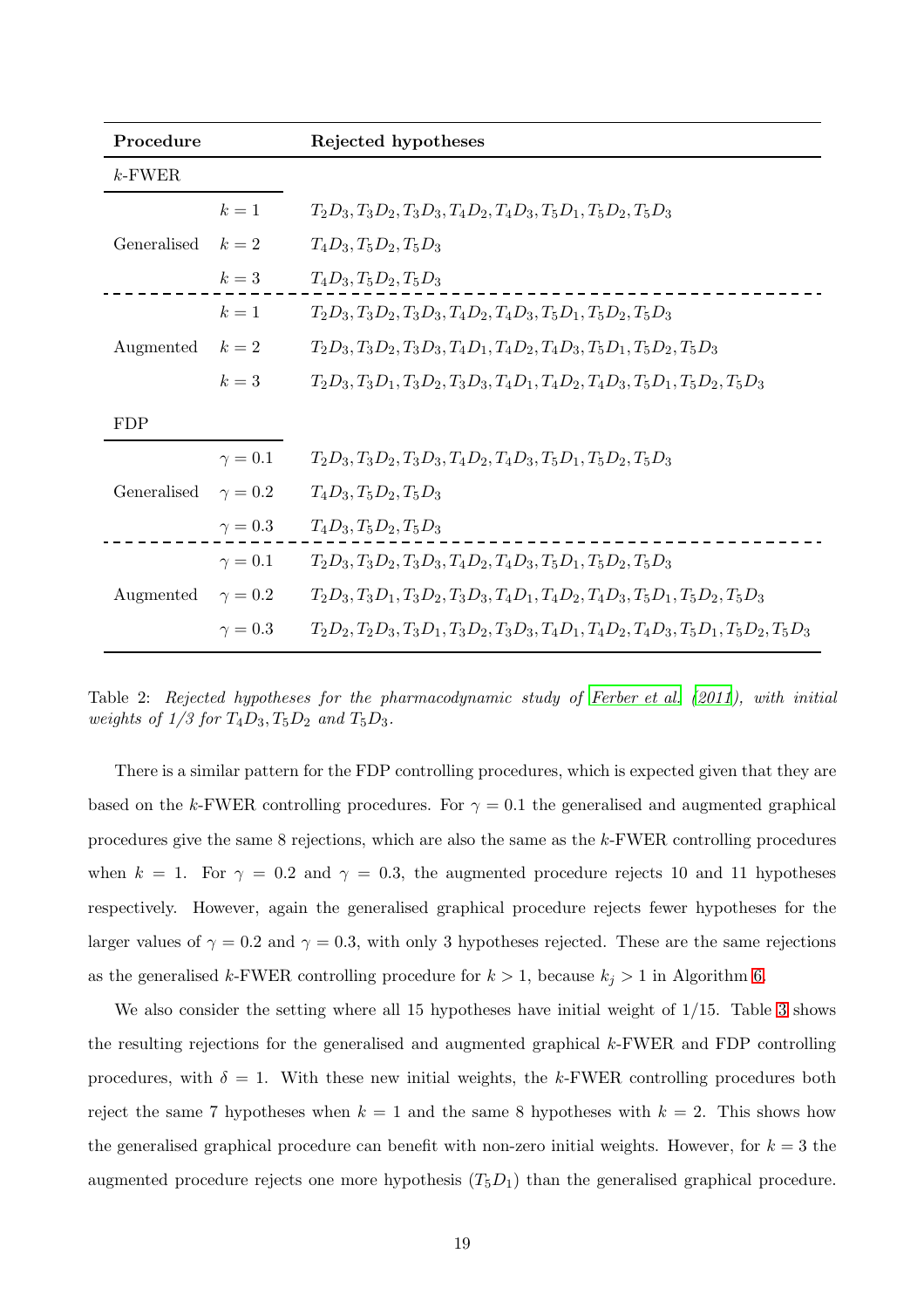| Procedure       |                | Rejected hypotheses                                                                      |
|-----------------|----------------|------------------------------------------------------------------------------------------|
| $k$ -FWER       |                |                                                                                          |
|                 | $k=1$          | $T_2D_3, T_3D_2, T_3D_3, T_4D_2, T_4D_3, T_5D_1, T_5D_2, T_5D_3$                         |
| Generalised     | $k=2$          | $T_4D_3, T_5D_2, T_5D_3$                                                                 |
|                 | $k=3$          | $T_4D_3, T_5D_2, T_5D_3$                                                                 |
| Augmented $k=2$ | $k=1$          | $T_2D_3, T_3D_2, T_3D_3, T_4D_2, T_4D_3, T_5D_1, T_5D_2, T_5D_3$                         |
|                 |                | $T_2D_3, T_3D_2, T_3D_3, T_4D_1, T_4D_2, T_4D_3, T_5D_1, T_5D_2, T_5D_3$                 |
|                 | $k=3$          | $T_2D_3, T_3D_1, T_3D_2, T_3D_3, T_4D_1, T_4D_2, T_4D_3, T_5D_1, T_5D_2, T_5D_3$         |
| <b>FDP</b>      |                |                                                                                          |
| Generalised     | $\gamma=0.1$   | $T_2D_3, T_3D_2, T_3D_3, T_4D_2, T_4D_3, T_5D_1, T_5D_2, T_5D_3$                         |
|                 | $\gamma=0.2$   | $T_4D_3, T_5D_2, T_5D_3$                                                                 |
|                 | $\gamma=0.3$   | $T_4D_3, T_5D_2, T_5D_3$                                                                 |
| Augmented       | $\gamma=0.1$   | $T_2D_3, T_3D_2, T_3D_3, T_4D_2, T_4D_3, T_5D_1, T_5D_2, T_5D_3$                         |
|                 | $\gamma = 0.2$ | $T_2D_3, T_3D_1, T_3D_2, T_3D_3, T_4D_1, T_4D_2, T_4D_3, T_5D_1, T_5D_2, T_5D_3$         |
|                 | $\gamma=0.3$   | $T_2D_2, T_2D_3, T_3D_1, T_3D_2, T_3D_3, T_4D_1, T_4D_2, T_4D_3, T_5D_1, T_5D_2, T_5D_3$ |

<span id="page-18-0"></span>Table 2: *Rejected hypotheses for the pharmacodynamic study of [Ferber et al. \(2011](#page-26-7)), with initial weights of*  $1/3$  *for*  $T_4D_3$ ,  $T_5D_2$  *and*  $T_5D_3$ *.* 

There is a similar pattern for the FDP controlling procedures, which is expected given that they are based on the k-FWER controlling procedures. For  $\gamma = 0.1$  the generalised and augmented graphical procedures give the same 8 rejections, which are also the same as the k-FWER controlling procedures when k = 1. For  $\gamma = 0.2$  and  $\gamma = 0.3$ , the augmented procedure rejects 10 and 11 hypotheses respectively. However, again the generalised graphical procedure rejects fewer hypotheses for the larger values of  $\gamma = 0.2$  and  $\gamma = 0.3$ , with only 3 hypotheses rejected. These are the same rejections as the generalised k-FWER controlling procedure for  $k > 1$ , because  $k_j > 1$  in Algorithm [6.](#page-12-0)

We also consider the setting where all 15 hypotheses have initial weight of  $1/15$ . Table [3](#page-19-1) shows the resulting rejections for the generalised and augmented graphical k-FWER and FDP controlling procedures, with  $\delta = 1$ . With these new initial weights, the k-FWER controlling procedures both reject the same 7 hypotheses when  $k = 1$  and the same 8 hypotheses with  $k = 2$ . This shows how the generalised graphical procedure can benefit with non-zero initial weights. However, for  $k = 3$  the augmented procedure rejects one more hypothesis  $(T_5D_1)$  than the generalised graphical procedure.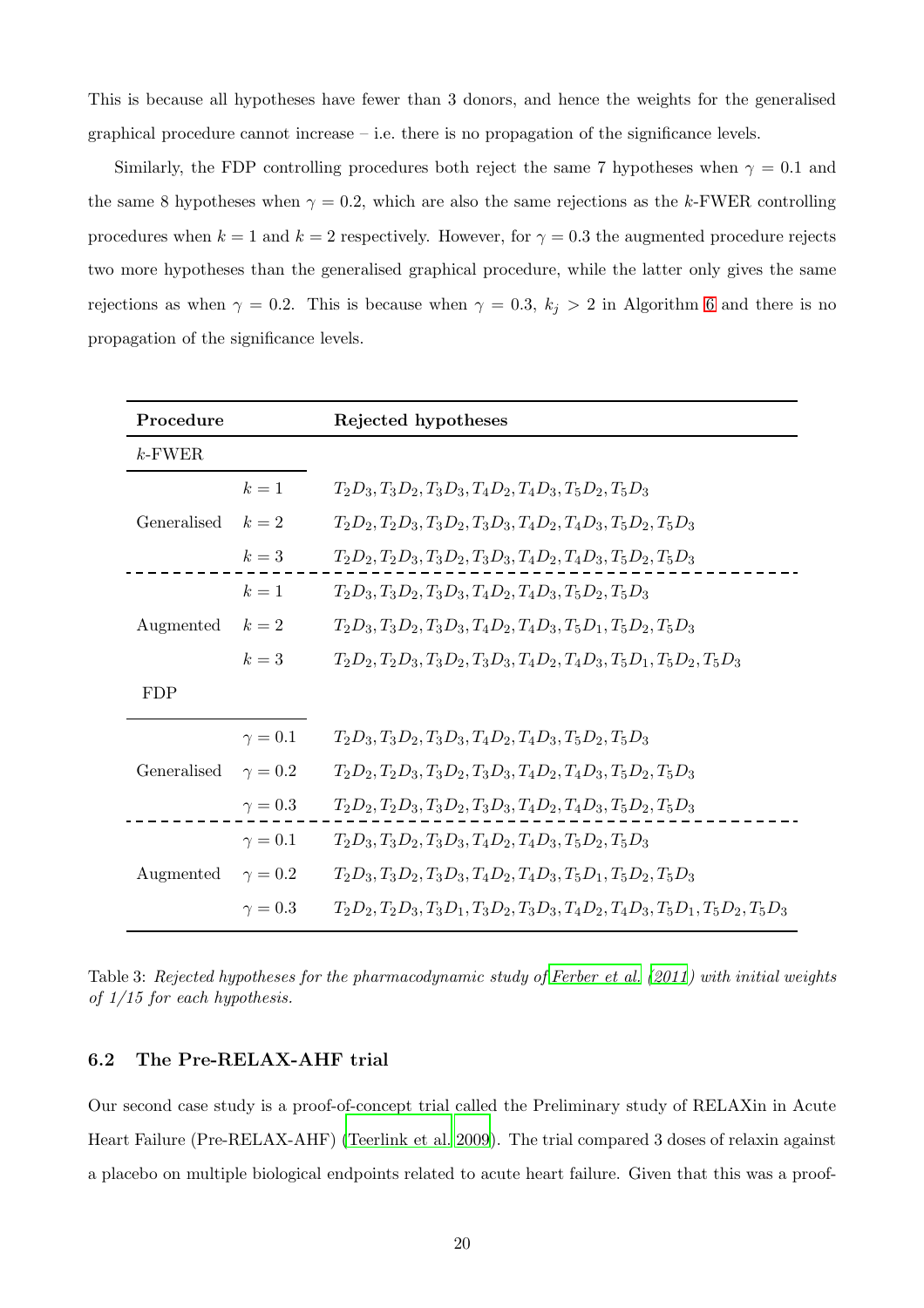This is because all hypotheses have fewer than 3 donors, and hence the weights for the generalised graphical procedure cannot increase – i.e. there is no propagation of the significance levels.

Similarly, the FDP controlling procedures both reject the same 7 hypotheses when  $\gamma = 0.1$  and the same 8 hypotheses when  $\gamma = 0.2$ , which are also the same rejections as the k-FWER controlling procedures when  $k = 1$  and  $k = 2$  respectively. However, for  $\gamma = 0.3$  the augmented procedure rejects two more hypotheses than the generalised graphical procedure, while the latter only gives the same rejections as when  $\gamma = 0.2$ . This is because when  $\gamma = 0.3$ ,  $k_j > 2$  in Algorithm [6](#page-12-0) and there is no propagation of the significance levels.

| Procedure                |                | Rejected hypotheses                                                              |
|--------------------------|----------------|----------------------------------------------------------------------------------|
| $k$ -FWER                |                |                                                                                  |
| Generalised              | $k=1$          | $T_2D_3, T_3D_2, T_3D_3, T_4D_2, T_4D_3, T_5D_2, T_5D_3$                         |
|                          | $k=2$          | $T_2D_2, T_2D_3, T_3D_2, T_3D_3, T_4D_2, T_4D_3, T_5D_2, T_5D_3$                 |
|                          | $k=3$          | $T_2D_2, T_2D_3, T_3D_2, T_3D_3, T_4D_2, T_4D_3, T_5D_2, T_5D_3$                 |
| Augmented                | $k=1$          | $T_2D_3, T_3D_2, T_3D_3, T_4D_2, T_4D_3, T_5D_2, T_5D_3$                         |
|                          | $k=2$          | $T_2D_3, T_3D_2, T_3D_3, T_4D_2, T_4D_3, T_5D_1, T_5D_2, T_5D_3$                 |
|                          | $k=3$          | $T_2D_2, T_2D_3, T_3D_2, T_3D_3, T_4D_2, T_4D_3, T_5D_1, T_5D_2, T_5D_3$         |
| <b>FDP</b>               |                |                                                                                  |
| Generalised              | $\gamma=0.1$   | $T_2D_3, T_3D_2, T_3D_3, T_4D_2, T_4D_3, T_5D_2, T_5D_3$                         |
|                          | $\gamma = 0.2$ | $T_2D_2, T_2D_3, T_3D_2, T_3D_3, T_4D_2, T_4D_3, T_5D_2, T_5D_3$                 |
|                          | $\gamma=0.3$   | $T_2D_2, T_2D_3, T_3D_2, T_3D_3, T_4D_2, T_4D_3, T_5D_2, T_5D_3$                 |
| Augmented $\gamma = 0.2$ | $\gamma=0.1$   | $T_2D_3, T_3D_2, T_3D_3, T_4D_2, T_4D_3, T_5D_2, T_5D_3$                         |
|                          |                | $T_2D_3, T_3D_2, T_3D_3, T_4D_2, T_4D_3, T_5D_1, T_5D_2, T_5D_3$                 |
|                          | $\gamma=0.3$   | $T_2D_2, T_2D_3, T_3D_1, T_3D_2, T_3D_3, T_4D_2, T_4D_3, T_5D_1, T_5D_2, T_5D_3$ |

<span id="page-19-1"></span><span id="page-19-0"></span>Table 3: *Rejected hypotheses for the pharmacodynamic study of [Ferber et al. \(2011\)](#page-26-7) with initial weights of 1/15 for each hypothesis.*

## 6.2 The Pre-RELAX-AHF trial

Our second case study is a proof-of-concept trial called the Preliminary study of RELAXin in Acute Heart Failure (Pre-RELAX-AHF) [\(Teerlink et al. 2009](#page-28-11)). The trial compared 3 doses of relaxin against a placebo on multiple biological endpoints related to acute heart failure. Given that this was a proof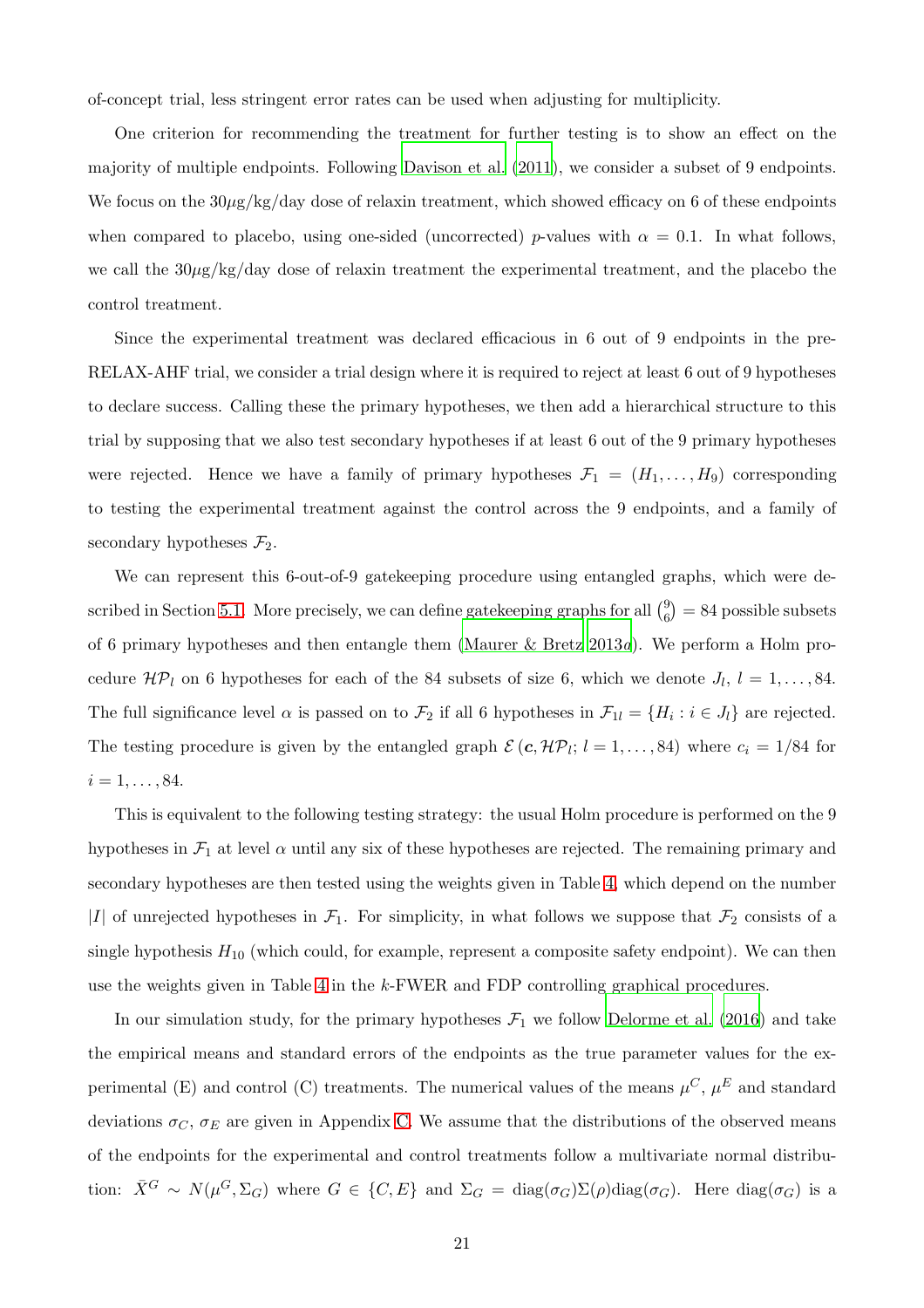of-concept trial, less stringent error rates can be used when adjusting for multiplicity.

One criterion for recommending the treatment for further testing is to show an effect on the majority of multiple endpoints. Following [Davison et al. \(2011](#page-26-8)), we consider a subset of 9 endpoints. We focus on the  $30\mu$ g/kg/day dose of relaxin treatment, which showed efficacy on 6 of these endpoints when compared to placebo, using one-sided (uncorrected) p-values with  $\alpha = 0.1$ . In what follows, we call the  $30\mu\text{g/kg/day}$  dose of relaxin treatment the experimental treatment, and the placebo the control treatment.

Since the experimental treatment was declared efficacious in 6 out of 9 endpoints in the pre-RELAX-AHF trial, we consider a trial design where it is required to reject at least 6 out of 9 hypotheses to declare success. Calling these the primary hypotheses, we then add a hierarchical structure to this trial by supposing that we also test secondary hypotheses if at least 6 out of the 9 primary hypotheses were rejected. Hence we have a family of primary hypotheses  $\mathcal{F}_1 = (H_1, \ldots, H_9)$  corresponding to testing the experimental treatment against the control across the 9 endpoints, and a family of secondary hypotheses  $\mathcal{F}_2$ .

We can represent this 6-out-of-9 gatekeeping procedure using entangled graphs, which were de-scribed in Section [5.1.](#page-14-1) More precisely, we can define gate keeping graphs for all  $\binom{9}{6}$  $_{6}^{9}$ ) = 84 possible subsets of 6 primary hypotheses and then entangle them [\(Maurer & Bretz 2013](#page-27-7)*a*). We perform a Holm procedure  $\mathcal{HP}_l$  on 6 hypotheses for each of the 84 subsets of size 6, which we denote  $J_l, l = 1, \ldots, 84$ . The full significance level  $\alpha$  is passed on to  $\mathcal{F}_2$  if all 6 hypotheses in  $\mathcal{F}_{1l} = \{H_i : i \in J_l\}$  are rejected. The testing procedure is given by the entangled graph  $\mathcal{E} (c, \mathcal{HP}_l; l = 1, ..., 84)$  where  $c_i = 1/84$  for  $i = 1, \ldots, 84.$ 

This is equivalent to the following testing strategy: the usual Holm procedure is performed on the 9 hypotheses in  $\mathcal{F}_1$  at level  $\alpha$  until any six of these hypotheses are rejected. The remaining primary and secondary hypotheses are then tested using the weights given in Table [4,](#page-21-0) which depend on the number |I| of unrejected hypotheses in  $\mathcal{F}_1$ . For simplicity, in what follows we suppose that  $\mathcal{F}_2$  consists of a single hypothesis  $H_{10}$  (which could, for example, represent a composite safety endpoint). We can then use the weights given in Table [4](#page-21-0) in the k-FWER and FDP controlling graphical procedures.

In our simulation study, for the primary hypotheses  $\mathcal{F}_1$  we follow [Delorme et al. \(2016](#page-26-9)) and take the empirical means and standard errors of the endpoints as the true parameter values for the experimental (E) and control (C) treatments. The numerical values of the means  $\mu^C$ ,  $\mu^E$  and standard deviations  $\sigma_C$ ,  $\sigma_E$  are given in Appendix [C.](#page-34-0) We assume that the distributions of the observed means of the endpoints for the experimental and control treatments follow a multivariate normal distribution:  $\bar{X}^G \sim N(\mu^G, \Sigma_G)$  where  $G \in \{C, E\}$  and  $\Sigma_G = \text{diag}(\sigma_G) \Sigma(\rho) \text{diag}(\sigma_G)$ . Here  $\text{diag}(\sigma_G)$  is a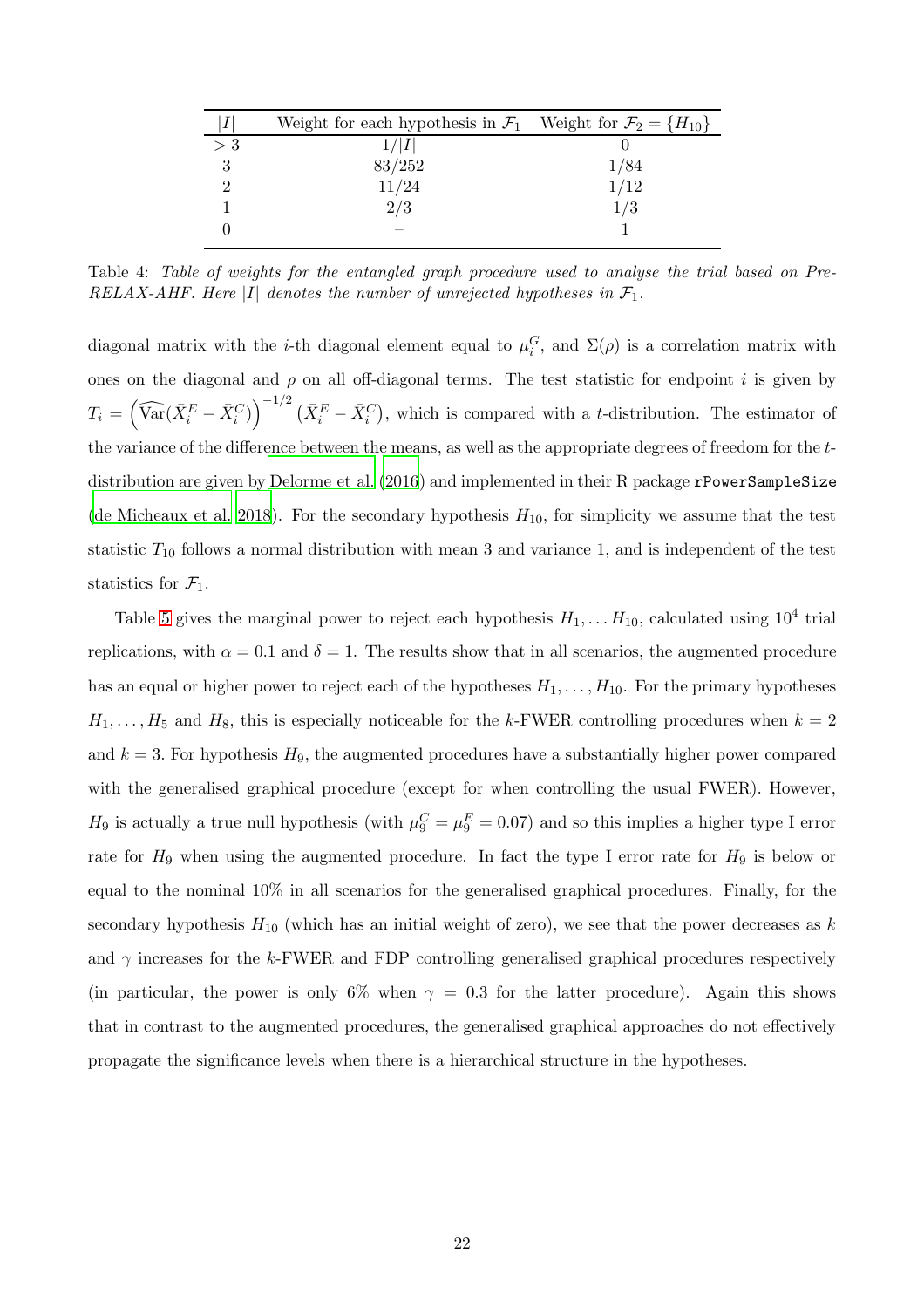|       | Weight for each hypothesis in $\mathcal{F}_1$ Weight for $\mathcal{F}_2 = \{H_{10}\}\$ |      |
|-------|----------------------------------------------------------------------------------------|------|
| $>$ 3 | 1/ I                                                                                   |      |
|       | 83/252                                                                                 | 1/84 |
|       | 11/24                                                                                  |      |
|       | 2/3                                                                                    | 1/3  |
|       |                                                                                        |      |
|       |                                                                                        | 1/12 |

<span id="page-21-0"></span>Table 4: *Table of weights for the entangled graph procedure used to analyse the trial based on Pre-RELAX-AHF. Here*  $|I|$  *denotes the number of unrejected hypotheses in*  $\mathcal{F}_1$ *.* 

diagonal matrix with the *i*-th diagonal element equal to  $\mu_i^G$ , and  $\Sigma(\rho)$  is a correlation matrix with ones on the diagonal and  $\rho$  on all off-diagonal terms. The test statistic for endpoint i is given by  $T_i = \left(\widehat{\text{Var}}(\bar{X}_i^E - \bar{X}_i^C)\right)^{-1/2} (\bar{X}_i^E - \bar{X}_i^C)$ , which is compared with a t-distribution. The estimator of the variance of the difference between the means, as well as the appropriate degrees of freedom for the t-distribution are given by [Delorme et al. \(2016](#page-26-9)) and implemented in their R package rPowerSampleSize [\(de Micheaux et al. 2018\)](#page-26-10). For the secondary hypothesis  $H_{10}$ , for simplicity we assume that the test statistic  $T_{10}$  follows a normal distribution with mean 3 and variance 1, and is independent of the test statistics for  $\mathcal{F}_1$ .

Table [5](#page-22-1) gives the marginal power to reject each hypothesis  $H_1, \ldots H_{10}$ , calculated using  $10^4$  trial replications, with  $\alpha = 0.1$  and  $\delta = 1$ . The results show that in all scenarios, the augmented procedure has an equal or higher power to reject each of the hypotheses  $H_1, \ldots, H_{10}$ . For the primary hypotheses  $H_1, \ldots, H_5$  and  $H_8$ , this is especially noticeable for the k-FWER controlling procedures when  $k = 2$ and  $k = 3$ . For hypothesis  $H_9$ , the augmented procedures have a substantially higher power compared with the generalised graphical procedure (except for when controlling the usual FWER). However,  $H_9$  is actually a true null hypothesis (with  $\mu_9^C = \mu_9^E = 0.07$ ) and so this implies a higher type I error rate for  $H_9$  when using the augmented procedure. In fact the type I error rate for  $H_9$  is below or equal to the nominal 10% in all scenarios for the generalised graphical procedures. Finally, for the secondary hypothesis  $H_{10}$  (which has an initial weight of zero), we see that the power decreases as k and  $\gamma$  increases for the k-FWER and FDP controlling generalised graphical procedures respectively (in particular, the power is only 6% when  $\gamma = 0.3$  for the latter procedure). Again this shows that in contrast to the augmented procedures, the generalised graphical approaches do not effectively propagate the significance levels when there is a hierarchical structure in the hypotheses.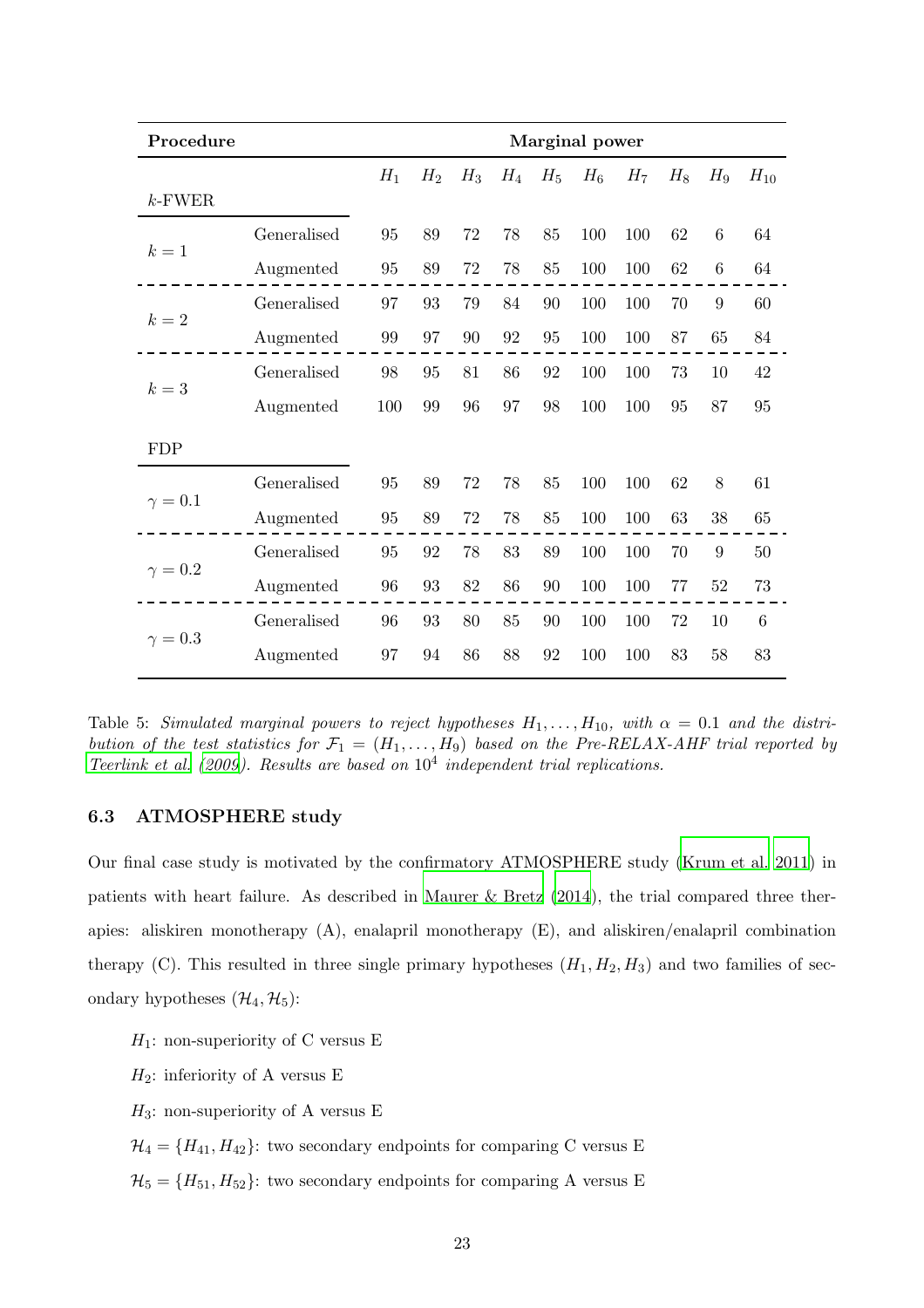| Procedure    |             | Marginal power |       |       |       |       |       |       |       |       |          |
|--------------|-------------|----------------|-------|-------|-------|-------|-------|-------|-------|-------|----------|
|              |             | $H_1$          | $H_2$ | $H_3$ | $H_4$ | $H_5$ | $H_6$ | $H_7$ | $H_8$ | $H_9$ | $H_{10}$ |
| $k$ -FWER    |             |                |       |       |       |       |       |       |       |       |          |
| $k=1$        | Generalised | 95             | 89    | 72    | 78    | 85    | 100   | 100   | 62    | 6     | 64       |
|              | Augmented   | 95             | 89    | 72    | 78    | 85    | 100   | 100   | 62    | 6     | 64       |
| $k=2$        | Generalised | 97             | 93    | 79    | 84    | 90    | 100   | 100   | 70    | 9     | 60       |
|              | Augmented   | 99             | 97    | 90    | 92    | 95    | 100   | 100   | 87    | 65    | 84       |
|              | Generalised | 98             | 95    | 81    | 86    | 92    | 100   | 100   | 73    | 10    | 42       |
| $k=3$        | Augmented   | 100            | 99    | 96    | 97    | 98    | 100   | 100   | 95    | 87    | 95       |
| <b>FDP</b>   |             |                |       |       |       |       |       |       |       |       |          |
|              | Generalised | 95             | 89    | 72    | 78    | 85    | 100   | 100   | 62    | 8     | 61       |
| $\gamma=0.1$ | Augmented   | 95             | 89    | 72    | 78    | 85    | 100   | 100   | 63    | 38    | 65       |
|              | Generalised | 95             | 92    | 78    | 83    | 89    | 100   | 100   | 70    | 9     | 50       |
| $\gamma=0.2$ | Augmented   | 96             | 93    | 82    | 86    | 90    | 100   | 100   | 77    | 52    | $73\,$   |
|              | Generalised | 96             | 93    | 80    | 85    | 90    | 100   | 100   | 72    | 10    | 6        |
| $\gamma=0.3$ | Augmented   | 97             | 94    | 86    | 88    | 92    | 100   | 100   | 83    | 58    | 83       |

<span id="page-22-1"></span>Table 5: *Simulated marginal powers to reject hypotheses*  $H_1, \ldots, H_{10}$ , with  $\alpha = 0.1$  and the distri*bution of the test statistics for*  $\mathcal{F}_1 = (H_1, \ldots, H_9)$  *based on the Pre-RELAX-AHF trial reported by [Teerlink et al. \(2009\)](#page-28-11). Results are based on* 10<sup>4</sup> *independent trial replications.*

### <span id="page-22-0"></span>6.3 ATMOSPHERE study

Our final case study is motivated by the confirmatory ATMOSPHERE study [\(Krum et al. 2011](#page-27-10)) in patients with heart failure. As described in [Maurer & Bretz \(2014](#page-27-8)), the trial compared three therapies: aliskiren monotherapy (A), enalapril monotherapy (E), and aliskiren/enalapril combination therapy (C). This resulted in three single primary hypotheses  $(H_1, H_2, H_3)$  and two families of secondary hypotheses  $(\mathcal{H}_4, \mathcal{H}_5)$ :

 $H_1$ : non-superiority of C versus E

 $H_2$ : inferiority of A versus E

 $H_3$ : non-superiority of A versus E

 $\mathcal{H}_4 = \{H_{41}, H_{42}\}$ : two secondary endpoints for comparing C versus E

 $\mathcal{H}_5 = \{H_{51}, H_{52}\}$ : two secondary endpoints for comparing A versus E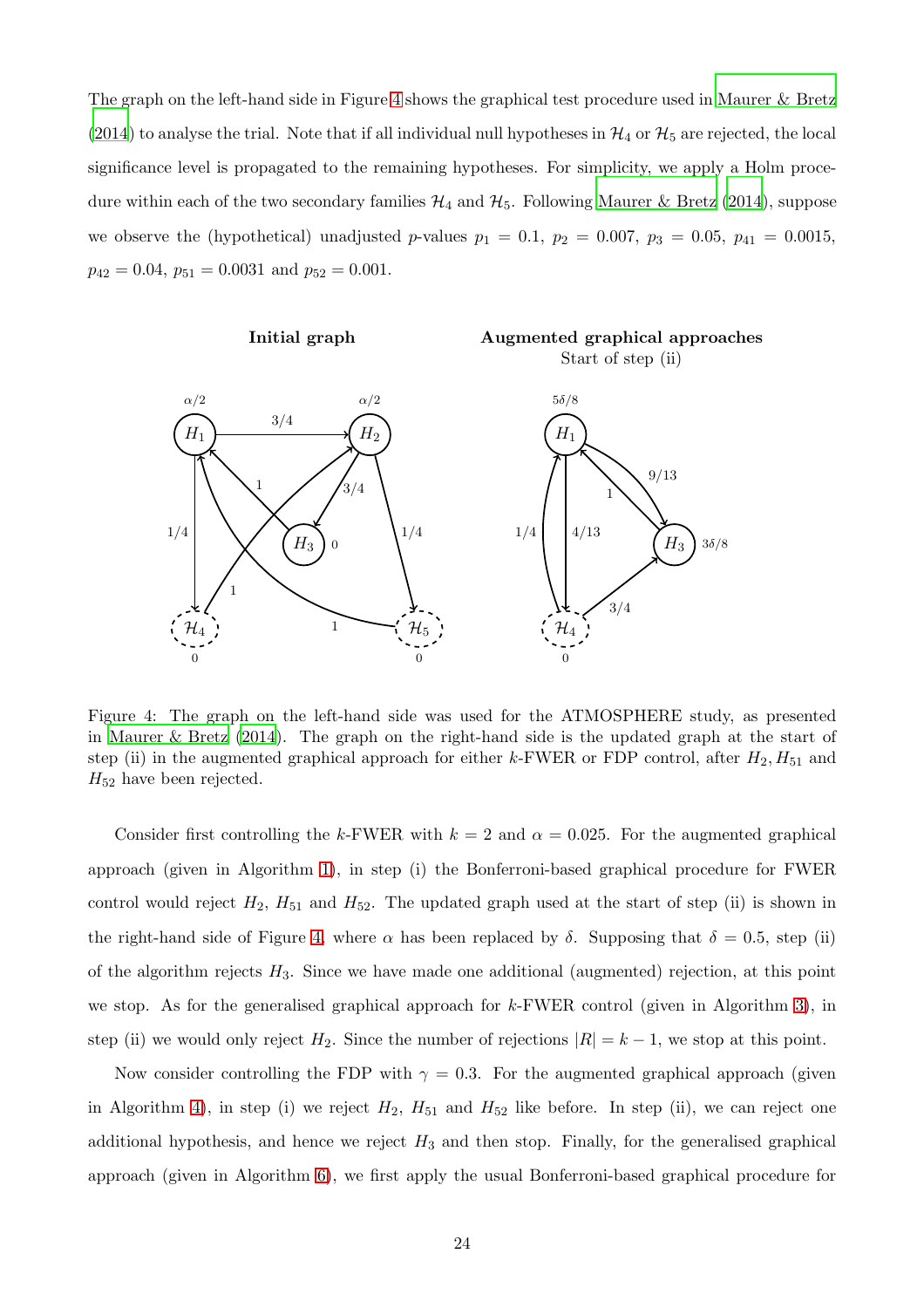The graph on the left-hand side in Figure [4](#page-23-0) shows the graphical test procedure used in [Maurer & Bretz](#page-27-8) [\(2014](#page-27-8)) to analyse the trial. Note that if all individual null hypotheses in  $\mathcal{H}_4$  or  $\mathcal{H}_5$  are rejected, the local significance level is propagated to the remaining hypotheses. For simplicity, we apply a Holm procedure within each of the two secondary families  $\mathcal{H}_4$  and  $\mathcal{H}_5$ . Following [Maurer & Bretz \(2014\)](#page-27-8), suppose we observe the (hypothetical) unadjusted p-values  $p_1 = 0.1$ ,  $p_2 = 0.007$ ,  $p_3 = 0.05$ ,  $p_{41} = 0.0015$ ,  $p_{42} = 0.04$ ,  $p_{51} = 0.0031$  and  $p_{52} = 0.001$ .



<span id="page-23-0"></span>Figure 4: The graph on the left-hand side was used for the ATMOSPHERE study, as presented in [Maurer & Bretz \(2014](#page-27-8)). The graph on the right-hand side is the updated graph at the start of step (ii) in the augmented graphical approach for either k-FWER or FDP control, after  $H_2, H_{51}$  and  $H_{52}$  have been rejected.

Consider first controlling the k-FWER with  $k = 2$  and  $\alpha = 0.025$ . For the augmented graphical approach (given in Algorithm [1\)](#page-6-0), in step (i) the Bonferroni-based graphical procedure for FWER control would reject  $H_2$ ,  $H_{51}$  and  $H_{52}$ . The updated graph used at the start of step (ii) is shown in the right-hand side of Figure [4,](#page-23-0) where  $\alpha$  has been replaced by  $\delta$ . Supposing that  $\delta = 0.5$ , step (ii) of the algorithm rejects  $H_3$ . Since we have made one additional (augmented) rejection, at this point we stop. As for the generalised graphical approach for  $k$ -FWER control (given in Algorithm [3\)](#page-8-0), in step (ii) we would only reject  $H_2$ . Since the number of rejections  $|R| = k - 1$ , we stop at this point.

Now consider controlling the FDP with  $\gamma = 0.3$ . For the augmented graphical approach (given in Algorithm [4\)](#page-11-1), in step (i) we reject  $H_2$ ,  $H_{51}$  and  $H_{52}$  like before. In step (ii), we can reject one additional hypothesis, and hence we reject  $H_3$  and then stop. Finally, for the generalised graphical approach (given in Algorithm [6\)](#page-12-0), we first apply the usual Bonferroni-based graphical procedure for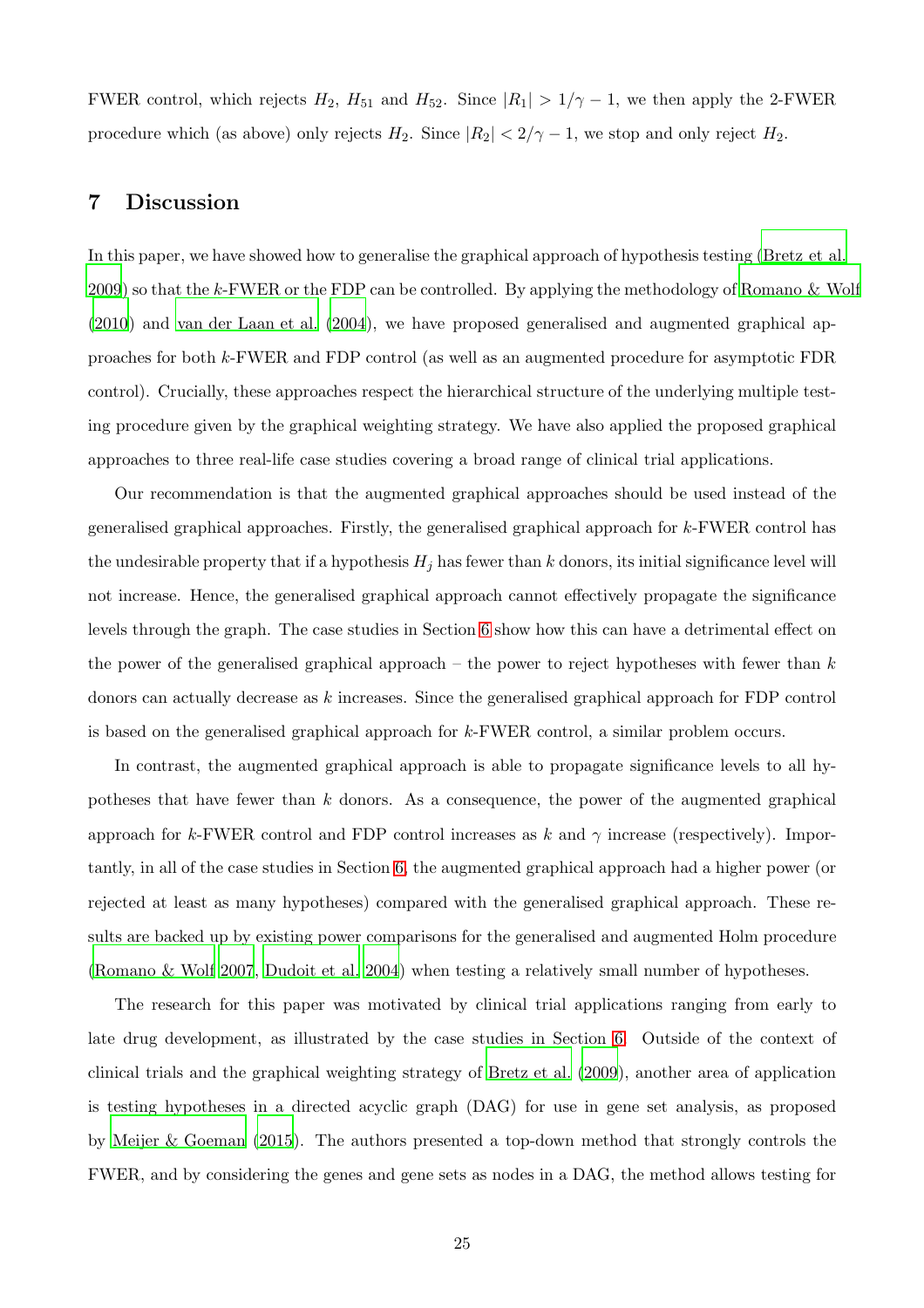<span id="page-24-0"></span>FWER control, which rejects  $H_2$ ,  $H_{51}$  and  $H_{52}$ . Since  $|R_1| > 1/\gamma - 1$ , we then apply the 2-FWER procedure which (as above) only rejects  $H_2$ . Since  $|R_2| < 2/\gamma - 1$ , we stop and only reject  $H_2$ .

## 7 Discussion

In this paper, we have showed how to generalise the graphical approach of hypothesis testing [\(Bretz et al.](#page-25-0) [2009](#page-25-0)) so that the k-FWER or the FDP can be controlled. By applying the methodology of [Romano & Wolf](#page-28-6) [\(2010](#page-28-6)) and [van der Laan et al. \(2004](#page-28-9)), we have proposed generalised and augmented graphical approaches for both k-FWER and FDP control (as well as an augmented procedure for asymptotic FDR control). Crucially, these approaches respect the hierarchical structure of the underlying multiple testing procedure given by the graphical weighting strategy. We have also applied the proposed graphical approaches to three real-life case studies covering a broad range of clinical trial applications.

Our recommendation is that the augmented graphical approaches should be used instead of the generalised graphical approaches. Firstly, the generalised graphical approach for k-FWER control has the undesirable property that if a hypothesis  $H_j$  has fewer than k donors, its initial significance level will not increase. Hence, the generalised graphical approach cannot effectively propagate the significance levels through the graph. The case studies in Section [6](#page-15-0) show how this can have a detrimental effect on the power of the generalised graphical approach – the power to reject hypotheses with fewer than  $k$ donors can actually decrease as k increases. Since the generalised graphical approach for FDP control is based on the generalised graphical approach for  $k$ -FWER control, a similar problem occurs.

In contrast, the augmented graphical approach is able to propagate significance levels to all hypotheses that have fewer than  $k$  donors. As a consequence, the power of the augmented graphical approach for k-FWER control and FDP control increases as k and  $\gamma$  increase (respectively). Importantly, in all of the case studies in Section [6,](#page-15-0) the augmented graphical approach had a higher power (or rejected at least as many hypotheses) compared with the generalised graphical approach. These results are backed up by existing power comparisons for the generalised and augmented Holm procedure [\(Romano & Wolf 2007,](#page-28-4) [Dudoit et al. 2004](#page-26-6)) when testing a relatively small number of hypotheses.

The research for this paper was motivated by clinical trial applications ranging from early to late drug development, as illustrated by the case studies in Section [6.](#page-15-0) Outside of the context of clinical trials and the graphical weighting strategy of [Bretz et al. \(2009\)](#page-25-0), another area of application is testing hypotheses in a directed acyclic graph (DAG) for use in gene set analysis, as proposed by [Meijer & Goeman \(2015\)](#page-28-12). The authors presented a top-down method that strongly controls the FWER, and by considering the genes and gene sets as nodes in a DAG, the method allows testing for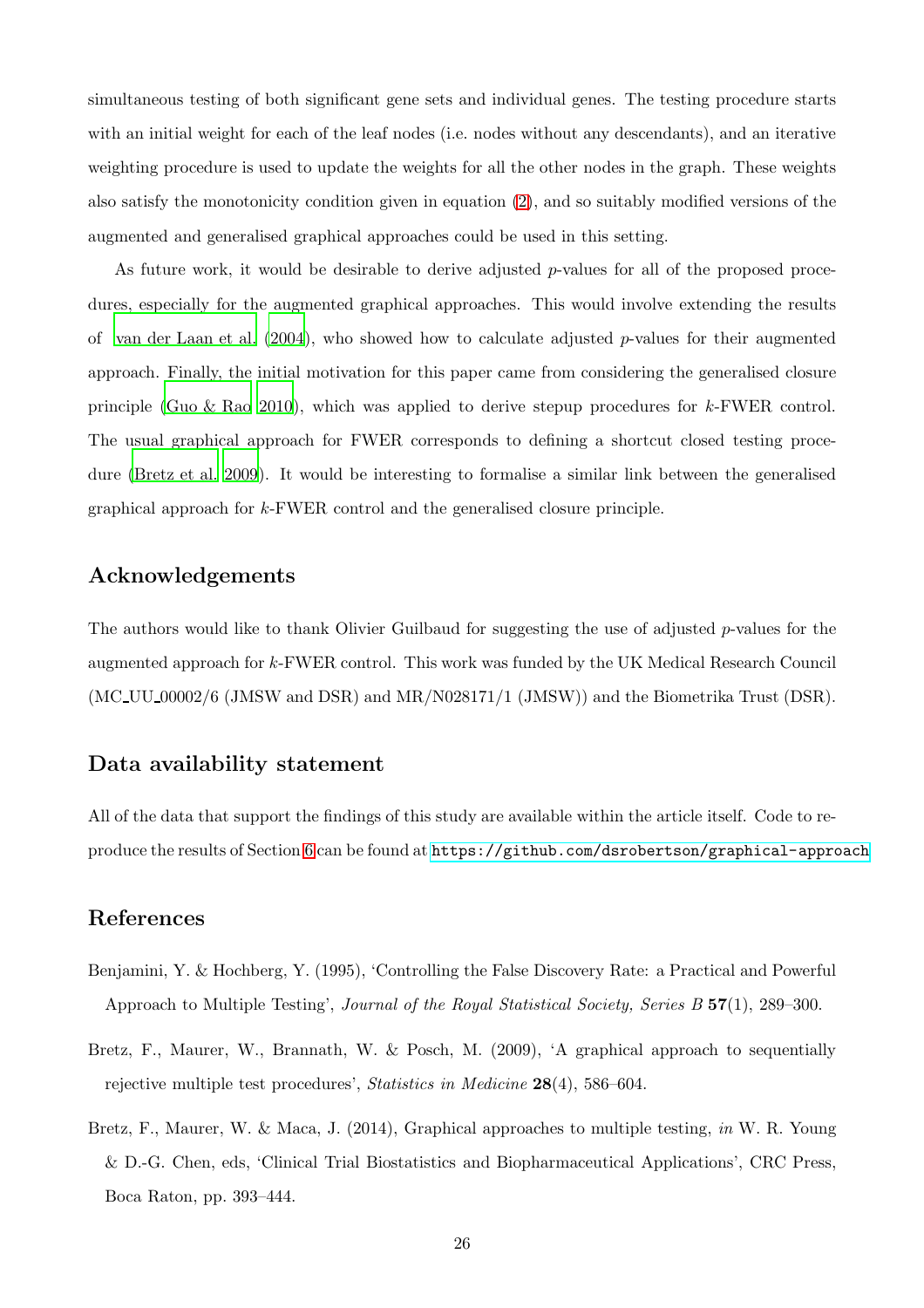simultaneous testing of both significant gene sets and individual genes. The testing procedure starts with an initial weight for each of the leaf nodes (i.e. nodes without any descendants), and an iterative weighting procedure is used to update the weights for all the other nodes in the graph. These weights also satisfy the monotonicity condition given in equation [\(2\)](#page-8-1), and so suitably modified versions of the augmented and generalised graphical approaches could be used in this setting.

As future work, it would be desirable to derive adjusted  $p$ -values for all of the proposed procedures, especially for the augmented graphical approaches. This would involve extending the results of van der Laan et al.  $(2004)$ , who showed how to calculate adjusted p-values for their augmented approach. Finally, the initial motivation for this paper came from considering the generalised closure principle [\(Guo & Rao 2010](#page-27-11)), which was applied to derive stepup procedures for k-FWER control. The usual graphical approach for FWER corresponds to defining a shortcut closed testing procedure [\(Bretz et al. 2009](#page-25-0)). It would be interesting to formalise a similar link between the generalised graphical approach for k-FWER control and the generalised closure principle.

## Acknowledgements

The authors would like to thank Olivier Guilbaud for suggesting the use of adjusted p-values for the augmented approach for k-FWER control. This work was funded by the UK Medical Research Council  $(MC_{\text{U}}U_{\text{00002}}/6$  (JMSW and DSR) and MR/N028171/1 (JMSW)) and the Biometrika Trust (DSR).

## Data availability statement

All of the data that support the findings of this study are available within the article itself. Code to reproduce the results of Section [6](#page-15-0) can be found at <https://github.com/dsrobertson/graphical-approach>

## References

- <span id="page-25-1"></span>Benjamini, Y. & Hochberg, Y. (1995), 'Controlling the False Discovery Rate: a Practical and Powerful Approach to Multiple Testing', *Journal of the Royal Statistical Society, Series B* 57(1), 289–300.
- <span id="page-25-0"></span>Bretz, F., Maurer, W., Brannath, W. & Posch, M. (2009), 'A graphical approach to sequentially rejective multiple test procedures', *Statistics in Medicine* 28(4), 586–604.
- <span id="page-25-2"></span>Bretz, F., Maurer, W. & Maca, J. (2014), Graphical approaches to multiple testing, *in* W. R. Young & D.-G. Chen, eds, 'Clinical Trial Biostatistics and Biopharmaceutical Applications', CRC Press, Boca Raton, pp. 393–444.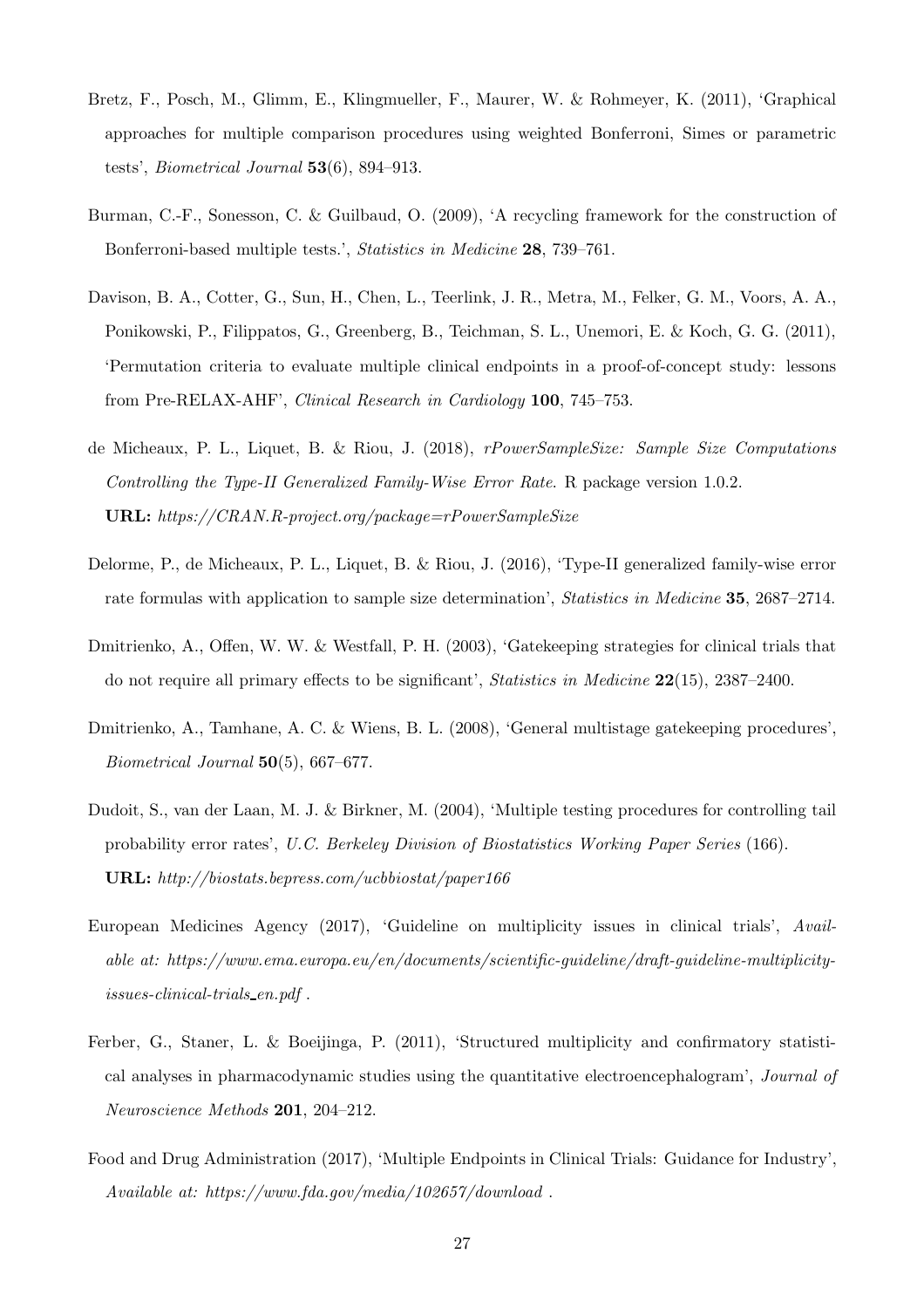- <span id="page-26-5"></span>Bretz, F., Posch, M., Glimm, E., Klingmueller, F., Maurer, W. & Rohmeyer, K. (2011), 'Graphical approaches for multiple comparison procedures using weighted Bonferroni, Simes or parametric tests', *Biometrical Journal* 53(6), 894–913.
- <span id="page-26-2"></span>Burman, C.-F., Sonesson, C. & Guilbaud, O. (2009), 'A recycling framework for the construction of Bonferroni-based multiple tests.', *Statistics in Medicine* 28, 739–761.
- <span id="page-26-8"></span>Davison, B. A., Cotter, G., Sun, H., Chen, L., Teerlink, J. R., Metra, M., Felker, G. M., Voors, A. A., Ponikowski, P., Filippatos, G., Greenberg, B., Teichman, S. L., Unemori, E. & Koch, G. G. (2011), 'Permutation criteria to evaluate multiple clinical endpoints in a proof-of-concept study: lessons from Pre-RELAX-AHF', *Clinical Research in Cardiology* 100, 745–753.
- <span id="page-26-10"></span>de Micheaux, P. L., Liquet, B. & Riou, J. (2018), *rPowerSampleSize: Sample Size Computations Controlling the Type-II Generalized Family-Wise Error Rate*. R package version 1.0.2. URL: *https://CRAN.R-project.org/package=rPowerSampleSize*
- <span id="page-26-9"></span>Delorme, P., de Micheaux, P. L., Liquet, B. & Riou, J. (2016), 'Type-II generalized family-wise error rate formulas with application to sample size determination', *Statistics in Medicine* 35, 2687–2714.
- <span id="page-26-3"></span>Dmitrienko, A., Offen, W. W. & Westfall, P. H. (2003), 'Gatekeeping strategies for clinical trials that do not require all primary effects to be significant', *Statistics in Medicine* 22(15), 2387–2400.
- <span id="page-26-4"></span>Dmitrienko, A., Tamhane, A. C. & Wiens, B. L. (2008), 'General multistage gatekeeping procedures', *Biometrical Journal* 50(5), 667–677.
- <span id="page-26-6"></span>Dudoit, S., van der Laan, M. J. & Birkner, M. (2004), 'Multiple testing procedures for controlling tail probability error rates', *U.C. Berkeley Division of Biostatistics Working Paper Series* (166). URL: *http://biostats.bepress.com/ucbbiostat/paper166*
- <span id="page-26-1"></span>European Medicines Agency (2017), 'Guideline on multiplicity issues in clinical trials', *Available at: https://www.ema.europa.eu/en/documents/scientific-guideline/draft-guideline-multiplicityissues-clinical-trials en.pdf* .
- <span id="page-26-7"></span>Ferber, G., Staner, L. & Boeijinga, P. (2011), 'Structured multiplicity and confirmatory statistical analyses in pharmacodynamic studies using the quantitative electroencephalogram', *Journal of Neuroscience Methods* 201, 204–212.
- <span id="page-26-0"></span>Food and Drug Administration (2017), 'Multiple Endpoints in Clinical Trials: Guidance for Industry', *Available at: https://www.fda.gov/media/102657/download* .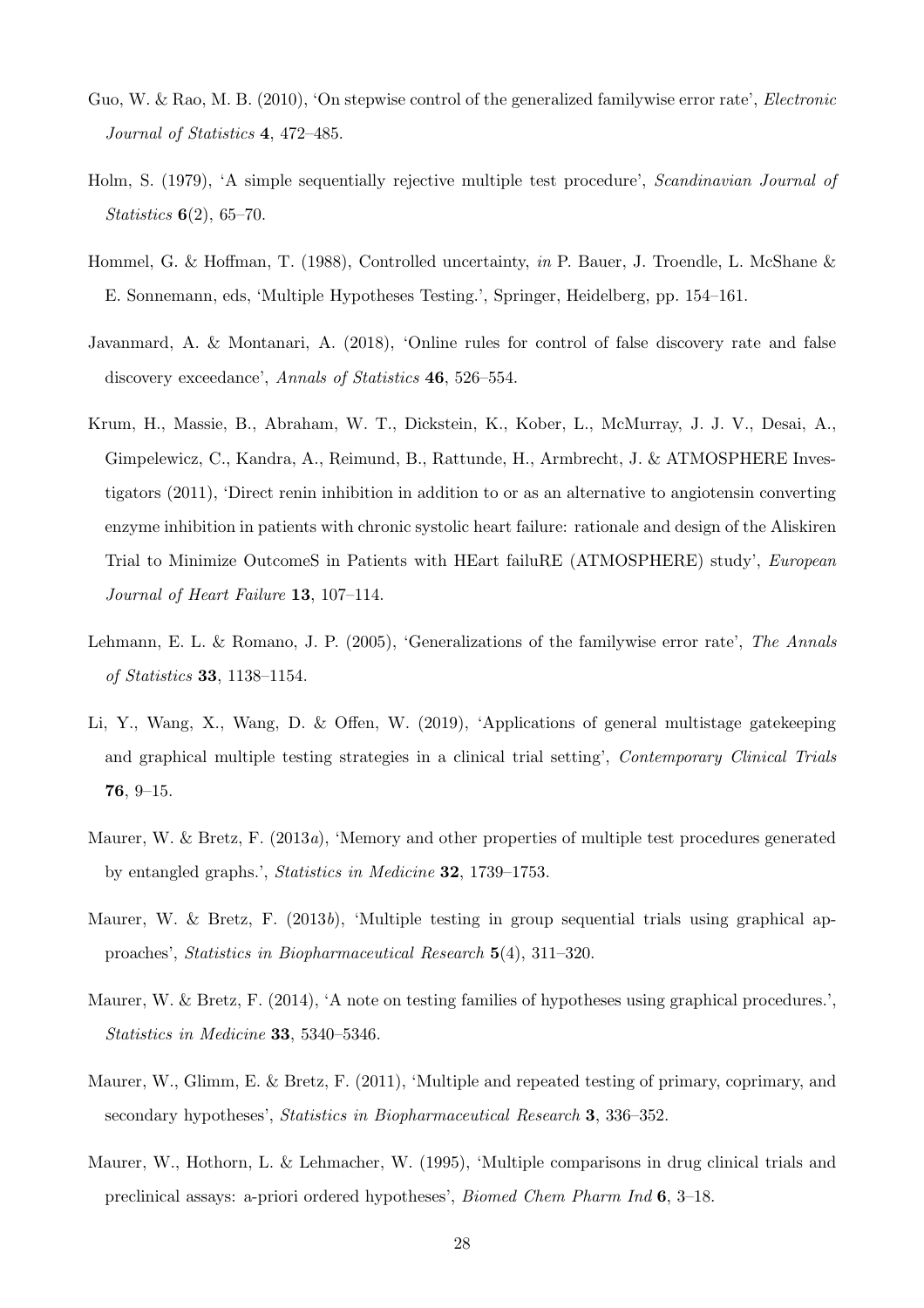- <span id="page-27-11"></span>Guo, W. & Rao, M. B. (2010), 'On stepwise control of the generalized familywise error rate', *Electronic Journal of Statistics* 4, 472–485.
- <span id="page-27-1"></span>Holm, S. (1979), 'A simple sequentially rejective multiple test procedure', *Scandinavian Journal of Statistics* 6(2), 65–70.
- <span id="page-27-5"></span>Hommel, G. & Hoffman, T. (1988), Controlled uncertainty, *in* P. Bauer, J. Troendle, L. McShane & E. Sonnemann, eds, 'Multiple Hypotheses Testing.', Springer, Heidelberg, pp. 154–161.
- <span id="page-27-6"></span>Javanmard, A. & Montanari, A. (2018), 'Online rules for control of false discovery rate and false discovery exceedance', *Annals of Statistics* 46, 526–554.
- <span id="page-27-10"></span>Krum, H., Massie, B., Abraham, W. T., Dickstein, K., Kober, L., McMurray, J. J. V., Desai, A., Gimpelewicz, C., Kandra, A., Reimund, B., Rattunde, H., Armbrecht, J. & ATMOSPHERE Investigators (2011), 'Direct renin inhibition in addition to or as an alternative to angiotensin converting enzyme inhibition in patients with chronic systolic heart failure: rationale and design of the Aliskiren Trial to Minimize OutcomeS in Patients with HEart failuRE (ATMOSPHERE) study', *European Journal of Heart Failure* 13, 107–114.
- <span id="page-27-3"></span>Lehmann, E. L. & Romano, J. P. (2005), 'Generalizations of the familywise error rate', *The Annals of Statistics* 33, 1138–1154.
- <span id="page-27-2"></span>Li, Y., Wang, X., Wang, D. & Offen, W. (2019), 'Applications of general multistage gatekeeping and graphical multiple testing strategies in a clinical trial setting', *Contemporary Clinical Trials* 76, 9–15.
- <span id="page-27-7"></span>Maurer, W. & Bretz, F. (2013*a*), 'Memory and other properties of multiple test procedures generated by entangled graphs.', *Statistics in Medicine* 32, 1739–1753.
- <span id="page-27-9"></span>Maurer, W. & Bretz, F. (2013*b*), 'Multiple testing in group sequential trials using graphical approaches', *Statistics in Biopharmaceutical Research* 5(4), 311–320.
- <span id="page-27-8"></span>Maurer, W. & Bretz, F. (2014), 'A note on testing families of hypotheses using graphical procedures.', *Statistics in Medicine* 33, 5340–5346.
- <span id="page-27-4"></span>Maurer, W., Glimm, E. & Bretz, F. (2011), 'Multiple and repeated testing of primary, coprimary, and secondary hypotheses', *Statistics in Biopharmaceutical Research* 3, 336–352.
- <span id="page-27-0"></span>Maurer, W., Hothorn, L. & Lehmacher, W. (1995), 'Multiple comparisons in drug clinical trials and preclinical assays: a-priori ordered hypotheses', *Biomed Chem Pharm Ind* 6, 3–18.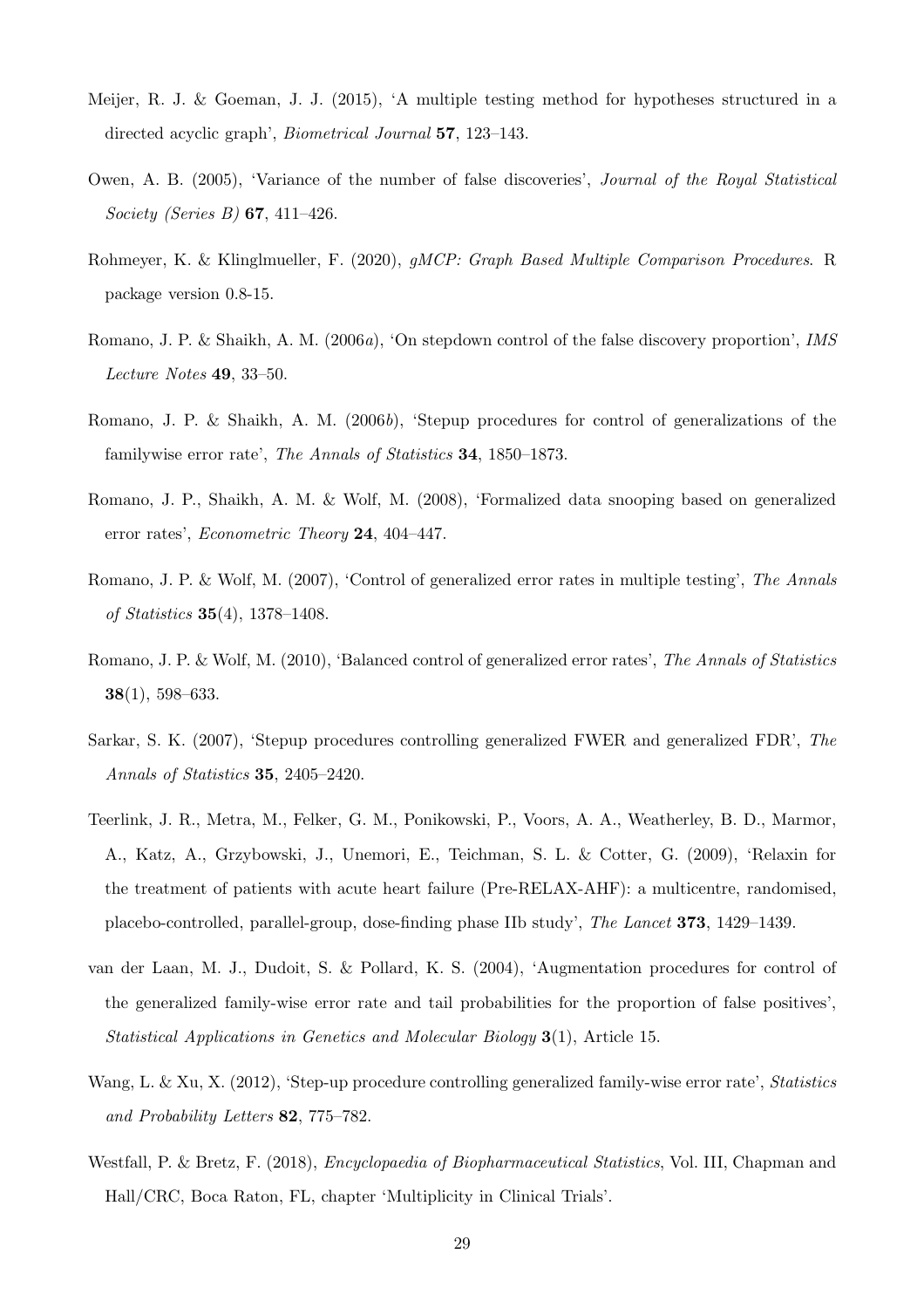- <span id="page-28-12"></span>Meijer, R. J. & Goeman, J. J. (2015), 'A multiple testing method for hypotheses structured in a directed acyclic graph', *Biometrical Journal* 57, 123–143.
- <span id="page-28-7"></span>Owen, A. B. (2005), 'Variance of the number of false discoveries', *Journal of the Royal Statistical Society (Series B)* 67, 411–426.
- <span id="page-28-10"></span>Rohmeyer, K. & Klinglmueller, F. (2020), *gMCP: Graph Based Multiple Comparison Procedures*. R package version 0.8-15.
- <span id="page-28-8"></span>Romano, J. P. & Shaikh, A. M. (2006*a*), 'On stepdown control of the false discovery proportion', *IMS Lecture Notes* 49, 33–50.
- <span id="page-28-1"></span>Romano, J. P. & Shaikh, A. M. (2006*b*), 'Stepup procedures for control of generalizations of the familywise error rate', *The Annals of Statistics* 34, 1850–1873.
- <span id="page-28-5"></span>Romano, J. P., Shaikh, A. M. & Wolf, M. (2008), 'Formalized data snooping based on generalized error rates', *Econometric Theory* 24, 404–447.
- <span id="page-28-4"></span>Romano, J. P. & Wolf, M. (2007), 'Control of generalized error rates in multiple testing', *The Annals of Statistics* 35(4), 1378–1408.
- <span id="page-28-6"></span>Romano, J. P. & Wolf, M. (2010), 'Balanced control of generalized error rates', *The Annals of Statistics* 38(1), 598–633.
- <span id="page-28-2"></span>Sarkar, S. K. (2007), 'Stepup procedures controlling generalized FWER and generalized FDR', *The Annals of Statistics* 35, 2405–2420.
- <span id="page-28-11"></span>Teerlink, J. R., Metra, M., Felker, G. M., Ponikowski, P., Voors, A. A., Weatherley, B. D., Marmor, A., Katz, A., Grzybowski, J., Unemori, E., Teichman, S. L. & Cotter, G. (2009), 'Relaxin for the treatment of patients with acute heart failure (Pre-RELAX-AHF): a multicentre, randomised, placebo-controlled, parallel-group, dose-finding phase IIb study', *The Lancet* 373, 1429–1439.
- <span id="page-28-9"></span>van der Laan, M. J., Dudoit, S. & Pollard, K. S. (2004), 'Augmentation procedures for control of the generalized family-wise error rate and tail probabilities for the proportion of false positives', *Statistical Applications in Genetics and Molecular Biology* 3(1), Article 15.
- <span id="page-28-3"></span>Wang, L. & Xu, X. (2012), 'Step-up procedure controlling generalized family-wise error rate', *Statistics and Probability Letters* 82, 775–782.
- <span id="page-28-0"></span>Westfall, P. & Bretz, F. (2018), *Encyclopaedia of Biopharmaceutical Statistics*, Vol. III, Chapman and Hall/CRC, Boca Raton, FL, chapter 'Multiplicity in Clinical Trials'.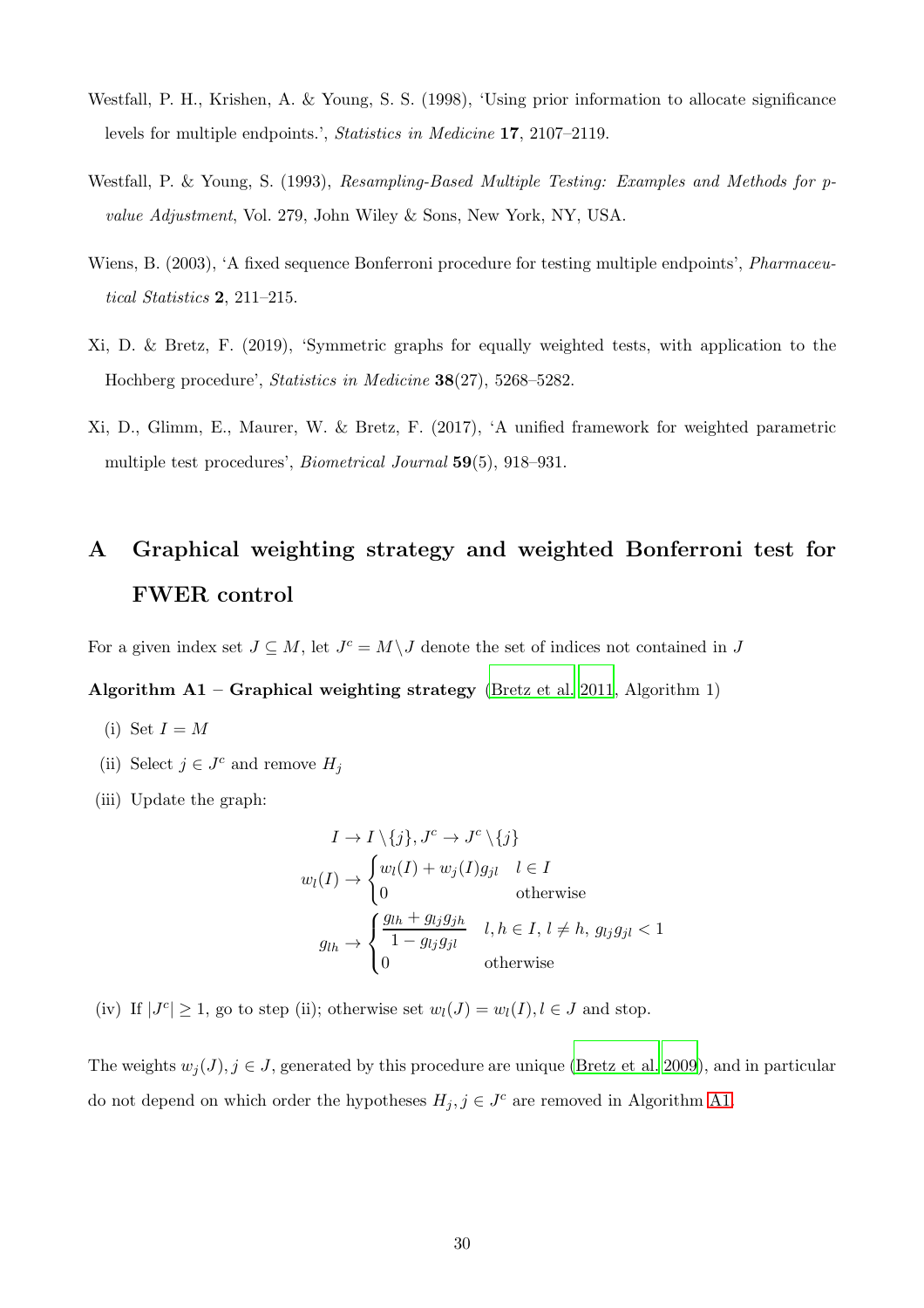- <span id="page-29-4"></span>Westfall, P. H., Krishen, A. & Young, S. S. (1998), 'Using prior information to allocate significance levels for multiple endpoints.', *Statistics in Medicine* 17, 2107–2119.
- <span id="page-29-3"></span>Westfall, P. & Young, S. (1993), *Resampling-Based Multiple Testing: Examples and Methods for pvalue Adjustment*, Vol. 279, John Wiley & Sons, New York, NY, USA.
- <span id="page-29-6"></span>Wiens, B. (2003), 'A fixed sequence Bonferroni procedure for testing multiple endpoints', *Pharmaceutical Statistics* 2, 211–215.
- <span id="page-29-0"></span>Xi, D. & Bretz, F. (2019), 'Symmetric graphs for equally weighted tests, with application to the Hochberg procedure', *Statistics in Medicine* 38(27), 5268–5282.
- <span id="page-29-5"></span>Xi, D., Glimm, E., Maurer, W. & Bretz, F. (2017), 'A unified framework for weighted parametric multiple test procedures', *Biometrical Journal* 59(5), 918–931.

# <span id="page-29-2"></span>A Graphical weighting strategy and weighted Bonferroni test for FWER control

<span id="page-29-1"></span>For a given index set  $J \subseteq M$ , let  $J<sup>c</sup> = M \setminus J$  denote the set of indices not contained in J

#### Algorithm  $A1 -$  Graphical weighting strategy [\(Bretz et al. 2011](#page-26-5), Algorithm 1)

- (i) Set  $I = M$
- (ii) Select  $j \in J^c$  and remove  $H_j$
- (iii) Update the graph:

$$
I \to I \setminus \{j\}, J^c \to J^c \setminus \{j\}
$$
  

$$
w_l(I) \to \begin{cases} w_l(I) + w_j(I)g_{jl} & l \in I \\ 0 & \text{otherwise} \end{cases}
$$
  

$$
g_{lh} \to \begin{cases} \frac{g_{lh} + g_{lj}g_{jh}}{1 - g_{lj}g_{jl}} & l, h \in I, l \neq h, g_{lj}g_{jl} < 1 \\ 0 & \text{otherwise} \end{cases}
$$

(iv) If  $|J^c| \geq 1$ , go to step (ii); otherwise set  $w_l(J) = w_l(I), l \in J$  and stop.

The weights  $w_i(J)$ ,  $j \in J$ , generated by this procedure are unique [\(Bretz et al. 2009](#page-25-0)), and in particular do not depend on which order the hypotheses  $H_j, j \in J^c$  are removed in Algorithm [A1.](#page-29-1)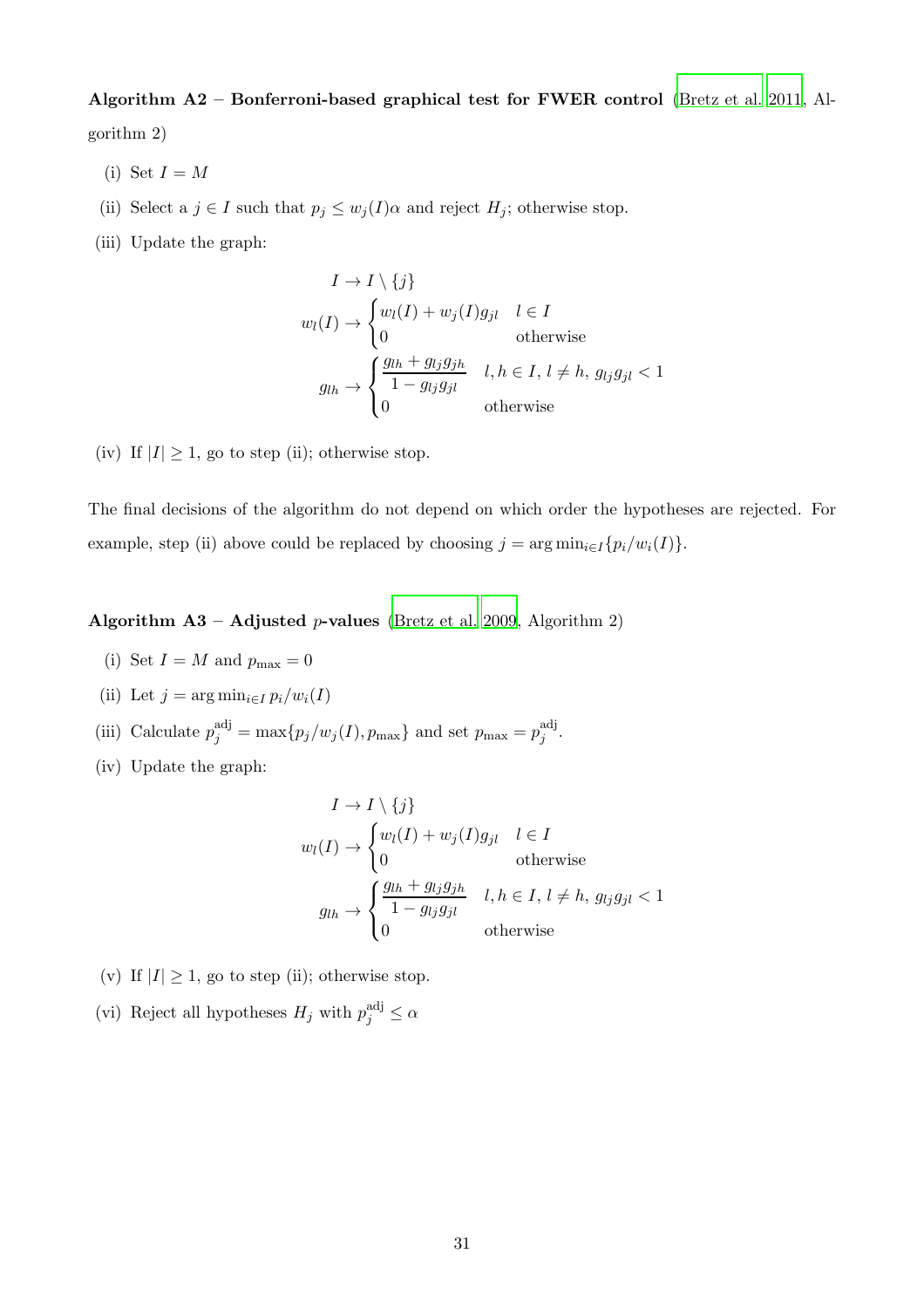# <span id="page-30-0"></span>Algorithm A2 – Bonferroni-based graphical test for FWER control [\(Bretz et al. 2011](#page-26-5), Al-

gorithm 2)

- (i) Set  $I = M$
- (ii) Select a  $j \in I$  such that  $p_j \leq w_j(I)\alpha$  and reject  $H_j$ ; otherwise stop.
- (iii) Update the graph:

$$
I \to I \setminus \{j\}
$$
  
\n
$$
w_l(I) \to \begin{cases} w_l(I) + w_j(I)g_{jl} & l \in I \\ 0 & \text{otherwise} \end{cases}
$$
  
\n
$$
g_{lh} \to \begin{cases} \frac{g_{lh} + g_{lj}g_{jh}}{1 - g_{lj}g_{jl}} & l, h \in I, l \neq h, g_{lj}g_{jl} < 1 \\ 0 & \text{otherwise} \end{cases}
$$

(iv) If  $|I| \geq 1$ , go to step (ii); otherwise stop.

<span id="page-30-1"></span>The final decisions of the algorithm do not depend on which order the hypotheses are rejected. For example, step (ii) above could be replaced by choosing  $j = \arg \min_{i \in I} \{p_i/w_i(I)\}.$ 

Algorithm  $A3 - Adjusted p-values$  [\(Bretz et al. 2009,](#page-25-0) Algorithm 2)

- (i) Set  $I = M$  and  $p_{\text{max}} = 0$
- (ii) Let  $j = \arg \min_{i \in I} p_i/w_i(I)$
- (iii) Calculate  $p_j^{\text{adj}} = \max\{p_j/w_j(I), p_{\text{max}}\}\$ and set  $p_{\text{max}} = p_j^{\text{adj}}$  $\frac{a}{j}$ .
- (iv) Update the graph:

$$
I \to I \setminus \{j\}
$$
  

$$
w_l(I) \to \begin{cases} w_l(I) + w_j(I)g_{jl} & l \in I \\ 0 & \text{otherwise} \end{cases}
$$
  

$$
g_{lh} \to \begin{cases} \frac{g_{lh} + g_{lj}g_{jh}}{1 - g_{lj}g_{jl}} & l, h \in I, l \neq h, g_{lj}g_{jl} < 1 \\ 0 & \text{otherwise} \end{cases}
$$

- (v) If  $|I| \geq 1$ , go to step (ii); otherwise stop.
- (vi) Reject all hypotheses  $H_j$  with  $p_j^{\text{adj}} \leq \alpha$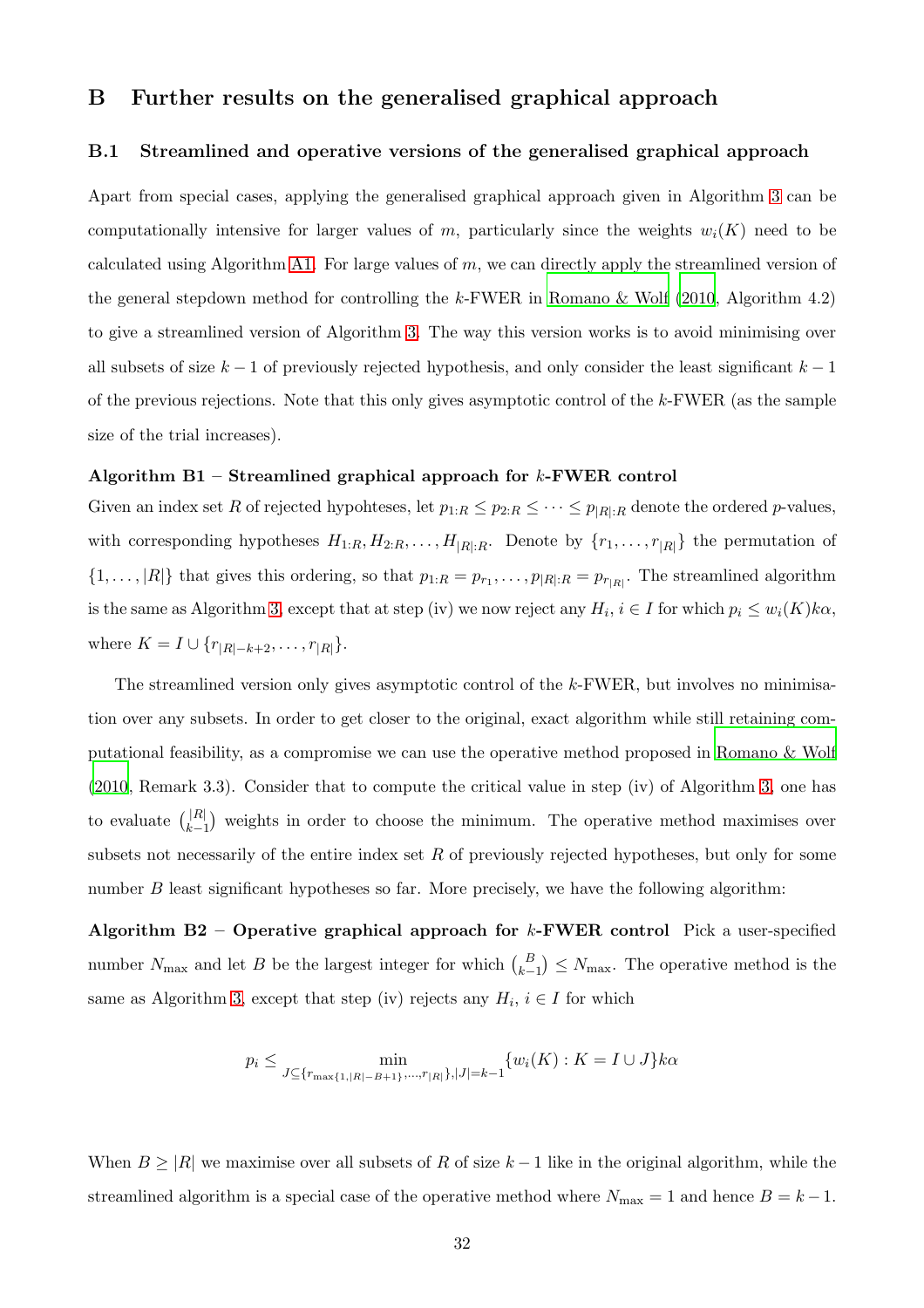## <span id="page-31-0"></span>B Further results on the generalised graphical approach

#### B.1 Streamlined and operative versions of the generalised graphical approach

Apart from special cases, applying the generalised graphical approach given in Algorithm [3](#page-8-0) can be computationally intensive for larger values of m, particularly since the weights  $w_i(K)$  need to be calculated using Algorithm [A1.](#page-29-1) For large values of  $m$ , we can directly apply the streamlined version of the general stepdown method for controlling the  $k$ -FWER in Romano  $\&$  Wolf (2010, Algorithm 4.2) to give a streamlined version of Algorithm [3.](#page-8-0) The way this version works is to avoid minimising over all subsets of size  $k-1$  of previously rejected hypothesis, and only consider the least significant  $k-1$ of the previous rejections. Note that this only gives asymptotic control of the k-FWER (as the sample size of the trial increases).

#### Algorithm  $B1 -$  Streamlined graphical approach for k-FWER control

Given an index set R of rejected hypohteses, let  $p_{1:R} \leq p_{2:R} \leq \cdots \leq p_{|R|:R}$  denote the ordered p-values, with corresponding hypotheses  $H_{1:R}$ ,  $H_{2:R}$ , ...,  $H_{|R|:R}$ . Denote by  $\{r_1, \ldots, r_{|R|}\}\)$  the permutation of  $\{1,\ldots,|R|\}\$  that gives this ordering, so that  $p_{1:R} = p_{r_1},\ldots,p_{|R|:R} = p_{r_{|R|}}\$ . The streamlined algorithm is the same as Algorithm [3,](#page-8-0) except that at step (iv) we now reject any  $H_i$ ,  $i \in I$  for which  $p_i \leq w_i(K)k\alpha$ , where  $K = I \cup \{r_{|R|-k+2}, \ldots, r_{|R|}\}.$ 

The streamlined version only gives asymptotic control of the  $k$ -FWER, but involves no minimisation over any subsets. In order to get closer to the original, exact algorithm while still retaining computational feasibility, as a compromise we can use the operative method proposed in [Romano & Wolf](#page-28-6) [\(2010](#page-28-6), Remark 3.3). Consider that to compute the critical value in step (iv) of Algorithm [3,](#page-8-0) one has to evaluate  $\binom{|R|}{k}$  $\vert R \vert \vert$  weights in order to choose the minimum. The operative method maximises over subsets not necessarily of the entire index set  $R$  of previously rejected hypotheses, but only for some number  $B$  least significant hypotheses so far. More precisely, we have the following algorithm:

Algorithm B2 – Operative graphical approach for  $k$ -FWER control Pick a user-specified number  $N_{\text{max}}$  and let B be the largest integer for which  $\binom{B}{k-1} \leq N_{\text{max}}$ . The operative method is the same as Algorithm [3,](#page-8-0) except that step (iv) rejects any  $H_i$ ,  $i \in I$  for which

$$
p_i \le \min_{J \subseteq \{r_{\max\{1, |R| - B + 1\}}, \dots, r_{|R|}\}, |J| = k - 1} \{w_i(K) : K = I \cup J\} k \alpha
$$

When  $B \geq |R|$  we maximise over all subsets of R of size  $k-1$  like in the original algorithm, while the streamlined algorithm is a special case of the operative method where  $N_{\text{max}} = 1$  and hence  $B = k - 1$ .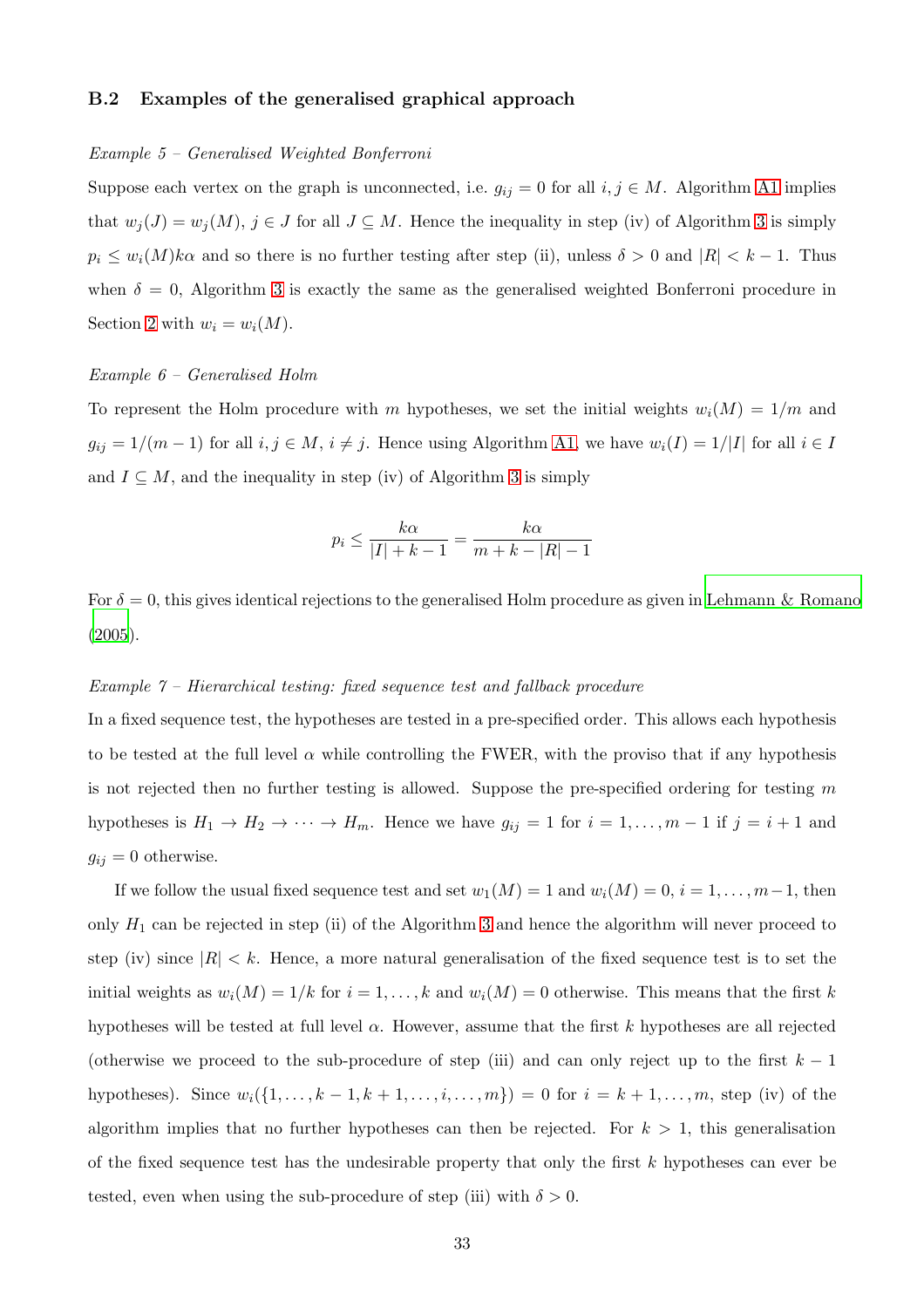#### <span id="page-32-0"></span>B.2 Examples of the generalised graphical approach

#### *Example 5 – Generalised Weighted Bonferroni*

Suppose each vertex on the graph is unconnected, i.e.  $g_{ij} = 0$  for all  $i, j \in M$ . Algorithm [A1](#page-29-1) implies that  $w_j(J) = w_j(M)$ ,  $j \in J$  for all  $J \subseteq M$ . Hence the inequality in step (iv) of Algorithm [3](#page-8-0) is simply  $p_i \leq w_i(M)k\alpha$  and so there is no further testing after step (ii), unless  $\delta > 0$  and  $|R| < k - 1$ . Thus when  $\delta = 0$ , Algorithm [3](#page-8-0) is exactly the same as the generalised weighted Bonferroni procedure in Section [2](#page-3-0) with  $w_i = w_i(M)$ .

#### *Example 6 – Generalised Holm*

To represent the Holm procedure with m hypotheses, we set the initial weights  $w_i(M) = 1/m$  and  $g_{ij} = 1/(m-1)$  for all  $i, j \in M$ ,  $i \neq j$ . Hence using Algorithm [A1,](#page-29-1) we have  $w_i(I) = 1/|I|$  for all  $i \in I$ and  $I \subseteq M$ , and the inequality in step (iv) of Algorithm [3](#page-8-0) is simply

$$
p_i \le \frac{k\alpha}{|I| + k - 1} = \frac{k\alpha}{m + k - |R| - 1}
$$

For  $\delta = 0$ , this gives identical rejections to the generalised Holm procedure as given in [Lehmann & Romano](#page-27-3) [\(2005](#page-27-3)).

#### *Example 7 – Hierarchical testing: fixed sequence test and fallback procedure*

In a fixed sequence test, the hypotheses are tested in a pre-specified order. This allows each hypothesis to be tested at the full level  $\alpha$  while controlling the FWER, with the proviso that if any hypothesis is not rejected then no further testing is allowed. Suppose the pre-specified ordering for testing  $m$ hypotheses is  $H_1 \to H_2 \to \cdots \to H_m$ . Hence we have  $g_{ij} = 1$  for  $i = 1, \ldots, m-1$  if  $j = i+1$  and  $g_{ij} = 0$  otherwise.

If we follow the usual fixed sequence test and set  $w_1(M) = 1$  and  $w_i(M) = 0$ ,  $i = 1, \ldots, m-1$ , then only  $H_1$  can be rejected in step (ii) of the Algorithm [3](#page-8-0) and hence the algorithm will never proceed to step (iv) since  $|R| < k$ . Hence, a more natural generalisation of the fixed sequence test is to set the initial weights as  $w_i(M) = 1/k$  for  $i = 1, ..., k$  and  $w_i(M) = 0$  otherwise. This means that the first k hypotheses will be tested at full level  $\alpha$ . However, assume that the first k hypotheses are all rejected (otherwise we proceed to the sub-procedure of step (iii) and can only reject up to the first  $k - 1$ hypotheses). Since  $w_i({1, \ldots, k-1, k+1, \ldots, i, \ldots, m}) = 0$  for  $i = k+1, \ldots, m$ , step (iv) of the algorithm implies that no further hypotheses can then be rejected. For  $k > 1$ , this generalisation of the fixed sequence test has the undesirable property that only the first  $k$  hypotheses can ever be tested, even when using the sub-procedure of step (iii) with  $\delta > 0$ .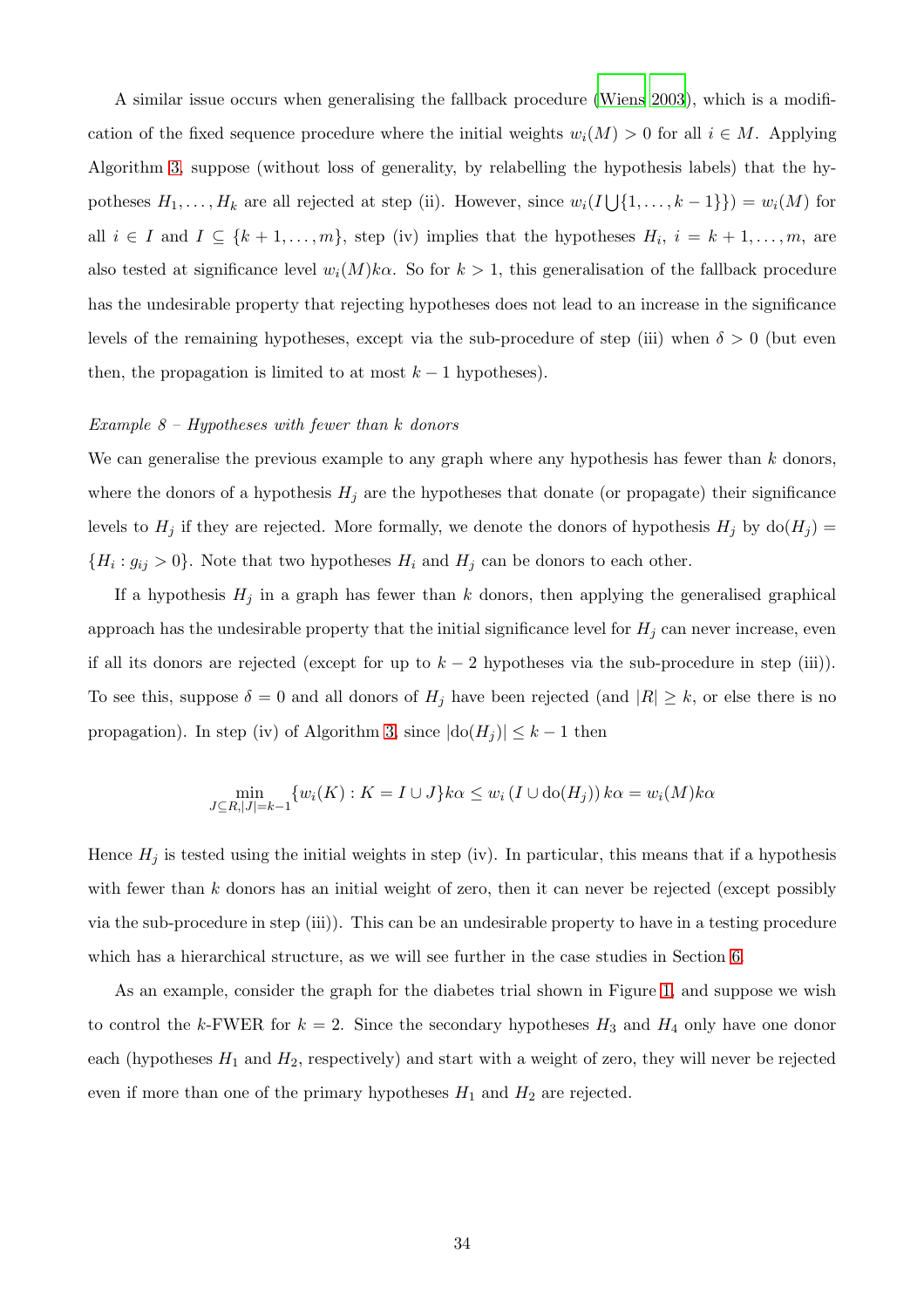A similar issue occurs when generalising the fallback procedure [\(Wiens 2003](#page-29-6)), which is a modification of the fixed sequence procedure where the initial weights  $w_i(M) > 0$  for all  $i \in M$ . Applying Algorithm [3,](#page-8-0) suppose (without loss of generality, by relabelling the hypothesis labels) that the hypotheses  $H_1, \ldots, H_k$  are all rejected at step (ii). However, since  $w_i(I \cup \{1, \ldots, k-1\}) = w_i(M)$  for all  $i \in I$  and  $I \subseteq \{k+1,\ldots,m\}$ , step (iv) implies that the hypotheses  $H_i$ ,  $i = k+1,\ldots,m$ , are also tested at significance level  $w_i(M)k\alpha$ . So for  $k > 1$ , this generalisation of the fallback procedure has the undesirable property that rejecting hypotheses does not lead to an increase in the significance levels of the remaining hypotheses, except via the sub-procedure of step (iii) when  $\delta > 0$  (but even then, the propagation is limited to at most  $k - 1$  hypotheses).

#### *Example 8 – Hypotheses with fewer than* k *donors*

We can generalise the previous example to any graph where any hypothesis has fewer than  $k$  donors, where the donors of a hypothesis  $H_j$  are the hypotheses that donate (or propagate) their significance levels to  $H_j$  if they are rejected. More formally, we denote the donors of hypothesis  $H_j$  by do $(H_j)$  =  ${H_i: g_{ij} > 0}$ . Note that two hypotheses  $H_i$  and  $H_j$  can be donors to each other.

If a hypothesis  $H_j$  in a graph has fewer than k donors, then applying the generalised graphical approach has the undesirable property that the initial significance level for  $H_j$  can never increase, even if all its donors are rejected (except for up to  $k-2$  hypotheses via the sub-procedure in step (iii)). To see this, suppose  $\delta = 0$  and all donors of  $H_j$  have been rejected (and  $|R| \geq k$ , or else there is no propagation). In step (iv) of Algorithm [3,](#page-8-0) since  $|\text{do}(H_j)| \leq k - 1$  then

$$
\min_{J \subseteq R, |J| = k-1} \{w_i(K) : K = I \cup J\} k\alpha \le w_i (I \cup \text{do}(H_j)) k\alpha = w_i(M) k\alpha
$$

Hence  $H_j$  is tested using the initial weights in step (iv). In particular, this means that if a hypothesis with fewer than  $k$  donors has an initial weight of zero, then it can never be rejected (except possibly via the sub-procedure in step (iii)). This can be an undesirable property to have in a testing procedure which has a hierarchical structure, as we will see further in the case studies in Section [6.](#page-15-0)

As an example, consider the graph for the diabetes trial shown in Figure [1,](#page-4-0) and suppose we wish to control the k-FWER for  $k = 2$ . Since the secondary hypotheses  $H_3$  and  $H_4$  only have one donor each (hypotheses  $H_1$  and  $H_2$ , respectively) and start with a weight of zero, they will never be rejected even if more than one of the primary hypotheses  $H_1$  and  $H_2$  are rejected.